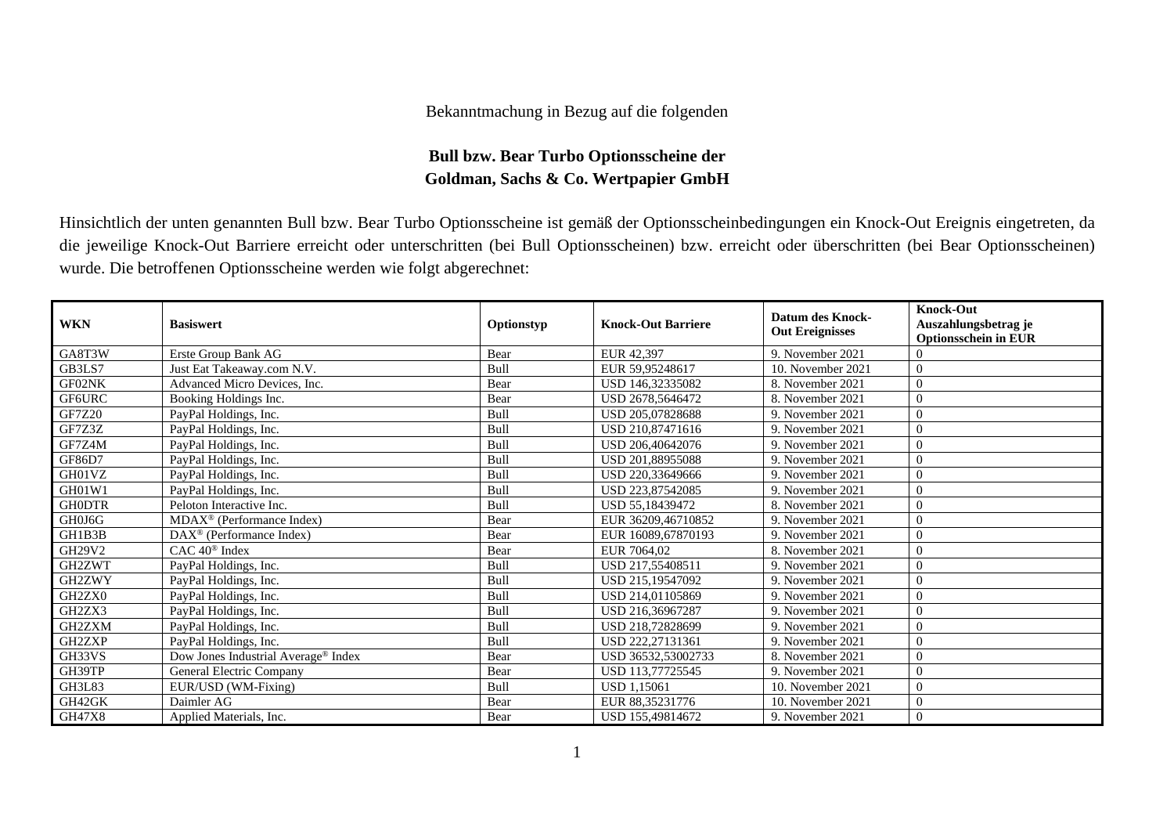## Bekanntmachung in Bezug auf die folgenden

## **Bull bzw. Bear Turbo Optionsscheine der Goldman, Sachs & Co. Wertpapier GmbH**

Hinsichtlich der unten genannten Bull bzw. Bear Turbo Optionsscheine ist gemäß der Optionsscheinbedingungen ein Knock-Out Ereignis eingetreten, da die jeweilige Knock-Out Barriere erreicht oder unterschritten (bei Bull Optionsscheinen) bzw. erreicht oder überschritten (bei Bear Optionsscheinen) wurde. Die betroffenen Optionsscheine werden wie folgt abgerechnet:

| <b>WKN</b>    | <b>Basiswert</b>                                | Optionstyp | <b>Knock-Out Barriere</b> | Datum des Knock-<br><b>Out Ereignisses</b> | <b>Knock-Out</b><br>Auszahlungsbetrag je<br><b>Optionsschein in EUR</b> |
|---------------|-------------------------------------------------|------------|---------------------------|--------------------------------------------|-------------------------------------------------------------------------|
| GA8T3W        | Erste Group Bank AG                             | Bear       | EUR 42,397                | 9. November 2021                           |                                                                         |
| GB3LS7        | Just Eat Takeaway.com N.V.                      | Bull       | EUR 59.95248617           | 10. November 2021                          | $\Omega$                                                                |
| GF02NK        | Advanced Micro Devices, Inc.                    | Bear       | USD 146.32335082          | 8. November 2021                           | $\Omega$                                                                |
| GF6URC        | Booking Holdings Inc.                           | Bear       | USD 2678,5646472          | 8. November 2021                           | $\Omega$                                                                |
| <b>GF7Z20</b> | PayPal Holdings, Inc.                           | Bull       | USD 205,07828688          | 9. November 2021                           | $\Omega$                                                                |
| GF7Z3Z        | PayPal Holdings, Inc.                           | Bull       | USD 210,87471616          | 9. November 2021                           | $\Omega$                                                                |
| GF7Z4M        | PayPal Holdings, Inc.                           | Bull       | USD 206,40642076          | 9. November 2021                           | $\Omega$                                                                |
| GF86D7        | PayPal Holdings, Inc.                           | Bull       | USD 201.88955088          | 9. November 2021                           | $\Omega$                                                                |
| GH01VZ        | PayPal Holdings, Inc.                           | Bull       | USD 220.33649666          | 9. November 2021                           | $\Omega$                                                                |
| GH01W1        | PayPal Holdings, Inc.                           | Bull       | USD 223,87542085          | 9. November 2021                           | $\Omega$                                                                |
| <b>GH0DTR</b> | Peloton Interactive Inc.                        | Bull       | USD 55,18439472           | 8. November 2021                           | $\theta$                                                                |
| GH0J6G        | MDAX <sup>®</sup> (Performance Index)           | Bear       | EUR 36209,46710852        | 9. November 2021                           | $\Omega$                                                                |
| GH1B3B        | $\text{DAX}^{\otimes}$ (Performance Index)      | Bear       | EUR 16089,67870193        | 9. November 2021                           | $\Omega$                                                                |
| GH29V2        | $CAC 40$ <sup>®</sup> Index                     | Bear       | EUR 7064,02               | 8. November 2021                           | $\Omega$                                                                |
| GH2ZWT        | PayPal Holdings, Inc.                           | Bull       | USD 217,55408511          | 9. November 2021                           | $\Omega$                                                                |
| GH2ZWY        | PayPal Holdings, Inc.                           | Bull       | USD 215.19547092          | 9. November 2021                           | $\Omega$                                                                |
| GH2ZX0        | PayPal Holdings, Inc.                           | Bull       | USD 214.01105869          | 9. November 2021                           | $\overline{0}$                                                          |
| GH2ZX3        | PayPal Holdings, Inc.                           | Bull       | USD 216,36967287          | 9. November 2021                           | $\Omega$                                                                |
| GH2ZXM        | PayPal Holdings, Inc.                           | Bull       | USD 218,72828699          | 9. November 2021                           | $\Omega$                                                                |
| GH2ZXP        | PayPal Holdings, Inc.                           | Bull       | USD 222,27131361          | 9. November 2021                           | $\Omega$                                                                |
| GH33VS        | Dow Jones Industrial Average <sup>®</sup> Index | Bear       | USD 36532,53002733        | 8. November 2021                           | $\theta$                                                                |
| GH39TP        | General Electric Company                        | Bear       | USD 113.77725545          | 9. November 2021                           | $\Omega$                                                                |
| GH3L83        | EUR/USD (WM-Fixing)                             | Bull       | <b>USD 1,15061</b>        | 10. November 2021                          | $\overline{0}$                                                          |
| GH42GK        | Daimler AG                                      | Bear       | EUR 88,35231776           | 10. November 2021                          | $\Omega$                                                                |
| <b>GH47X8</b> | Applied Materials, Inc.                         | Bear       | USD 155,49814672          | 9. November 2021                           | $\overline{0}$                                                          |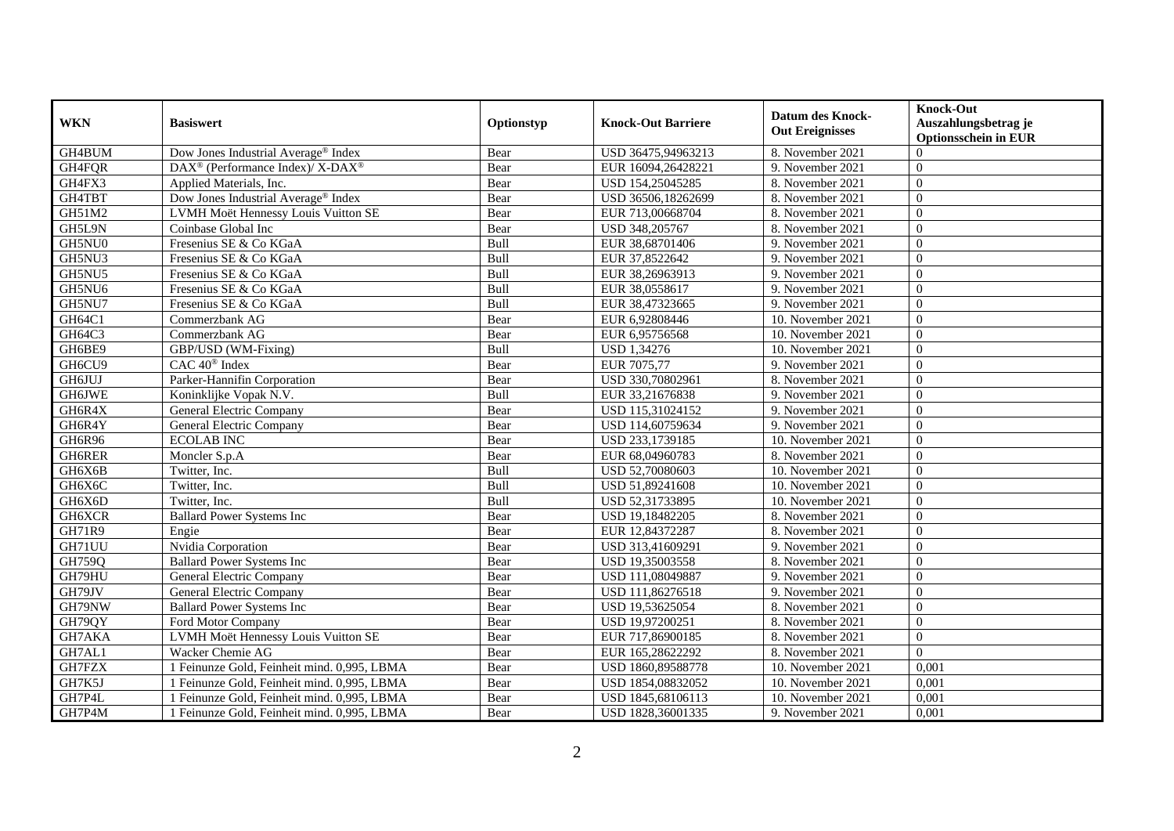| <b>WKN</b> | <b>Basiswert</b>                                         | Optionstyp | <b>Knock-Out Barriere</b> | <b>Datum des Knock-</b><br><b>Out Ereignisses</b> | <b>Knock-Out</b><br>Auszahlungsbetrag je<br><b>Optionsschein in EUR</b> |
|------------|----------------------------------------------------------|------------|---------------------------|---------------------------------------------------|-------------------------------------------------------------------------|
| GH4BUM     | Dow Jones Industrial Average® Index                      | Bear       | USD 36475,94963213        | 8. November 2021                                  | $\Omega$                                                                |
| GH4FQR     | DAX <sup>®</sup> (Performance Index)/ X-DAX <sup>®</sup> | Bear       | EUR 16094,26428221        | 9. November 2021                                  | $\Omega$                                                                |
| GH4FX3     | Applied Materials, Inc.                                  | Bear       | USD 154,25045285          | 8. November 2021                                  | $\theta$                                                                |
| GH4TBT     | Dow Jones Industrial Average <sup>®</sup> Index          | Bear       | USD 36506,18262699        | 8. November 2021                                  | $\theta$                                                                |
| GH51M2     | LVMH Moët Hennessy Louis Vuitton SE                      | Bear       | EUR 713,00668704          | 8. November 2021                                  | $\overline{0}$                                                          |
| GH5L9N     | Coinbase Global Inc                                      | Bear       | USD 348,205767            | 8. November 2021                                  | $\theta$                                                                |
| GH5NU0     | Fresenius SE & Co KGaA                                   | Bull       | EUR 38,68701406           | 9. November 2021                                  | $\theta$                                                                |
| GH5NU3     | Fresenius SE & Co KGaA                                   | Bull       | EUR 37,8522642            | 9. November 2021                                  | $\theta$                                                                |
| GH5NU5     | Fresenius SE & Co KGaA                                   | Bull       | EUR 38,26963913           | 9. November 2021                                  | $\theta$                                                                |
| GH5NU6     | Fresenius SE & Co KGaA                                   | Bull       | EUR 38,0558617            | 9. November 2021                                  | $\theta$                                                                |
| GH5NU7     | Fresenius SE & Co KGaA                                   | Bull       | EUR 38,47323665           | 9. November 2021                                  | $\Omega$                                                                |
| GH64C1     | Commerzbank AG                                           | Bear       | EUR 6,92808446            | 10. November 2021                                 | $\theta$                                                                |
| GH64C3     | Commerzbank AG                                           | Bear       | EUR 6,95756568            | 10. November 2021                                 | $\theta$                                                                |
| GH6BE9     | GBP/USD (WM-Fixing)                                      | Bull       | <b>USD 1,34276</b>        | 10. November 2021                                 | $\theta$                                                                |
| GH6CU9     | CAC 40 <sup>®</sup> Index                                | Bear       | EUR 7075,77               | 9. November 2021                                  | $\theta$                                                                |
| GH6JUJ     | Parker-Hannifin Corporation                              | Bear       | USD 330,70802961          | 8. November 2021                                  | $\overline{0}$                                                          |
| GH6JWE     | Koninklijke Vopak N.V.                                   | Bull       | EUR 33,21676838           | 9. November 2021                                  | $\theta$                                                                |
| GH6R4X     | General Electric Company                                 | Bear       | USD 115.31024152          | 9. November 2021                                  | $\Omega$                                                                |
| GH6R4Y     | General Electric Company                                 | Bear       | USD 114,60759634          | 9. November 2021                                  | $\theta$                                                                |
| GH6R96     | <b>ECOLAB INC</b>                                        | Bear       | USD 233,1739185           | 10. November 2021                                 | $\theta$                                                                |
| GH6RER     | Moncler S.p.A                                            | Bear       | EUR 68,04960783           | 8. November 2021                                  | $\theta$                                                                |
| GH6X6B     | Twitter, Inc.                                            | Bull       | USD 52,70080603           | 10. November 2021                                 | $\theta$                                                                |
| GH6X6C     | Twitter, Inc.                                            | Bull       | USD 51,89241608           | 10. November 2021                                 | $\theta$                                                                |
| GH6X6D     | Twitter, Inc.                                            | Bull       | USD 52,31733895           | 10. November 2021                                 | $\Omega$                                                                |
| GH6XCR     | <b>Ballard Power Systems Inc</b>                         | Bear       | USD 19,18482205           | 8. November 2021                                  | $\theta$                                                                |
| GH71R9     | Engie                                                    | Bear       | EUR 12,84372287           | 8. November 2021                                  | $\Omega$                                                                |
| GH71UU     | Nvidia Corporation                                       | Bear       | USD 313,41609291          | 9. November 2021                                  | $\overline{0}$                                                          |
| GH759Q     | <b>Ballard Power Systems Inc.</b>                        | Bear       | USD 19,35003558           | 8. November 2021                                  | $\Omega$                                                                |
| GH79HU     | General Electric Company                                 | Bear       | USD 111,08049887          | 9. November 2021                                  | $\Omega$                                                                |
| GH79JV     | <b>General Electric Company</b>                          | Bear       | USD 111,86276518          | 9. November 2021                                  | $\theta$                                                                |
| GH79NW     | <b>Ballard Power Systems Inc</b>                         | Bear       | USD 19,53625054           | 8. November 2021                                  | $\Omega$                                                                |
| GH79QY     | Ford Motor Company                                       | Bear       | USD 19,97200251           | 8. November 2021                                  | $\theta$                                                                |
| GH7AKA     | LVMH Moët Hennessy Louis Vuitton SE                      | Bear       | EUR 717,86900185          | 8. November 2021                                  | $\Omega$                                                                |
| GH7AL1     | Wacker Chemie AG                                         | Bear       | EUR 165,28622292          | 8. November 2021                                  | $\Omega$                                                                |
| GH7FZX     | 1 Feinunze Gold, Feinheit mind. 0,995, LBMA              | Bear       | USD 1860,89588778         | 10. November 2021                                 | 0,001                                                                   |
| GH7K5J     | Feinunze Gold, Feinheit mind. 0,995, LBMA                | Bear       | USD 1854,08832052         | 10. November 2021                                 | 0,001                                                                   |
| GH7P4L     | 1 Feinunze Gold, Feinheit mind. 0,995, LBMA              | Bear       | USD 1845,68106113         | 10. November 2021                                 | 0,001                                                                   |
| GH7P4M     | 1 Feinunze Gold, Feinheit mind. 0,995, LBMA              | Bear       | USD 1828,36001335         | 9. November 2021                                  | 0,001                                                                   |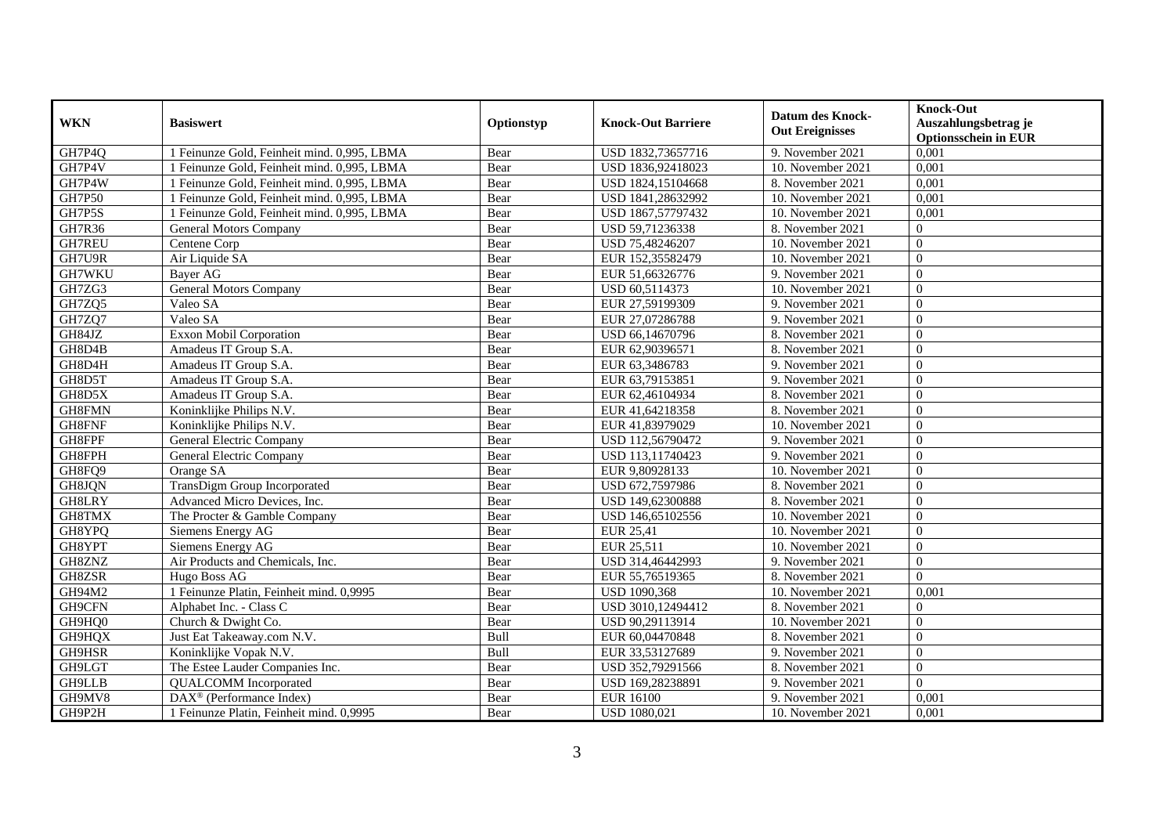| <b>WKN</b>    | <b>Basiswert</b>                            | Optionstyp | <b>Knock-Out Barriere</b> | <b>Datum des Knock-</b><br><b>Out Ereignisses</b> | <b>Knock-Out</b><br>Auszahlungsbetrag je<br><b>Optionsschein in EUR</b> |
|---------------|---------------------------------------------|------------|---------------------------|---------------------------------------------------|-------------------------------------------------------------------------|
| GH7P4Q        | Feinunze Gold, Feinheit mind. 0,995, LBMA   | Bear       | USD 1832,73657716         | 9. November 2021                                  | 0,001                                                                   |
| GH7P4V        | 1 Feinunze Gold, Feinheit mind. 0,995, LBMA | Bear       | USD 1836,92418023         | 10. November 2021                                 | 0,001                                                                   |
| GH7P4W        | 1 Feinunze Gold, Feinheit mind. 0,995, LBMA | Bear       | USD 1824,15104668         | 8. November 2021                                  | 0,001                                                                   |
| GH7P50        | Feinunze Gold, Feinheit mind. 0,995, LBMA   | Bear       | USD 1841,28632992         | 10. November 2021                                 | 0,001                                                                   |
| GH7P5S        | 1 Feinunze Gold, Feinheit mind. 0,995, LBMA | Bear       | USD 1867,57797432         | 10. November 2021                                 | 0,001                                                                   |
| <b>GH7R36</b> | <b>General Motors Company</b>               | Bear       | USD 59,71236338           | 8. November 2021                                  | $\Omega$                                                                |
| <b>GH7REU</b> | Centene Corp                                | Bear       | USD 75,48246207           | 10. November 2021                                 | $\Omega$                                                                |
| GH7U9R        | Air Liquide SA                              | Bear       | EUR 152,35582479          | 10. November 2021                                 | $\Omega$                                                                |
| GH7WKU        | <b>Baver AG</b>                             | Bear       | EUR 51,66326776           | 9. November 2021                                  | $\theta$                                                                |
| GH7ZG3        | General Motors Company                      | Bear       | USD 60,5114373            | 10. November 2021                                 | $\overline{0}$                                                          |
| GH7ZQ5        | Valeo SA                                    | Bear       | EUR 27,59199309           | 9. November 2021                                  | $\overline{0}$                                                          |
| GH7ZQ7        | Valeo SA                                    | Bear       | EUR 27,07286788           | 9. November 2021                                  | $\Omega$                                                                |
| GH84JZ        | <b>Exxon Mobil Corporation</b>              | Bear       | USD 66,14670796           | 8. November 2021                                  | $\overline{0}$                                                          |
| GH8D4B        | Amadeus IT Group S.A.                       | Bear       | EUR 62,90396571           | 8. November 2021                                  | $\Omega$                                                                |
| GH8D4H        | Amadeus IT Group S.A.                       | Bear       | EUR 63,3486783            | 9. November 2021                                  | $\overline{0}$                                                          |
| GH8D5T        | Amadeus IT Group S.A.                       | Bear       | EUR 63,79153851           | 9. November 2021                                  | $\overline{0}$                                                          |
| GH8D5X        | Amadeus IT Group S.A.                       | Bear       | EUR 62,46104934           | 8. November 2021                                  | $\Omega$                                                                |
| GH8FMN        | Koninklijke Philips N.V.                    | Bear       | EUR 41,64218358           | 8. November 2021                                  | $\Omega$                                                                |
| GH8FNF        | Koninklijke Philips N.V.                    | Bear       | EUR 41,83979029           | 10. November 2021                                 | $\overline{0}$                                                          |
| GH8FPF        | General Electric Company                    | Bear       | USD 112,56790472          | 9. November 2021                                  | $\overline{0}$                                                          |
| GH8FPH        | General Electric Company                    | Bear       | USD 113,11740423          | 9. November 2021                                  | $\overline{0}$                                                          |
| GH8FQ9        | Orange SA                                   | Bear       | EUR 9,80928133            | 10. November 2021                                 | $\Omega$                                                                |
| GH8JQN        | <b>TransDigm Group Incorporated</b>         | Bear       | USD 672,7597986           | 8. November 2021                                  | $\Omega$                                                                |
| GH8LRY        | Advanced Micro Devices, Inc.                | Bear       | USD 149,62300888          | 8. November 2021                                  | $\Omega$                                                                |
| GH8TMX        | The Procter & Gamble Company                | Bear       | USD 146,65102556          | 10. November 2021                                 | $\Omega$                                                                |
| GH8YPQ        | Siemens Energy AG                           | Bear       | <b>EUR 25,41</b>          | 10. November 2021                                 | $\overline{0}$                                                          |
| GH8YPT        | Siemens Energy AG                           | Bear       | EUR 25,511                | 10. November 2021                                 | $\overline{0}$                                                          |
| GH8ZNZ        | Air Products and Chemicals, Inc.            | Bear       | USD 314,46442993          | 9. November 2021                                  | $\Omega$                                                                |
| GH8ZSR        | Hugo Boss AG                                | Bear       | EUR 55,76519365           | 8. November 2021                                  | $\Omega$                                                                |
| GH94M2        | 1 Feinunze Platin, Feinheit mind. 0,9995    | Bear       | <b>USD 1090.368</b>       | 10. November 2021                                 | 0.001                                                                   |
| GH9CFN        | Alphabet Inc. - Class C                     | Bear       | USD 3010,12494412         | 8. November 2021                                  | $\Omega$                                                                |
| GH9HQ0        | Church & Dwight Co.                         | Bear       | USD 90,29113914           | 10. November 2021                                 | $\overline{0}$                                                          |
| GH9HQX        | Just Eat Takeaway.com N.V.                  | Bull       | EUR 60,04470848           | 8. November 2021                                  | $\Omega$                                                                |
| GH9HSR        | Koninklijke Vopak N.V.                      | Bull       | EUR 33,53127689           | 9. November 2021                                  | $\Omega$                                                                |
| GH9LGT        | The Estee Lauder Companies Inc.             | Bear       | USD 352,79291566          | 8. November 2021                                  | $\overline{0}$                                                          |
| GH9LLB        | <b>QUALCOMM</b> Incorporated                | Bear       | USD 169,28238891          | 9. November 2021                                  | $\theta$                                                                |
| GH9MV8        | DAX <sup>®</sup> (Performance Index)        | Bear       | <b>EUR 16100</b>          | 9. November 2021                                  | 0,001                                                                   |
| GH9P2H        | 1 Feinunze Platin, Feinheit mind. 0,9995    | Bear       | <b>USD 1080,021</b>       | 10. November 2021                                 | 0,001                                                                   |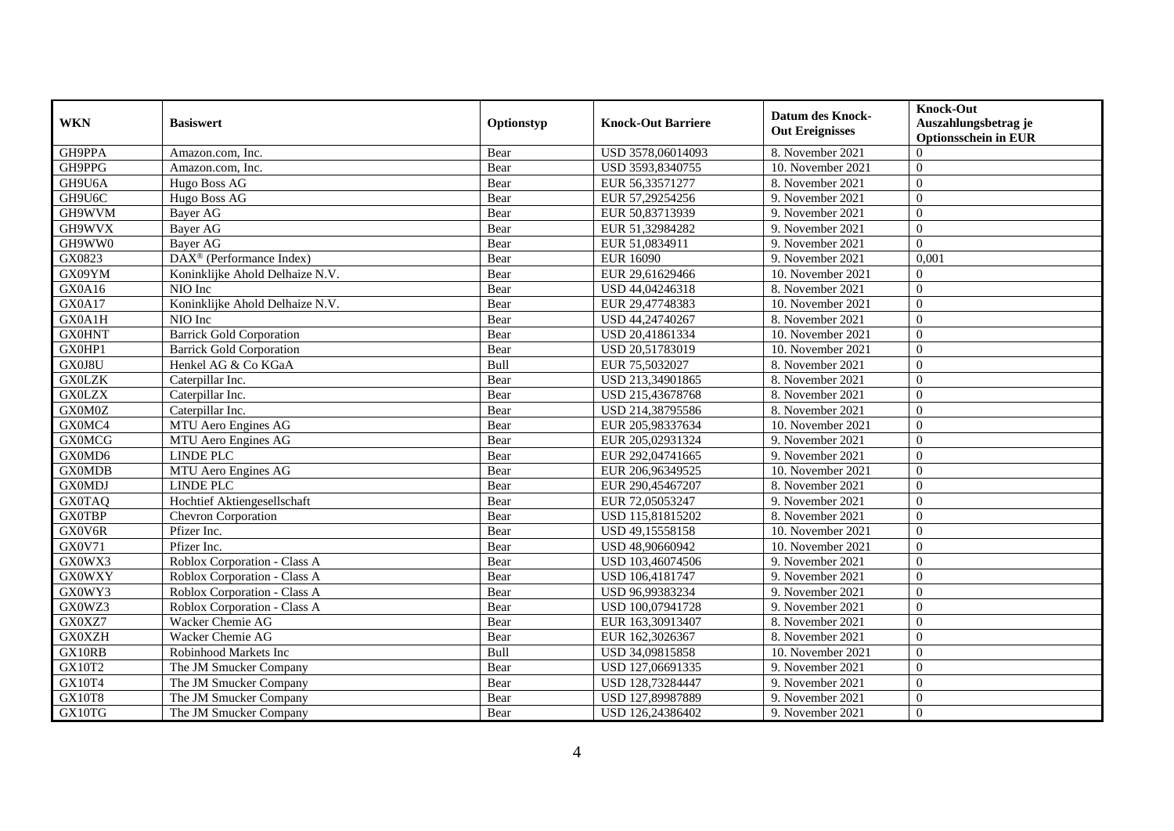| <b>WKN</b>    | <b>Basiswert</b>                      | Optionstyp | <b>Knock-Out Barriere</b> | <b>Datum des Knock-</b><br><b>Out Ereignisses</b> | <b>Knock-Out</b><br>Auszahlungsbetrag je<br><b>Optionsschein in EUR</b> |
|---------------|---------------------------------------|------------|---------------------------|---------------------------------------------------|-------------------------------------------------------------------------|
| GH9PPA        | Amazon.com, Inc.                      | Bear       | USD 3578,06014093         | 8. November 2021                                  | $\Omega$                                                                |
| GH9PPG        | Amazon.com. Inc.                      | Bear       | USD 3593,8340755          | 10. November 2021                                 | $\Omega$                                                                |
| GH9U6A        | Hugo Boss AG                          | Bear       | EUR 56,33571277           | 8. November 2021                                  | $\theta$                                                                |
| GH9U6C        | Hugo Boss AG                          | Bear       | EUR 57,29254256           | 9. November 2021                                  | $\theta$                                                                |
| GH9WVM        | Bayer AG                              | Bear       | EUR 50,83713939           | 9. November 2021                                  | $\overline{0}$                                                          |
| GH9WVX        | Bayer AG                              | Bear       | EUR 51,32984282           | 9. November 2021                                  | $\theta$                                                                |
| GH9WW0        | Bayer AG                              | Bear       | EUR 51,0834911            | 9. November 2021                                  | $\theta$                                                                |
| GX0823        | $DAX^{\circledR}$ (Performance Index) | Bear       | <b>EUR 16090</b>          | 9. November 2021                                  | 0,001                                                                   |
| GX09YM        | Koninklijke Ahold Delhaize N.V.       | Bear       | EUR 29,61629466           | 10. November 2021                                 | $\theta$                                                                |
| GX0A16        | NIO Inc                               | Bear       | USD 44,04246318           | 8. November 2021                                  | $\theta$                                                                |
| GX0A17        | Koninklijke Ahold Delhaize N.V.       | Bear       | EUR 29,47748383           | 10. November 2021                                 | $\Omega$                                                                |
| GX0A1H        | NIO Inc                               | Bear       | USD 44,24740267           | 8. November 2021                                  | $\theta$                                                                |
| <b>GX0HNT</b> | <b>Barrick Gold Corporation</b>       | Bear       | USD 20,41861334           | 10. November 2021                                 | $\theta$                                                                |
| GX0HP1        | <b>Barrick Gold Corporation</b>       | Bear       | USD 20,51783019           | 10. November 2021                                 | $\Omega$                                                                |
| GX0J8U        | Henkel AG & Co KGaA                   | Bull       | EUR 75,5032027            | 8. November 2021                                  | $\Omega$                                                                |
| <b>GX0LZK</b> | Caterpillar Inc.                      | Bear       | USD 213,34901865          | 8. November 2021                                  | $\overline{0}$                                                          |
| <b>GX0LZX</b> | Caterpillar Inc.                      | Bear       | USD 215,43678768          | 8. November 2021                                  | $\theta$                                                                |
| GX0M0Z        | Caterpillar Inc.                      | Bear       | USD 214.38795586          | 8. November 2021                                  | $\Omega$                                                                |
| GX0MC4        | MTU Aero Engines AG                   | Bear       | EUR 205,98337634          | 10. November 2021                                 | $\theta$                                                                |
| <b>GX0MCG</b> | MTU Aero Engines AG                   | Bear       | EUR 205,02931324          | 9. November 2021                                  | $\theta$                                                                |
| GX0MD6        | <b>LINDE PLC</b>                      | Bear       | EUR 292,04741665          | 9. November 2021                                  | $\theta$                                                                |
| <b>GX0MDB</b> | MTU Aero Engines AG                   | Bear       | EUR 206,96349525          | 10. November 2021                                 | $\theta$                                                                |
| <b>GX0MDJ</b> | LINDE PLC                             | Bear       | EUR 290,45467207          | 8. November 2021                                  | $\theta$                                                                |
| <b>GX0TAQ</b> | Hochtief Aktiengesellschaft           | Bear       | EUR 72,05053247           | 9. November 2021                                  | $\Omega$                                                                |
| <b>GX0TBP</b> | Chevron Corporation                   | Bear       | USD 115,81815202          | 8. November 2021                                  | $\theta$                                                                |
| GX0V6R        | Pfizer Inc.                           | Bear       | USD 49,15558158           | 10. November 2021                                 | $\Omega$                                                                |
| GX0V71        | Pfizer Inc.                           | Bear       | USD 48,90660942           | 10. November 2021                                 | $\overline{0}$                                                          |
| GX0WX3        | Roblox Corporation - Class A          | Bear       | USD 103,46074506          | 9. November 2021                                  | $\Omega$                                                                |
| <b>GX0WXY</b> | Roblox Corporation - Class A          | Bear       | USD 106,4181747           | 9. November 2021                                  | $\Omega$                                                                |
| GX0WY3        | Roblox Corporation - Class A          | Bear       | USD 96,99383234           | 9. November 2021                                  | $\theta$                                                                |
| GX0WZ3        | Roblox Corporation - Class A          | Bear       | USD 100,07941728          | 9. November 2021                                  | $\Omega$                                                                |
| GX0XZ7        | Wacker Chemie AG                      | Bear       | EUR 163,30913407          | 8. November 2021                                  | $\Omega$                                                                |
| <b>GX0XZH</b> | Wacker Chemie AG                      | Bear       | EUR 162,3026367           | 8. November 2021                                  | $\Omega$                                                                |
| GX10RB        | Robinhood Markets Inc                 | Bull       | USD 34,09815858           | 10. November 2021                                 | $\Omega$                                                                |
| GX10T2        | The JM Smucker Company                | Bear       | USD 127,06691335          | 9. November 2021                                  | $\overline{0}$                                                          |
| GX10T4        | The JM Smucker Company                | Bear       | USD 128,73284447          | 9. November 2021                                  | $\theta$                                                                |
| <b>GX10T8</b> | The JM Smucker Company                | Bear       | USD 127,89987889          | 9. November 2021                                  | $\overline{0}$                                                          |
| GX10TG        | The JM Smucker Company                | Bear       | USD 126,24386402          | 9. November 2021                                  | $\overline{0}$                                                          |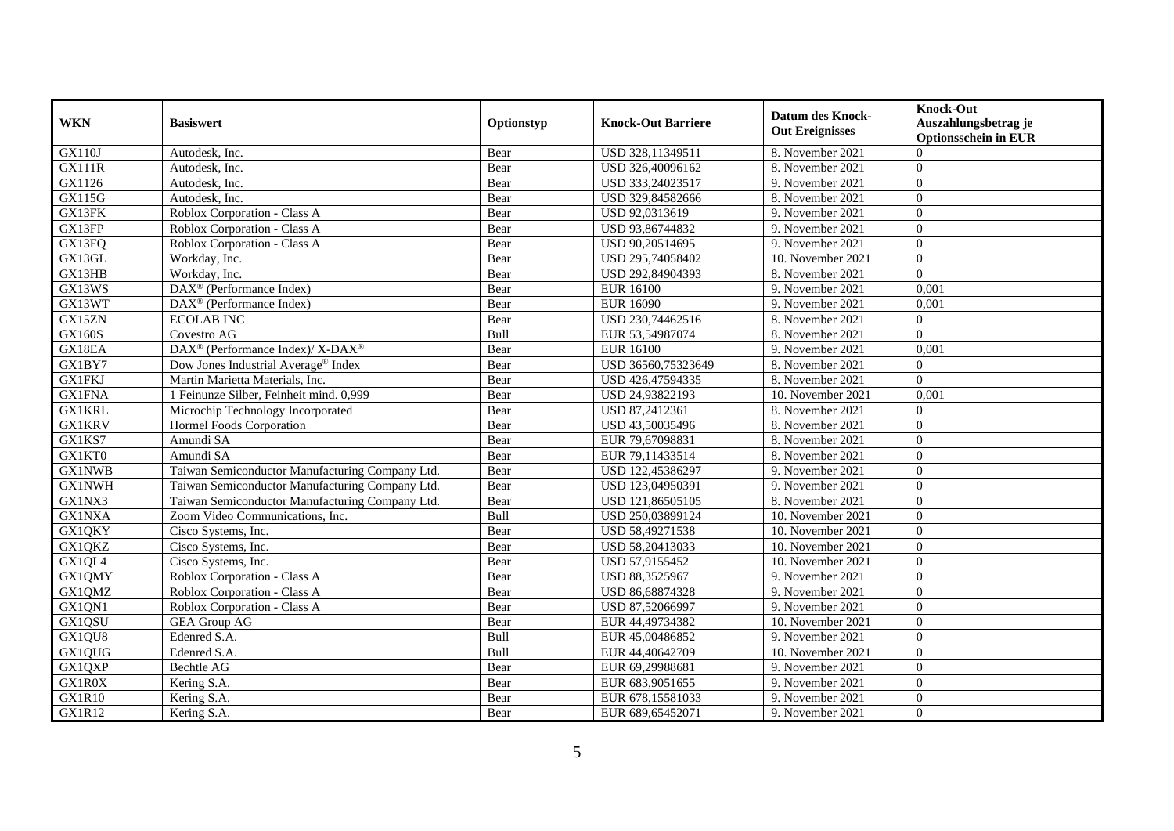| <b>WKN</b>    | <b>Basiswert</b>                                         | Optionstyp | <b>Knock-Out Barriere</b> | <b>Datum des Knock-</b><br><b>Out Ereignisses</b> | <b>Knock-Out</b><br>Auszahlungsbetrag je<br><b>Optionsschein in EUR</b> |
|---------------|----------------------------------------------------------|------------|---------------------------|---------------------------------------------------|-------------------------------------------------------------------------|
| <b>GX110J</b> | Autodesk, Inc.                                           | Bear       | USD 328,11349511          | 8. November 2021                                  | $\Omega$                                                                |
| <b>GX111R</b> | Autodesk, Inc.                                           | Bear       | USD 326,40096162          | 8. November 2021                                  | $\Omega$                                                                |
| GX1126        | Autodesk, Inc.                                           | Bear       | USD 333,24023517          | 9. November 2021                                  | $\Omega$                                                                |
| GX115G        | Autodesk, Inc.                                           | Bear       | USD 329,84582666          | 8. November 2021                                  | $\overline{0}$                                                          |
| GX13FK        | Roblox Corporation - Class A                             | Bear       | USD 92,0313619            | 9. November 2021                                  | $\overline{0}$                                                          |
| GX13FP        | Roblox Corporation - Class A                             | Bear       | USD 93,86744832           | 9. November 2021                                  | $\Omega$                                                                |
| GX13FQ        | Roblox Corporation - Class A                             | Bear       | USD 90,20514695           | 9. November 2021                                  | $\theta$                                                                |
| GX13GL        | Workday, Inc.                                            | Bear       | USD 295,74058402          | 10. November 2021                                 | $\theta$                                                                |
| GX13HB        | Workday, Inc.                                            | Bear       | USD 292,84904393          | 8. November 2021                                  | $\theta$                                                                |
| GX13WS        | DAX <sup>®</sup> (Performance Index)                     | Bear       | <b>EUR 16100</b>          | 9. November 2021                                  | 0,001                                                                   |
| GX13WT        | DAX <sup>®</sup> (Performance Index)                     | Bear       | <b>EUR 16090</b>          | 9. November 2021                                  | 0,001                                                                   |
| GX15ZN        | <b>ECOLAB INC</b>                                        | Bear       | USD 230,74462516          | 8. November 2021                                  | $\overline{0}$                                                          |
| <b>GX160S</b> | Covestro AG                                              | Bull       | EUR 53,54987074           | 8. November 2021                                  | $\Omega$                                                                |
| GX18EA        | DAX <sup>®</sup> (Performance Index)/ X-DAX <sup>®</sup> | Bear       | <b>EUR 16100</b>          | 9. November 2021                                  | 0.001                                                                   |
| GX1BY7        | Dow Jones Industrial Average® Index                      | Bear       | USD 36560,75323649        | 8. November 2021                                  | $\mathbf{0}$                                                            |
| <b>GX1FKJ</b> | Martin Marietta Materials, Inc.                          | Bear       | USD 426,47594335          | 8. November 2021                                  | $\Omega$                                                                |
| <b>GX1FNA</b> | 1 Feinunze Silber, Feinheit mind. 0,999                  | Bear       | USD 24,93822193           | 10. November 2021                                 | 0,001                                                                   |
| <b>GX1KRL</b> | Microchip Technology Incorporated                        | Bear       | USD 87.2412361            | 8. November 2021                                  | $\Omega$                                                                |
| <b>GX1KRV</b> | Hormel Foods Corporation                                 | Bear       | USD 43,50035496           | 8. November 2021                                  | $\Omega$                                                                |
| GX1KS7        | Amundi SA                                                | Bear       | EUR 79,67098831           | 8. November 2021                                  | $\overline{0}$                                                          |
| GX1KT0        | Amundi SA                                                | Bear       | EUR 79,11433514           | 8. November 2021                                  | $\overline{0}$                                                          |
| <b>GX1NWB</b> | Taiwan Semiconductor Manufacturing Company Ltd.          | Bear       | USD 122,45386297          | 9. November 2021                                  | $\Omega$                                                                |
| <b>GX1NWH</b> | Taiwan Semiconductor Manufacturing Company Ltd.          | Bear       | USD 123,04950391          | 9. November 2021                                  | $\Omega$                                                                |
| GX1NX3        | Taiwan Semiconductor Manufacturing Company Ltd.          | Bear       | USD 121,86505105          | 8. November 2021                                  | $\Omega$                                                                |
| GX1NXA        | Zoom Video Communications, Inc.                          | Bull       | USD 250,03899124          | 10. November 2021                                 | $\theta$                                                                |
| GX1QKY        | Cisco Systems, Inc.                                      | Bear       | USD 58,49271538           | 10. November 2021                                 | $\overline{0}$                                                          |
| GX1QKZ        | Cisco Systems, Inc.                                      | Bear       | USD 58,20413033           | 10. November 2021                                 | $\theta$                                                                |
| GX1QL4        | Cisco Systems, Inc.                                      | Bear       | USD 57,9155452            | 10. November 2021                                 | $\theta$                                                                |
| GX1QMY        | Roblox Corporation - Class A                             | Bear       | USD 88,3525967            | 9. November 2021                                  | $\Omega$                                                                |
| GX1QMZ        | Roblox Corporation - Class A                             | Bear       | USD 86,68874328           | 9. November 2021                                  | $\Omega$                                                                |
| GX1QN1        | Roblox Corporation - Class A                             | Bear       | USD 87,52066997           | 9. November 2021                                  | $\overline{0}$                                                          |
| GX1QSU        | <b>GEA Group AG</b>                                      | Bear       | EUR 44,49734382           | 10. November 2021                                 | $\overline{0}$                                                          |
| GX1QU8        | Edenred S.A.                                             | Bull       | EUR 45,00486852           | 9. November 2021                                  | $\Omega$                                                                |
| GX1QUG        | Edenred S.A.                                             | Bull       | EUR 44,40642709           | 10. November 2021                                 | $\overline{0}$                                                          |
| GX1QXP        | Bechtle AG                                               | Bear       | EUR 69,29988681           | 9. November 2021                                  | $\overline{0}$                                                          |
| GX1R0X        | Kering S.A.                                              | Bear       | EUR 683,9051655           | 9. November 2021                                  | $\overline{0}$                                                          |
| GX1R10        | Kering S.A.                                              | Bear       | EUR 678,15581033          | 9. November 2021                                  | $\theta$                                                                |
| <b>GX1R12</b> | Kering S.A.                                              | Bear       | EUR 689,65452071          | 9. November 2021                                  | $\boldsymbol{0}$                                                        |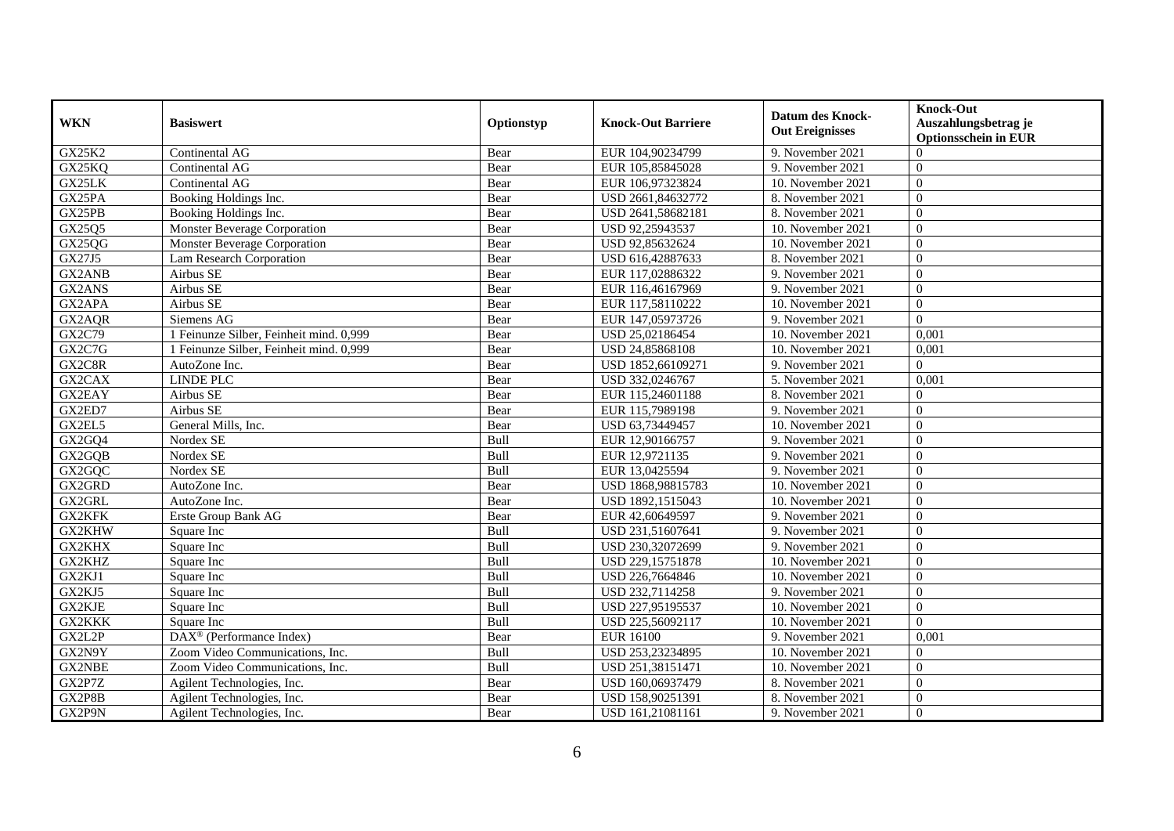| <b>WKN</b>    | <b>Basiswert</b>                        | Optionstyp | <b>Knock-Out Barriere</b> | Datum des Knock-<br><b>Out Ereignisses</b> | <b>Knock-Out</b><br>Auszahlungsbetrag je<br><b>Optionsschein in EUR</b> |
|---------------|-----------------------------------------|------------|---------------------------|--------------------------------------------|-------------------------------------------------------------------------|
| <b>GX25K2</b> | Continental AG                          | Bear       | EUR 104,90234799          | 9. November 2021                           | $\Omega$                                                                |
| GX25KQ        | Continental AG                          | Bear       | EUR 105,85845028          | 9. November 2021                           | $\theta$                                                                |
| GX25LK        | Continental AG                          | Bear       | EUR 106,97323824          | 10. November 2021                          | $\theta$                                                                |
| GX25PA        | Booking Holdings Inc.                   | Bear       | USD 2661,84632772         | 8. November 2021                           | $\theta$                                                                |
| GX25PB        | Booking Holdings Inc.                   | Bear       | USD 2641,58682181         | 8. November 2021                           | $\overline{0}$                                                          |
| GX25Q5        | <b>Monster Beverage Corporation</b>     | Bear       | USD 92,25943537           | 10. November 2021                          | $\theta$                                                                |
| GX25QG        | Monster Beverage Corporation            | Bear       | USD 92,85632624           | 10. November 2021                          | $\Omega$                                                                |
| GX27J5        | Lam Research Corporation                | Bear       | USD 616,42887633          | 8. November 2021                           | $\theta$                                                                |
| GX2ANB        | Airbus SE                               | Bear       | EUR 117,02886322          | 9. November 2021                           | $\overline{0}$                                                          |
| GX2ANS        | Airbus SE                               | Bear       | EUR 116,46167969          | 9. November 2021                           | $\overline{0}$                                                          |
| GX2APA        | Airbus SE                               | Bear       | EUR 117,58110222          | 10. November 2021                          | $\Omega$                                                                |
| GX2AQR        | Siemens AG                              | Bear       | EUR 147,05973726          | 9. November 2021                           | $\Omega$                                                                |
| GX2C79        | Feinunze Silber, Feinheit mind. 0,999   | Bear       | USD 25,02186454           | 10. November 2021                          | 0,001                                                                   |
| GX2C7G        | 1 Feinunze Silber, Feinheit mind. 0,999 | Bear       | USD 24,85868108           | 10. November 2021                          | 0,001                                                                   |
| GX2C8R        | AutoZone Inc.                           | Bear       | USD 1852,66109271         | 9. November 2021                           | $\theta$                                                                |
| GX2CAX        | <b>LINDE PLC</b>                        | Bear       | USD 332,0246767           | 5. November 2021                           | 0,001                                                                   |
| GX2EAY        | Airbus SE                               | Bear       | EUR 115,24601188          | 8. November 2021                           | $\Omega$                                                                |
| GX2ED7        | Airbus SE                               | Bear       | EUR 115,7989198           | 9. November 2021                           | $\theta$                                                                |
| GX2EL5        | General Mills, Inc.                     | Bear       | USD 63,73449457           | 10. November 2021                          | $\theta$                                                                |
| GX2GQ4        | Nordex SE                               | Bull       | EUR 12,90166757           | 9. November 2021                           | $\theta$                                                                |
| GX2GQB        | Nordex SE                               | Bull       | EUR 12,9721135            | 9. November 2021                           | $\theta$                                                                |
| GX2GQC        | Nordex SE                               | Bull       | EUR 13,0425594            | 9. November 2021                           | $\theta$                                                                |
| GX2GRD        | AutoZone Inc.                           | Bear       | USD 1868,98815783         | 10. November 2021                          | $\Omega$                                                                |
| GX2GRL        | AutoZone Inc.                           | Bear       | USD 1892,1515043          | 10. November 2021                          | $\theta$                                                                |
| GX2KFK        | Erste Group Bank AG                     | Bear       | EUR 42,60649597           | 9. November 2021                           | $\overline{0}$                                                          |
| GX2KHW        | Square Inc                              | Bull       | USD 231,51607641          | 9. November 2021                           | $\overline{0}$                                                          |
| GX2KHX        | Square Inc                              | Bull       | USD 230.32072699          | 9. November 2021                           | $\Omega$                                                                |
| GX2KHZ        | Square Inc                              | Bull       | USD 229,15751878          | 10. November 2021                          | $\theta$                                                                |
| GX2KJ1        | Square Inc                              | Bull       | USD 226,7664846           | 10. November 2021                          | $\overline{0}$                                                          |
| GX2KJ5        | Square Inc                              | Bull       | USD 232,7114258           | 9. November 2021                           | $\theta$                                                                |
| GX2KJE        | Square Inc                              | Bull       | USD 227,95195537          | 10. November 2021                          | $\theta$                                                                |
| GX2KKK        | Square Inc                              | Bull       | USD 225,56092117          | 10. November 2021                          | $\Omega$                                                                |
| GX2L2P        | DAX <sup>®</sup> (Performance Index)    | Bear       | <b>EUR 16100</b>          | 9. November 2021                           | 0,001                                                                   |
| GX2N9Y        | Zoom Video Communications, Inc.         | Bull       | USD 253,23234895          | 10. November 2021                          | $\overline{0}$                                                          |
| GX2NBE        | Zoom Video Communications, Inc.         | Bull       | USD 251,38151471          | 10. November 2021                          | $\overline{0}$                                                          |
| GX2P7Z        | Agilent Technologies, Inc.              | Bear       | USD 160,06937479          | 8. November 2021                           | $\overline{0}$                                                          |
| GX2P8B        | Agilent Technologies, Inc.              | Bear       | USD 158,90251391          | 8. November 2021                           | $\overline{0}$                                                          |
| GX2P9N        | Agilent Technologies, Inc.              | Bear       | USD 161,21081161          | 9. November 2021                           | $\overline{0}$                                                          |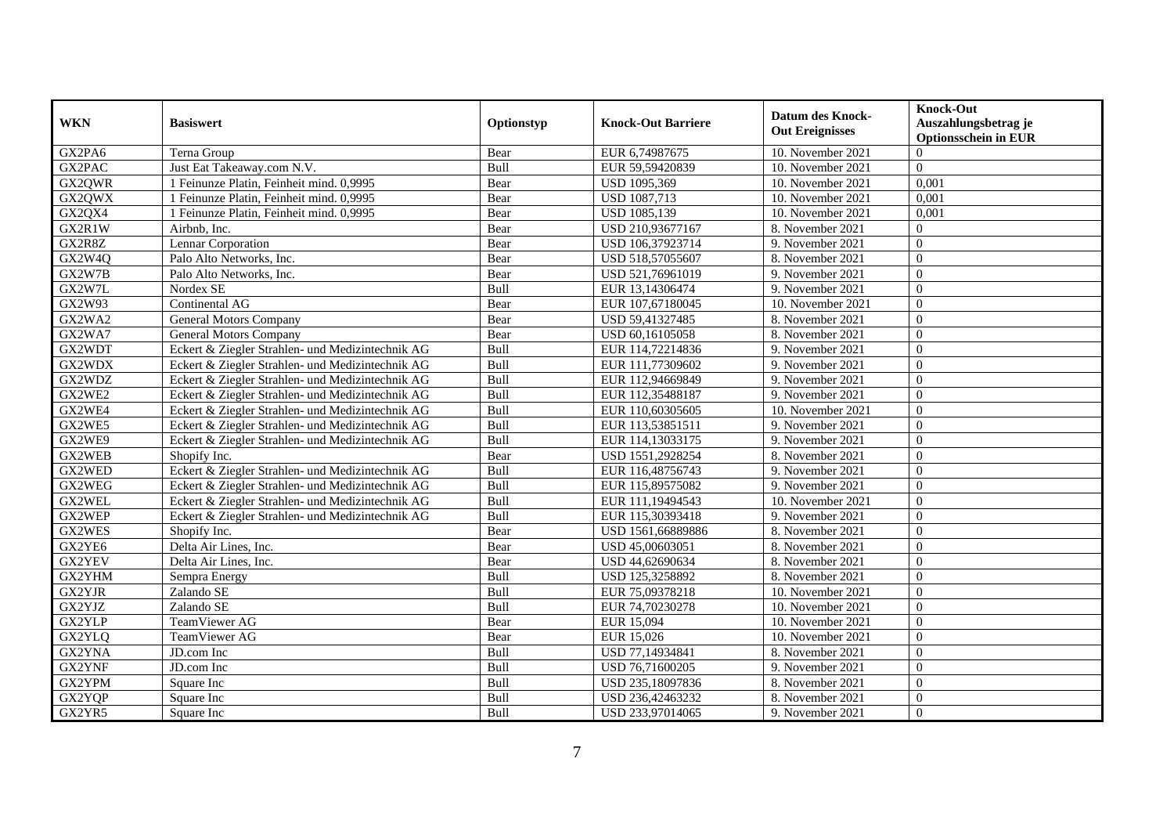| <b>WKN</b>    | <b>Basiswert</b>                                 | Optionstyp | <b>Knock-Out Barriere</b> | <b>Datum des Knock-</b><br><b>Out Ereignisses</b> | <b>Knock-Out</b><br>Auszahlungsbetrag je<br><b>Optionsschein in EUR</b> |
|---------------|--------------------------------------------------|------------|---------------------------|---------------------------------------------------|-------------------------------------------------------------------------|
| GX2PA6        | Terna Group                                      | Bear       | EUR 6,74987675            | 10. November 2021                                 | $\Omega$                                                                |
| GX2PAC        | Just Eat Takeaway.com N.V.                       | Bull       | EUR 59,59420839           | 10. November 2021                                 | $\theta$                                                                |
| GX2QWR        | 1 Feinunze Platin, Feinheit mind. 0,9995         | Bear       | USD 1095,369              | 10. November 2021                                 | 0,001                                                                   |
| GX2QWX        | Feinunze Platin, Feinheit mind. 0,9995           | Bear       | <b>USD 1087,713</b>       | 10. November 2021                                 | 0,001                                                                   |
| GX2QX4        | 1 Feinunze Platin, Feinheit mind. 0,9995         | Bear       | <b>USD 1085,139</b>       | 10. November 2021                                 | 0,001                                                                   |
| GX2R1W        | Airbnb, Inc.                                     | Bear       | USD 210,93677167          | 8. November 2021                                  | $\theta$                                                                |
| GX2R8Z        | Lennar Corporation                               | Bear       | USD 106,37923714          | 9. November 2021                                  | $\overline{0}$                                                          |
| GX2W4Q        | Palo Alto Networks, Inc.                         | Bear       | USD 518,57055607          | 8. November 2021                                  | $\Omega$                                                                |
| GX2W7B        | Palo Alto Networks, Inc.                         | Bear       | USD 521,76961019          | 9. November 2021                                  | $\theta$                                                                |
| GX2W7L        | Nordex SE                                        | Bull       | EUR 13,14306474           | 9. November 2021                                  | $\Omega$                                                                |
| GX2W93        | Continental AG                                   | Bear       | EUR 107,67180045          | 10. November 2021                                 | $\Omega$                                                                |
| GX2WA2        | <b>General Motors Company</b>                    | Bear       | USD 59,41327485           | 8. November 2021                                  | $\Omega$                                                                |
| GX2WA7        | <b>General Motors Company</b>                    | Bear       | USD 60,16105058           | 8. November 2021                                  | $\Omega$                                                                |
| GX2WDT        | Eckert & Ziegler Strahlen- und Medizintechnik AG | Bull       | EUR 114,72214836          | 9. November 2021                                  | $\Omega$                                                                |
| GX2WDX        | Eckert & Ziegler Strahlen- und Medizintechnik AG | Bull       | EUR 111,77309602          | 9. November 2021                                  | $\overline{0}$                                                          |
| GX2WDZ        | Eckert & Ziegler Strahlen- und Medizintechnik AG | Bull       | EUR 112,94669849          | 9. November 2021                                  | $\theta$                                                                |
| GX2WE2        | Eckert & Ziegler Strahlen- und Medizintechnik AG | Bull       | EUR 112,35488187          | 9. November 2021                                  | $\Omega$                                                                |
| GX2WE4        | Eckert & Ziegler Strahlen- und Medizintechnik AG | Bull       | EUR 110,60305605          | 10. November 2021                                 | $\Omega$                                                                |
| GX2WE5        | Eckert & Ziegler Strahlen- und Medizintechnik AG | Bull       | EUR 113,53851511          | 9. November 2021                                  | $\Omega$                                                                |
| GX2WE9        | Eckert & Ziegler Strahlen- und Medizintechnik AG | Bull       | EUR 114,13033175          | 9. November 2021                                  | $\Omega$                                                                |
| GX2WEB        | Shopify Inc.                                     | Bear       | USD 1551,2928254          | 8. November 2021                                  | $\overline{0}$                                                          |
| GX2WED        | Eckert & Ziegler Strahlen- und Medizintechnik AG | Bull       | EUR 116,48756743          | 9. November 2021                                  | $\Omega$                                                                |
| GX2WEG        | Eckert & Ziegler Strahlen- und Medizintechnik AG | Bull       | EUR 115,89575082          | 9. November 2021                                  | $\Omega$                                                                |
| GX2WEL        | Eckert & Ziegler Strahlen- und Medizintechnik AG | Bull       | EUR 111,19494543          | 10. November 2021                                 | $\Omega$                                                                |
| GX2WEP        | Eckert & Ziegler Strahlen- und Medizintechnik AG | Bull       | EUR 115,30393418          | 9. November 2021                                  | $\overline{0}$                                                          |
| GX2WES        | Shopify Inc.                                     | Bear       | USD 1561,66889886         | 8. November 2021                                  | $\overline{0}$                                                          |
| GX2YE6        | Delta Air Lines, Inc.                            | Bear       | USD 45,00603051           | 8. November 2021                                  | $\overline{0}$                                                          |
| GX2YEV        | Delta Air Lines, Inc.                            | Bear       | USD 44,62690634           | 8. November 2021                                  | $\Omega$                                                                |
| GX2YHM        | Sempra Energy                                    | Bull       | USD 125,3258892           | 8. November 2021                                  | $\Omega$                                                                |
| <b>GX2YJR</b> | Zalando SE                                       | Bull       | EUR 75,09378218           | 10. November 2021                                 | $\Omega$                                                                |
| GX2YJZ        | Zalando SE                                       | Bull       | EUR 74,70230278           | 10. November 2021                                 | $\overline{0}$                                                          |
| GX2YLP        | TeamViewer AG                                    | Bear       | EUR 15,094                | 10. November 2021                                 | $\overline{0}$                                                          |
| GX2YLQ        | TeamViewer AG                                    | Bear       | EUR 15,026                | 10. November 2021                                 | $\Omega$                                                                |
| GX2YNA        | JD.com Inc                                       | Bull       | USD 77,14934841           | 8. November 2021                                  | $\overline{0}$                                                          |
| GX2YNF        | JD.com Inc                                       | Bull       | USD 76,71600205           | 9. November 2021                                  | $\overline{0}$                                                          |
| GX2YPM        | Square Inc                                       | Bull       | USD 235,18097836          | 8. November 2021                                  | $\overline{0}$                                                          |
| GX2YQP        | Square Inc                                       | Bull       | USD 236,42463232          | 8. November 2021                                  | $\theta$                                                                |
| GX2YR5        | Square Inc                                       | Bull       | USD 233,97014065          | 9. November 2021                                  | $\boldsymbol{0}$                                                        |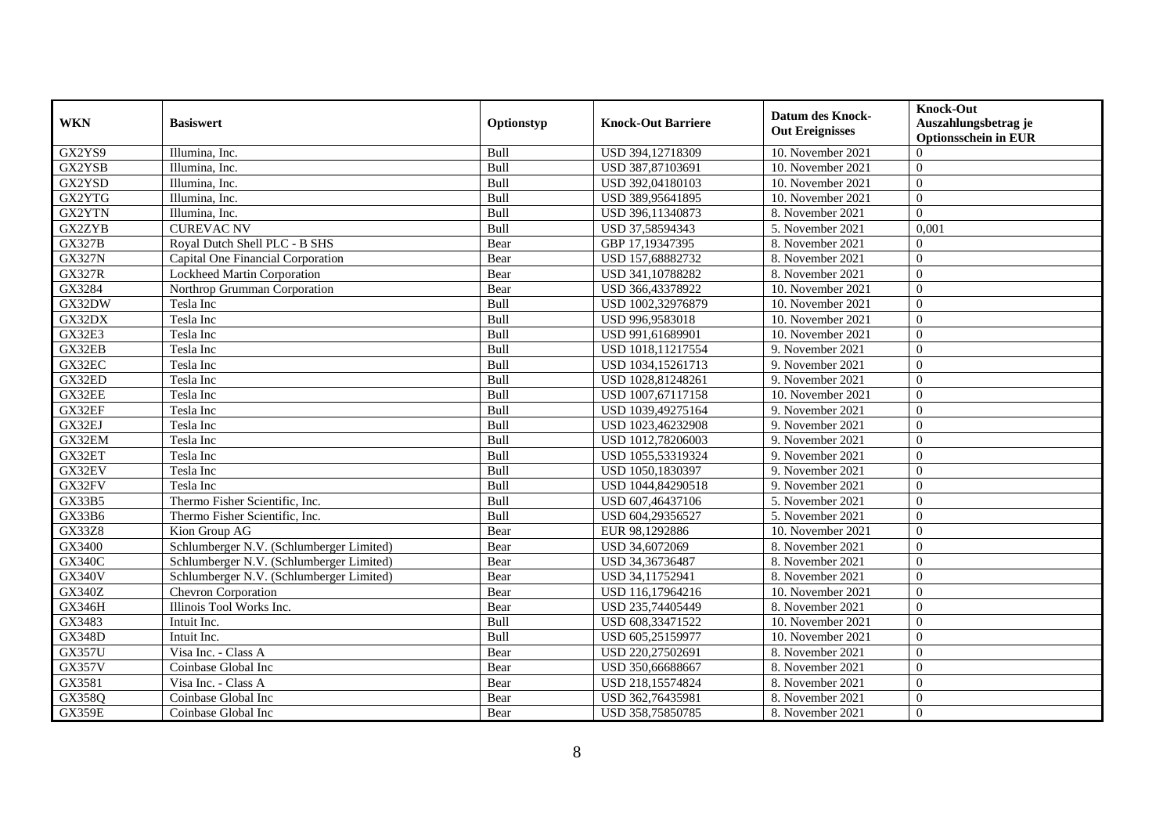| <b>WKN</b>    | <b>Basiswert</b>                         | Optionstyp | <b>Knock-Out Barriere</b> | Datum des Knock-<br><b>Out Ereignisses</b> | <b>Knock-Out</b><br>Auszahlungsbetrag je<br><b>Optionsschein in EUR</b> |
|---------------|------------------------------------------|------------|---------------------------|--------------------------------------------|-------------------------------------------------------------------------|
| GX2YS9        | Illumina, Inc.                           | Bull       | USD 394,12718309          | 10. November 2021                          | $\Omega$                                                                |
| GX2YSB        | Illumina, Inc.                           | Bull       | USD 387,87103691          | 10. November 2021                          | $\theta$                                                                |
| GX2YSD        | Illumina, Inc.                           | Bull       | USD 392,04180103          | 10. November 2021                          | $\theta$                                                                |
| GX2YTG        | Illumina, Inc.                           | Bull       | USD 389,95641895          | 10. November 2021                          | $\Omega$                                                                |
| GX2YTN        | Illumina, Inc.                           | Bull       | USD 396,11340873          | 8. November 2021                           | $\Omega$                                                                |
| GX2ZYB        | <b>CUREVAC NV</b>                        | Bull       | USD 37,58594343           | 5. November 2021                           | 0,001                                                                   |
| <b>GX327B</b> | Royal Dutch Shell PLC - B SHS            | Bear       | GBP 17,19347395           | 8. November 2021                           | $\theta$                                                                |
| <b>GX327N</b> | Capital One Financial Corporation        | Bear       | USD 157,68882732          | 8. November 2021                           | $\theta$                                                                |
| <b>GX327R</b> | <b>Lockheed Martin Corporation</b>       | Bear       | USD 341,10788282          | 8. November 2021                           | $\theta$                                                                |
| GX3284        | Northrop Grumman Corporation             | Bear       | USD 366,43378922          | 10. November 2021                          | $\theta$                                                                |
| GX32DW        | Tesla Inc                                | Bull       | USD 1002,32976879         | 10. November 2021                          | $\Omega$                                                                |
| GX32DX        | Tesla Inc                                | Bull       | USD 996,9583018           | 10. November 2021                          | $\theta$                                                                |
| <b>GX32E3</b> | Tesla Inc                                | Bull       | USD 991,61689901          | 10. November 2021                          | $\theta$                                                                |
| GX32EB        | Tesla Inc                                | Bull       | USD 1018,11217554         | 9. November 2021                           | $\Omega$                                                                |
| GX32EC        | Tesla Inc                                | Bull       | USD 1034,15261713         | 9. November 2021                           | $\theta$                                                                |
| GX32ED        | Tesla Inc                                | Bull       | USD 1028,81248261         | 9. November 2021                           | $\overline{0}$                                                          |
| GX32EE        | Tesla Inc                                | Bull       | USD 1007,67117158         | 10. November 2021                          | $\theta$                                                                |
| GX32EF        | Tesla Inc                                | Bull       | USD 1039,49275164         | 9. November 2021                           | $\Omega$                                                                |
| GX32EJ        | Tesla Inc                                | Bull       | USD 1023,46232908         | 9. November 2021                           | $\theta$                                                                |
| GX32EM        | Tesla Inc                                | Bull       | USD 1012,78206003         | 9. November 2021                           | $\theta$                                                                |
| GX32ET        | Tesla Inc                                | Bull       | USD 1055,53319324         | 9. November 2021                           | $\theta$                                                                |
| GX32EV        | Tesla Inc                                | Bull       | USD 1050,1830397          | 9. November 2021                           | $\theta$                                                                |
| GX32FV        | Tesla Inc                                | Bull       | USD 1044,84290518         | 9. November 2021                           | $\theta$                                                                |
| <b>GX33B5</b> | Thermo Fisher Scientific, Inc.           | Bull       | USD 607,46437106          | 5. November 2021                           | $\Omega$                                                                |
| GX33B6        | Thermo Fisher Scientific, Inc.           | Bull       | USD 604,29356527          | 5. November $2021$                         | $\theta$                                                                |
| <b>GX33Z8</b> | Kion Group AG                            | Bear       | EUR 98,1292886            | 10. November 2021                          | $\Omega$                                                                |
| GX3400        | Schlumberger N.V. (Schlumberger Limited) | Bear       | USD 34,6072069            | 8. November 2021                           | $\overline{0}$                                                          |
| <b>GX340C</b> | Schlumberger N.V. (Schlumberger Limited) | Bear       | USD 34,36736487           | 8. November 2021                           | $\Omega$                                                                |
| <b>GX340V</b> | Schlumberger N.V. (Schlumberger Limited) | Bear       | USD 34,11752941           | 8. November 2021                           | $\Omega$                                                                |
| <b>GX340Z</b> | Chevron Corporation                      | Bear       | USD 116,17964216          | 10. November 2021                          | $\theta$                                                                |
| GX346H        | Illinois Tool Works Inc.                 | Bear       | USD 235,74405449          | 8. November 2021                           | $\Omega$                                                                |
| GX3483        | Intuit Inc.                              | Bull       | USD 608,33471522          | 10. November 2021                          | $\theta$                                                                |
| <b>GX348D</b> | Intuit Inc.                              | Bull       | USD 605,25159977          | 10. November 2021                          | $\Omega$                                                                |
| <b>GX357U</b> | Visa Inc. - Class A                      | Bear       | USD 220,27502691          | 8. November 2021                           | $\theta$                                                                |
| <b>GX357V</b> | Coinbase Global Inc                      | Bear       | USD 350,66688667          | 8. November 2021                           | $\overline{0}$                                                          |
| GX3581        | Visa Inc. - Class A                      | Bear       | USD 218,15574824          | 8. November 2021                           | $\theta$                                                                |
| GX358Q        | Coinbase Global Inc                      | Bear       | USD 362,76435981          | 8. November 2021                           | $\overline{0}$                                                          |
| <b>GX359E</b> | Coinbase Global Inc                      | Bear       | USD 358,75850785          | 8. November 2021                           | $\overline{0}$                                                          |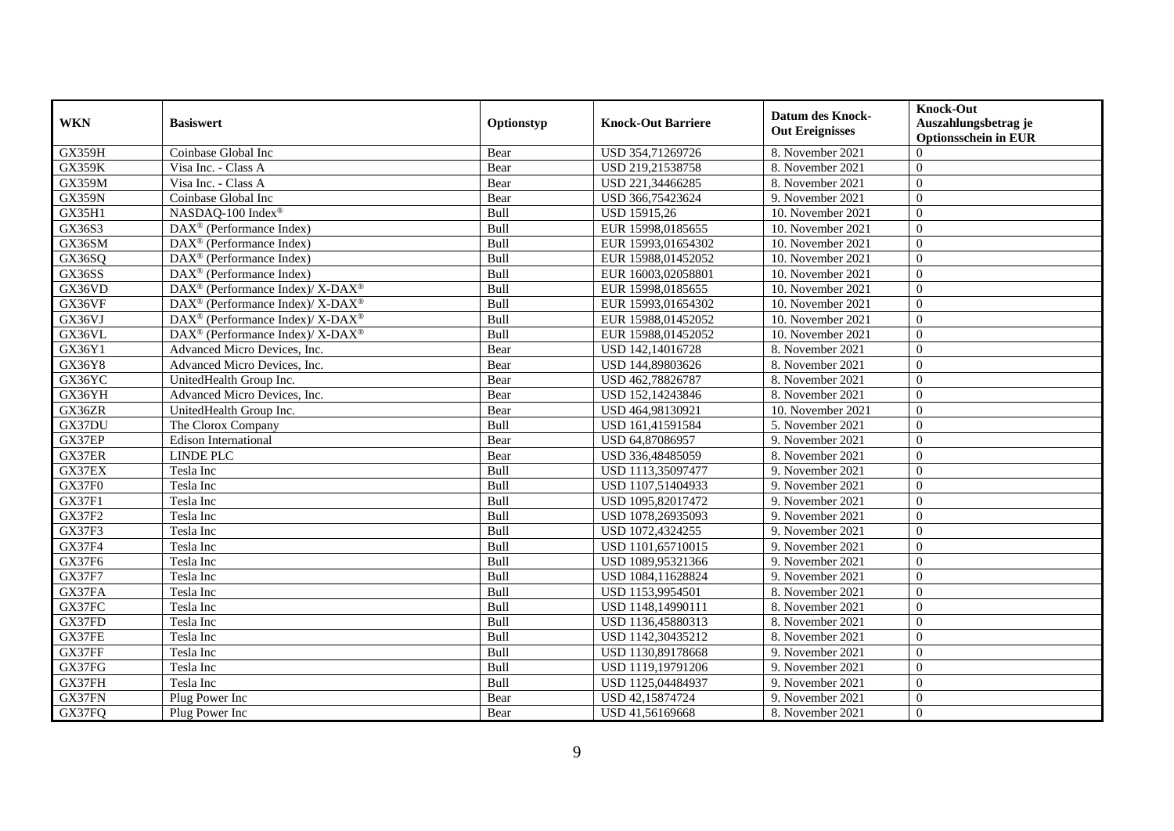| <b>WKN</b>    | <b>Basiswert</b>                                         | Optionstyp | <b>Knock-Out Barriere</b> | <b>Datum des Knock-</b><br><b>Out Ereignisses</b> | <b>Knock-Out</b><br>Auszahlungsbetrag je<br><b>Optionsschein in EUR</b> |
|---------------|----------------------------------------------------------|------------|---------------------------|---------------------------------------------------|-------------------------------------------------------------------------|
| GX359H        | Coinbase Global Inc                                      | Bear       | USD 354,71269726          | 8. November 2021                                  | $\Omega$                                                                |
| <b>GX359K</b> | Visa Inc. - Class A                                      | Bear       | USD 219,21538758          | 8. November 2021                                  | $\theta$                                                                |
| <b>GX359M</b> | Visa Inc. - Class A                                      | Bear       | USD 221,34466285          | 8. November 2021                                  | $\theta$                                                                |
| <b>GX359N</b> | Coinbase Global Inc                                      | Bear       | USD 366,75423624          | 9. November 2021                                  | $\theta$                                                                |
| GX35H1        | NASDAQ-100 Index®                                        | Bull       | USD 15915,26              | 10. November 2021                                 | $\overline{0}$                                                          |
| GX36S3        | DAX <sup>®</sup> (Performance Index)                     | Bull       | EUR 15998,0185655         | 10. November 2021                                 | $\theta$                                                                |
| GX36SM        | $DAX^{\circledast}$ (Performance Index)                  | Bull       | EUR 15993,01654302        | 10. November 2021                                 | $\theta$                                                                |
| GX36SQ        | DAX <sup>®</sup> (Performance Index)                     | Bull       | EUR 15988,01452052        | 10. November 2021                                 | $\theta$                                                                |
| GX36SS        | DAX <sup>®</sup> (Performance Index)                     | Bull       | EUR 16003,02058801        | 10. November 2021                                 | $\theta$                                                                |
| GX36VD        | DAX <sup>®</sup> (Performance Index)/X-DAX <sup>®</sup>  | Bull       | EUR 15998,0185655         | 10. November 2021                                 | $\theta$                                                                |
| GX36VF        | DAX <sup>®</sup> (Performance Index)/ X-DAX <sup>®</sup> | Bull       | EUR 15993,01654302        | 10. November 2021                                 | $\Omega$                                                                |
| GX36VJ        | DAX <sup>®</sup> (Performance Index)/ X-DAX <sup>®</sup> | Bull       | EUR 15988,01452052        | 10. November 2021                                 | $\theta$                                                                |
| GX36VL        | DAX <sup>®</sup> (Performance Index)/ X-DAX <sup>®</sup> | Bull       | EUR 15988,01452052        | 10. November 2021                                 | $\theta$                                                                |
| GX36Y1        | Advanced Micro Devices, Inc.                             | Bear       | USD 142,14016728          | 8. November 2021                                  | $\Omega$                                                                |
| GX36Y8        | Advanced Micro Devices, Inc.                             | Bear       | USD 144,89803626          | 8. November 2021                                  | $\Omega$                                                                |
| GX36YC        | UnitedHealth Group Inc.                                  | Bear       | USD 462,78826787          | 8. November 2021                                  | $\overline{0}$                                                          |
| GX36YH        | Advanced Micro Devices, Inc.                             | Bear       | USD 152,14243846          | 8. November 2021                                  | $\theta$                                                                |
| GX36ZR        | UnitedHealth Group Inc.                                  | Bear       | USD 464,98130921          | 10. November 2021                                 | $\Omega$                                                                |
| GX37DU        | The Clorox Company                                       | Bull       | USD 161,41591584          | 5. November 2021                                  | $\theta$                                                                |
| GX37EP        | <b>Edison International</b>                              | Bear       | USD 64,87086957           | 9. November 2021                                  | $\theta$                                                                |
| GX37ER        | <b>LINDE PLC</b>                                         | Bear       | USD 336,48485059          | 8. November 2021                                  | $\theta$                                                                |
| GX37EX        | Tesla Inc                                                | Bull       | USD 1113,35097477         | 9. November 2021                                  | $\theta$                                                                |
| GX37F0        | Tesla Inc                                                | Bull       | USD 1107,51404933         | 9. November 2021                                  | $\theta$                                                                |
| <b>GX37F1</b> | Tesla Inc                                                | Bull       | USD 1095,82017472         | 9. November 2021                                  | $\Omega$                                                                |
| <b>GX37F2</b> | Tesla Inc                                                | Bull       | USD 1078,26935093         | 9. November 2021                                  | $\theta$                                                                |
| GX37F3        | Tesla Inc                                                | Bull       | USD 1072,4324255          | 9. November 2021                                  | $\Omega$                                                                |
| <b>GX37F4</b> | Tesla Inc                                                | Bull       | USD 1101,65710015         | 9. November 2021                                  | $\overline{0}$                                                          |
| <b>GX37F6</b> | Tesla Inc                                                | Bull       | USD 1089.95321366         | 9. November 2021                                  | $\Omega$                                                                |
| <b>GX37F7</b> | Tesla Inc                                                | Bull       | USD 1084,11628824         | 9. November 2021                                  | $\Omega$                                                                |
| GX37FA        | Tesla Inc                                                | Bull       | USD 1153,9954501          | 8. November 2021                                  | $\theta$                                                                |
| GX37FC        | Tesla Inc                                                | Bull       | USD 1148,14990111         | 8. November 2021                                  | $\Omega$                                                                |
| GX37FD        | Tesla Inc                                                | Bull       | USD 1136,45880313         | 8. November 2021                                  | $\theta$                                                                |
| GX37FE        | Tesla Inc                                                | Bull       | USD 1142,30435212         | 8. November 2021                                  | $\Omega$                                                                |
| GX37FF        | Tesla Inc                                                | Bull       | USD 1130,89178668         | 9. November 2021                                  | $\theta$                                                                |
| GX37FG        | Tesla Inc                                                | Bull       | USD 1119,19791206         | 9. November 2021                                  | $\overline{0}$                                                          |
| GX37FH        | Tesla Inc                                                | Bull       | USD 1125,04484937         | 9. November 2021                                  | $\theta$                                                                |
| GX37FN        | Plug Power Inc                                           | Bear       | USD 42,15874724           | 9. November 2021                                  | $\overline{0}$                                                          |
| GX37FQ        | Plug Power Inc                                           | Bear       | USD 41,56169668           | 8. November 2021                                  | $\overline{0}$                                                          |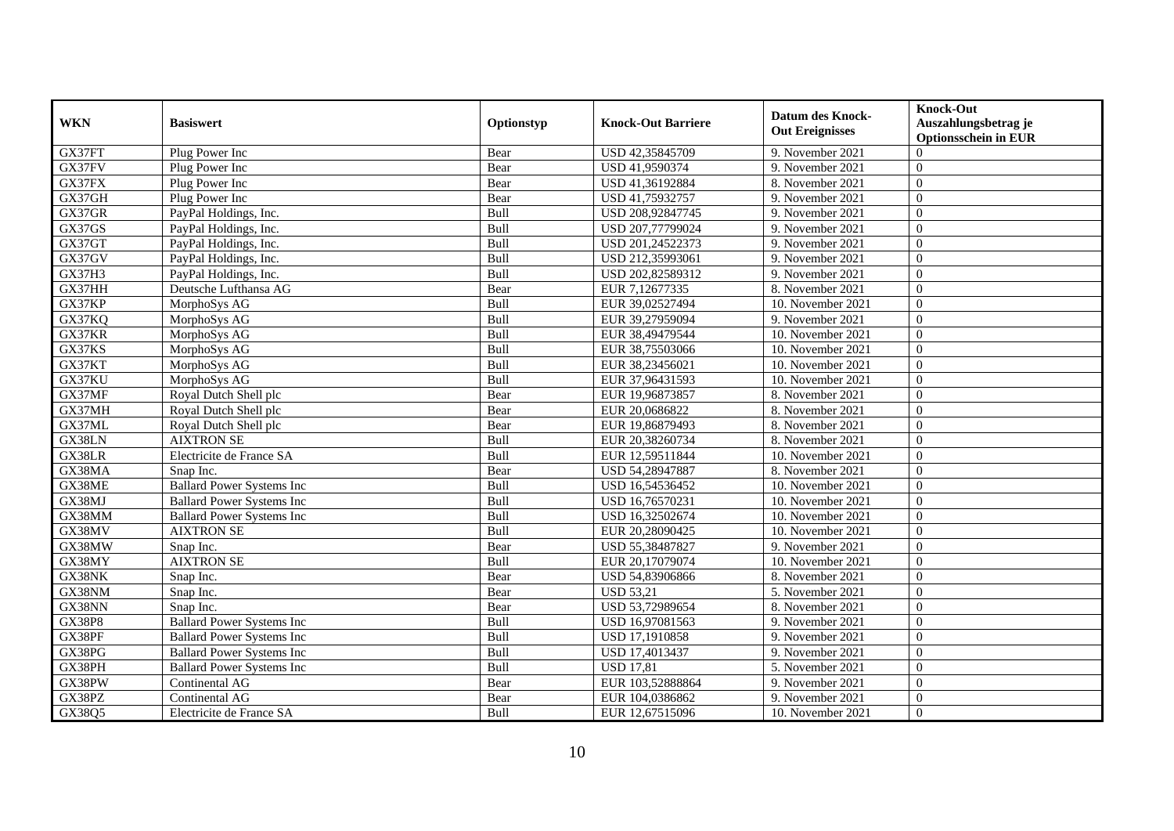| <b>WKN</b>    | <b>Basiswert</b>                  | Optionstyp | <b>Knock-Out Barriere</b> | <b>Datum des Knock-</b><br><b>Out Ereignisses</b> | <b>Knock-Out</b><br>Auszahlungsbetrag je<br><b>Optionsschein in EUR</b> |
|---------------|-----------------------------------|------------|---------------------------|---------------------------------------------------|-------------------------------------------------------------------------|
| GX37FT        | Plug Power Inc                    | Bear       | USD 42,35845709           | 9. November 2021                                  | $\Omega$                                                                |
| GX37FV        | Plug Power Inc                    | Bear       | USD 41,9590374            | 9. November 2021                                  | $\theta$                                                                |
| GX37FX        | Plug Power Inc                    | Bear       | USD 41,36192884           | 8. November 2021                                  | $\theta$                                                                |
| GX37GH        | Plug Power Inc                    | Bear       | USD 41,75932757           | 9. November 2021                                  | $\theta$                                                                |
| GX37GR        | PayPal Holdings, Inc.             | Bull       | USD 208,92847745          | 9. November 2021                                  | $\overline{0}$                                                          |
| GX37GS        | PayPal Holdings, Inc.             | Bull       | USD 207,77799024          | 9. November 2021                                  | $\theta$                                                                |
| GX37GT        | PayPal Holdings, Inc.             | Bull       | USD 201,24522373          | 9. November 2021                                  | $\Omega$                                                                |
| GX37GV        | PayPal Holdings, Inc.             | Bull       | USD 212,35993061          | 9. November 2021                                  | $\overline{0}$                                                          |
| GX37H3        | PayPal Holdings, Inc.             | Bull       | USD 202,82589312          | 9. November 2021                                  | $\overline{0}$                                                          |
| GX37HH        | Deutsche Lufthansa AG             | Bear       | EUR 7,12677335            | 8. November 2021                                  | $\overline{0}$                                                          |
| GX37KP        | MorphoSys AG                      | Bull       | EUR 39,02527494           | 10. November 2021                                 | $\Omega$                                                                |
| GX37KQ        | MorphoSys AG                      | Bull       | EUR 39,27959094           | 9. November 2021                                  | $\theta$                                                                |
| GX37KR        | MorphoSys AG                      | Bull       | EUR 38,49479544           | 10. November 2021                                 | $\theta$                                                                |
| GX37KS        | MorphoSys AG                      | Bull       | EUR 38,75503066           | 10. November 2021                                 | $\theta$                                                                |
| GX37KT        | MorphoSys AG                      | Bull       | EUR 38,23456021           | 10. November 2021                                 | $\overline{0}$                                                          |
| GX37KU        | MorphoSys AG                      | Bull       | EUR 37,96431593           | 10. November 2021                                 | $\Omega$                                                                |
| GX37MF        | Royal Dutch Shell plc             | Bear       | EUR 19,96873857           | 8. November 2021                                  | $\theta$                                                                |
| GX37MH        | Royal Dutch Shell plc             | Bear       | EUR 20,0686822            | 8. November 2021                                  | $\theta$                                                                |
| GX37ML        | Royal Dutch Shell plc             | Bear       | EUR 19,86879493           | 8. November 2021                                  | $\Omega$                                                                |
| GX38LN        | <b>AIXTRON SE</b>                 | Bull       | EUR 20,38260734           | 8. November 2021                                  | $\overline{0}$                                                          |
| GX38LR        | Electricite de France SA          | Bull       | EUR 12,59511844           | 10. November 2021                                 | $\overline{0}$                                                          |
| GX38MA        | Snap Inc.                         | Bear       | USD 54,28947887           | 8. November 2021                                  | $\Omega$                                                                |
| GX38ME        | <b>Ballard Power Systems Inc</b>  | Bull       | USD 16,54536452           | 10. November 2021                                 | $\overline{0}$                                                          |
| GX38MJ        | <b>Ballard Power Systems Inc</b>  | Bull       | USD 16,76570231           | 10. November 2021                                 | $\overline{0}$                                                          |
| GX38MM        | <b>Ballard Power Systems Inc.</b> | Bull       | USD 16,32502674           | 10. November 2021                                 | $\theta$                                                                |
| GX38MV        | <b>AIXTRON SE</b>                 | Bull       | EUR 20,28090425           | 10. November 2021                                 | $\theta$                                                                |
| GX38MW        | Snap Inc.                         | Bear       | USD 55,38487827           | 9. November 2021                                  | $\Omega$                                                                |
| GX38MY        | <b>AIXTRON SE</b>                 | Bull       | EUR 20,17079074           | 10. November 2021                                 | $\theta$                                                                |
| GX38NK        | Snap Inc.                         | Bear       | USD 54,83906866           | 8. November 2021                                  | $\theta$                                                                |
| GX38NM        | Snap Inc.                         | Bear       | <b>USD 53,21</b>          | 5. November 2021                                  | $\theta$                                                                |
| GX38NN        | Snap Inc.                         | Bear       | USD 53,72989654           | 8. November 2021                                  | $\overline{0}$                                                          |
| <b>GX38P8</b> | <b>Ballard Power Systems Inc</b>  | Bull       | USD 16,97081563           | 9. November 2021                                  | $\overline{0}$                                                          |
| GX38PF        | <b>Ballard Power Systems Inc</b>  | Bull       | USD 17,1910858            | 9. November 2021                                  | $\Omega$                                                                |
| GX38PG        | <b>Ballard Power Systems Inc</b>  | Bull       | USD 17,4013437            | 9. November 2021                                  | $\theta$                                                                |
| GX38PH        | <b>Ballard Power Systems Inc</b>  | Bull       | <b>USD 17,81</b>          | 5. November 2021                                  | $\Omega$                                                                |
| GX38PW        | Continental AG                    | Bear       | EUR 103,52888864          | 9. November 2021                                  | $\overline{0}$                                                          |
| GX38PZ        | Continental AG                    | Bear       | EUR 104,0386862           | 9. November 2021                                  | $\overline{0}$                                                          |
| GX38Q5        | Electricite de France SA          | Bull       | EUR 12,67515096           | 10. November 2021                                 | $\overline{0}$                                                          |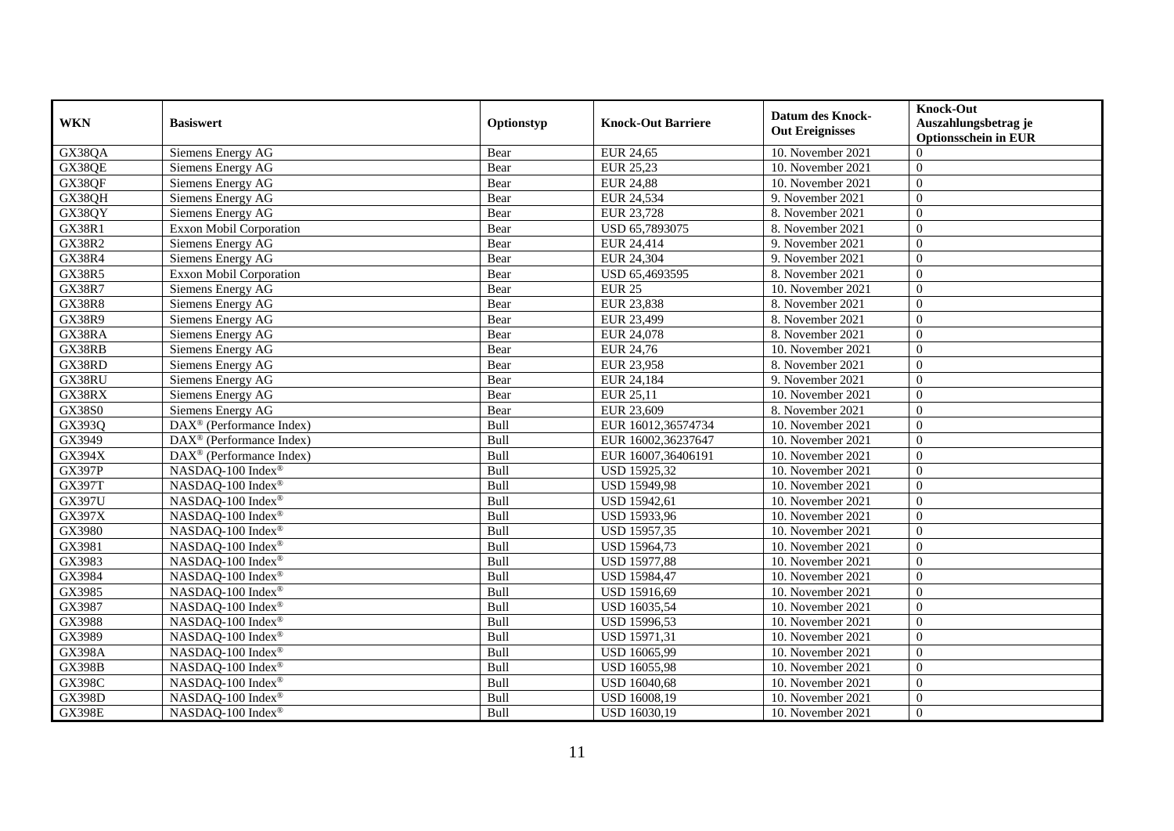| <b>WKN</b>    | <b>Basiswert</b>                     | Optionstyp | <b>Knock-Out Barriere</b> | <b>Datum des Knock-</b><br><b>Out Ereignisses</b> | <b>Knock-Out</b><br>Auszahlungsbetrag je<br><b>Optionsschein in EUR</b> |
|---------------|--------------------------------------|------------|---------------------------|---------------------------------------------------|-------------------------------------------------------------------------|
| GX38QA        | Siemens Energy AG                    | Bear       | EUR 24,65                 | 10. November 2021                                 | $\Omega$                                                                |
| GX38QE        | Siemens Energy AG                    | Bear       | EUR 25,23                 | 10. November 2021                                 | $\Omega$                                                                |
| GX38QF        | Siemens Energy AG                    | Bear       | <b>EUR 24,88</b>          | 10. November 2021                                 | $\Omega$                                                                |
| GX38QH        | Siemens Energy AG                    | Bear       | EUR 24,534                | 9. November 2021                                  | $\overline{0}$                                                          |
| GX38QY        | Siemens Energy AG                    | Bear       | EUR 23,728                | 8. November 2021                                  | $\theta$                                                                |
| <b>GX38R1</b> | Exxon Mobil Corporation              | Bear       | USD 65,7893075            | 8. November 2021                                  | $\Omega$                                                                |
| <b>GX38R2</b> | Siemens Energy AG                    | Bear       | EUR 24,414                | 9. November 2021                                  | $\overline{0}$                                                          |
| <b>GX38R4</b> | Siemens Energy AG                    | Bear       | EUR 24,304                | 9. November 2021                                  | $\Omega$                                                                |
| <b>GX38R5</b> | Exxon Mobil Corporation              | Bear       | USD 65,4693595            | 8. November 2021                                  | $\overline{0}$                                                          |
| <b>GX38R7</b> | Siemens Energy AG                    | Bear       | <b>EUR 25</b>             | 10. November 2021                                 | $\Omega$                                                                |
| <b>GX38R8</b> | Siemens Energy AG                    | Bear       | EUR 23,838                | 8. November 2021                                  | $\Omega$                                                                |
| GX38R9        | Siemens Energy AG                    | Bear       | EUR 23,499                | 8. November 2021                                  | $\Omega$                                                                |
| GX38RA        | Siemens Energy AG                    | Bear       | EUR 24,078                | 8. November 2021                                  | $\Omega$                                                                |
| GX38RB        | Siemens Energy AG                    | Bear       | EUR 24,76                 | 10. November 2021                                 | $\theta$                                                                |
| GX38RD        | Siemens Energy AG                    | Bear       | EUR 23,958                | 8. November 2021                                  | $\overline{0}$                                                          |
| GX38RU        | Siemens Energy AG                    | Bear       | EUR 24,184                | 9. November 2021                                  | $\overline{0}$                                                          |
| GX38RX        | Siemens Energy AG                    | Bear       | EUR 25,11                 | 10. November 2021                                 | $\theta$                                                                |
| <b>GX38S0</b> | Siemens Energy AG                    | Bear       | EUR 23,609                | 8. November 2021                                  | $\Omega$                                                                |
| GX393Q        | $DAX^{\otimes}$ (Performance Index)  | Bull       | EUR 16012,36574734        | 10. November 2021                                 | $\Omega$                                                                |
| GX3949        | DAX <sup>®</sup> (Performance Index) | Bull       | EUR 16002,36237647        | 10. November 2021                                 | $\overline{0}$                                                          |
| GX394X        | DAX <sup>®</sup> (Performance Index) | Bull       | EUR 16007,36406191        | 10. November 2021                                 | $\overline{0}$                                                          |
| <b>GX397P</b> | NASDAQ-100 Index®                    | Bull       | USD 15925,32              | 10. November 2021                                 | $\Omega$                                                                |
| <b>GX397T</b> | NASDAQ-100 Index®                    | Bull       | <b>USD 15949,98</b>       | 10. November 2021                                 | $\Omega$                                                                |
| GX397U        | NASDAQ-100 Index®                    | Bull       | <b>USD 15942,61</b>       | 10. November 2021                                 | $\overline{0}$                                                          |
| GX397X        | NASDAQ-100 Index®                    | Bull       | USD 15933,96              | 10. November 2021                                 | $\theta$                                                                |
| GX3980        | NASDAQ-100 Index®                    | Bull       | USD 15957,35              | 10. November 2021                                 | $\overline{0}$                                                          |
| GX3981        | NASDAQ-100 Index®                    | Bull       | USD 15964,73              | 10. November 2021                                 | $\overline{0}$                                                          |
| GX3983        | NASDAQ-100 Index®                    | Bull       | <b>USD 15977,88</b>       | 10. November 2021                                 | $\overline{0}$                                                          |
| GX3984        | NASDAQ-100 Index®                    | Bull       | <b>USD 15984,47</b>       | 10. November 2021                                 | $\Omega$                                                                |
| GX3985        | NASDAQ-100 Index®                    | Bull       | USD 15916,69              | 10. November 2021                                 | $\Omega$                                                                |
| GX3987        | NASDAQ-100 Index®                    | Bull       | USD 16035,54              | 10. November 2021                                 | $\overline{0}$                                                          |
| GX3988        | NASDAQ-100 Index®                    | Bull       | USD 15996,53              | 10. November 2021                                 | $\overline{0}$                                                          |
| GX3989        | NASDAQ-100 Index®                    | Bull       | <b>USD 15971,31</b>       | 10. November 2021                                 | $\Omega$                                                                |
| <b>GX398A</b> | NASDAQ-100 Index®                    | Bull       | USD 16065,99              | 10. November 2021                                 | $\Omega$                                                                |
| <b>GX398B</b> | NASDAQ-100 Index®                    | Bull       | <b>USD 16055,98</b>       | 10. November 2021                                 | $\Omega$                                                                |
| <b>GX398C</b> | NASDAQ-100 Index®                    | Bull       | <b>USD 16040,68</b>       | 10. November 2021                                 | $\overline{0}$                                                          |
| <b>GX398D</b> | NASDAQ-100 Index®                    | Bull       | USD 16008,19              | 10. November 2021                                 | $\mathbf{0}$                                                            |
| <b>GX398E</b> | NASDAQ-100 Index®                    | Bull       | USD 16030,19              | 10. November 2021                                 | $\theta$                                                                |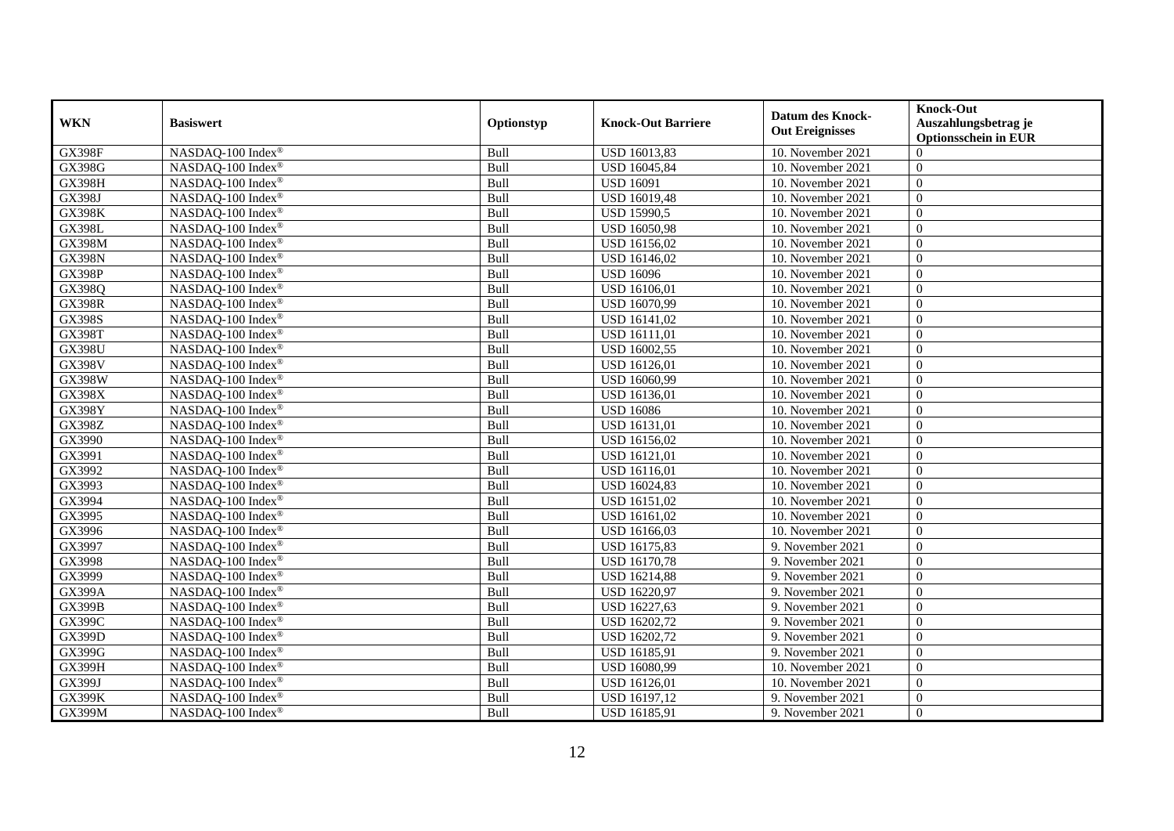| <b>WKN</b>    | <b>Basiswert</b>              | Optionstyp | <b>Knock-Out Barriere</b> | <b>Datum des Knock-</b><br><b>Out Ereignisses</b> | <b>Knock-Out</b><br>Auszahlungsbetrag je<br><b>Optionsschein in EUR</b> |
|---------------|-------------------------------|------------|---------------------------|---------------------------------------------------|-------------------------------------------------------------------------|
| <b>GX398F</b> | NASDAQ-100 Index <sup>®</sup> | Bull       | USD 16013,83              | 10. November 2021                                 | $\Omega$                                                                |
| <b>GX398G</b> | NASDAQ-100 Index®             | Bull       | USD 16045,84              | 10. November 2021                                 | $\Omega$                                                                |
| <b>GX398H</b> | NASDAQ-100 Index®             | Bull       | <b>USD 16091</b>          | 10. November 2021                                 | $\theta$                                                                |
| <b>GX398J</b> | NASDAQ-100 Index®             | Bull       | USD 16019,48              | 10. November 2021                                 | $\theta$                                                                |
| <b>GX398K</b> | NASDAQ-100 Index®             | Bull       | <b>USD 15990,5</b>        | 10. November 2021                                 | $\theta$                                                                |
| <b>GX398L</b> | NASDAQ-100 Index®             | Bull       | <b>USD 16050,98</b>       | 10. November 2021                                 | $\theta$                                                                |
| <b>GX398M</b> | NASDAQ-100 Index®             | Bull       | USD 16156,02              | 10. November 2021                                 | $\theta$                                                                |
| <b>GX398N</b> | NASDAQ-100 Index®             | Bull       | USD 16146,02              | 10. November 2021                                 | $\Omega$                                                                |
| <b>GX398P</b> | NASDAQ-100 Index®             | Bull       | <b>USD 16096</b>          | 10. November 2021                                 | $\overline{0}$                                                          |
| GX398Q        | NASDAQ-100 Index®             | Bull       | USD 16106,01              | 10. November 2021                                 | $\overline{0}$                                                          |
| <b>GX398R</b> | NASDAQ-100 Index®             | Bull       | USD 16070,99              | 10. November 2021                                 | $\Omega$                                                                |
| <b>GX398S</b> | NASDAQ-100 Index®             | Bull       | USD 16141,02              | 10. November 2021                                 | $\overline{0}$                                                          |
| <b>GX398T</b> | NASDAQ-100 Index®             | Bull       | USD 16111,01              | 10. November 2021                                 | $\overline{0}$                                                          |
| <b>GX398U</b> | NASDAQ-100 Index®             | Bull       | USD 16002,55              | 10. November 2021                                 | $\overline{0}$                                                          |
| <b>GX398V</b> | NASDAQ-100 Index®             | Bull       | USD 16126,01              | 10. November 2021                                 | $\theta$                                                                |
| GX398W        | NASDAQ-100 Index®             | Bull       | USD 16060,99              | 10. November 2021                                 | $\theta$                                                                |
| <b>GX398X</b> | NASDAQ-100 Index®             | Bull       | USD 16136,01              | 10. November 2021                                 | $\theta$                                                                |
| <b>GX398Y</b> | NASDAQ-100 Index®             | Bull       | <b>USD 16086</b>          | 10. November 2021                                 | $\theta$                                                                |
| GX398Z        | NASDAQ-100 Index®             | Bull       | USD 16131,01              | 10. November 2021                                 | $\Omega$                                                                |
| GX3990        | NASDAQ-100 Index®             | Bull       | USD 16156,02              | 10. November 2021                                 | $\overline{0}$                                                          |
| GX3991        | NASDAQ-100 Index®             | Bull       | <b>USD 16121,01</b>       | 10. November 2021                                 | $\overline{0}$                                                          |
| GX3992        | NASDAQ-100 Index®             | Bull       | USD 16116,01              | 10. November 2021                                 | $\overline{0}$                                                          |
| GX3993        | NASDAQ-100 Index®             | Bull       | USD 16024,83              | 10. November 2021                                 | $\overline{0}$                                                          |
| GX3994        | NASDAQ-100 Index®             | Bull       | USD 16151,02              | 10. November 2021                                 | $\theta$                                                                |
| GX3995        | NASDAQ-100 Index®             | Bull       | USD 16161,02              | 10. November 2021                                 | $\mathbf{0}$                                                            |
| GX3996        | NASDAQ-100 Index®             | Bull       | USD 16166,03              | 10. November 2021                                 | $\overline{0}$                                                          |
| GX3997        | NASDAQ-100 Index®             | Bull       | USD 16175,83              | 9. November 2021                                  | $\theta$                                                                |
| GX3998        | NASDAQ-100 Index®             | Bull       | <b>USD 16170,78</b>       | 9. November 2021                                  | $\theta$                                                                |
| GX3999        | NASDAQ-100 Index®             | Bull       | <b>USD 16214,88</b>       | 9. November 2021                                  | $\Omega$                                                                |
| <b>GX399A</b> | NASDAQ-100 Index®             | Bull       | USD 16220,97              | 9. November 2021                                  | $\Omega$                                                                |
| <b>GX399B</b> | NASDAQ-100 Index®             | Bull       | USD 16227,63              | 9. November 2021                                  | $\mathbf{0}$                                                            |
| GX399C        | NASDAQ-100 Index®             | Bull       | USD 16202,72              | 9. November 2021                                  | $\overline{0}$                                                          |
| <b>GX399D</b> | NASDAQ-100 Index®             | Bull       | USD 16202,72              | 9. November 2021                                  | $\Omega$                                                                |
| GX399G        | NASDAQ-100 Index®             | Bull       | USD 16185,91              | 9. November 2021                                  | $\theta$                                                                |
| <b>GX399H</b> | NASDAQ-100 Index®             | Bull       | USD 16080,99              | 10. November 2021                                 | $\Omega$                                                                |
| GX399J        | NASDAQ-100 Index®             | Bull       | USD 16126,01              | 10. November 2021                                 | $\theta$                                                                |
| <b>GX399K</b> | NASDAQ-100 Index®             | Bull       | USD 16197,12              | 9. November 2021                                  | $\mathbf{0}$                                                            |
| GX399M        | NASDAQ-100 Index®             | Bull       | <b>USD 16185,91</b>       | 9. November 2021                                  | $\theta$                                                                |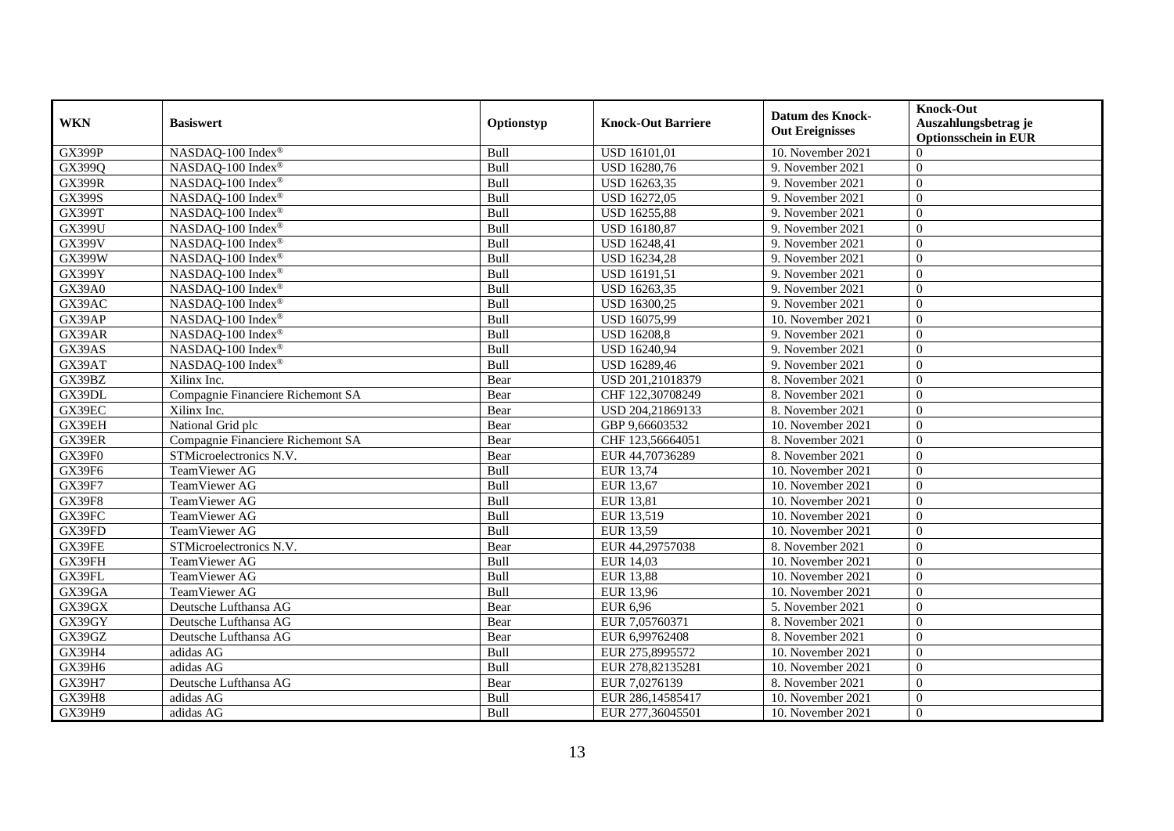| <b>WKN</b>    | <b>Basiswert</b>                  | Optionstyp | <b>Knock-Out Barriere</b> | <b>Datum des Knock-</b><br><b>Out Ereignisses</b> | <b>Knock-Out</b><br>Auszahlungsbetrag je<br><b>Optionsschein in EUR</b> |
|---------------|-----------------------------------|------------|---------------------------|---------------------------------------------------|-------------------------------------------------------------------------|
| <b>GX399P</b> | NASDAQ-100 Index®                 | Bull       | USD 16101,01              | 10. November 2021                                 | $\Omega$                                                                |
| GX399Q        | NASDAQ-100 Index®                 | Bull       | USD 16280,76              | 9. November 2021                                  | $\Omega$                                                                |
| <b>GX399R</b> | NASDAQ-100 Index®                 | Bull       | USD 16263,35              | 9. November 2021                                  | $\Omega$                                                                |
| <b>GX399S</b> | NASDAQ-100 Index®                 | Bull       | USD 16272,05              | 9. November 2021                                  | $\theta$                                                                |
| <b>GX399T</b> | NASDAQ-100 Index®                 | Bull       | <b>USD 16255,88</b>       | 9. November 2021                                  | $\theta$                                                                |
| <b>GX399U</b> | NASDAQ-100 Index®                 | Bull       | USD 16180,87              | 9. November 2021                                  | $\theta$                                                                |
| GX399V        | NASDAQ-100 Index®                 | Bull       | USD 16248,41              | 9. November 2021                                  | $\Omega$                                                                |
| GX399W        | NASDAQ-100 Index®                 | Bull       | USD 16234,28              | 9. November 2021                                  | $\Omega$                                                                |
| <b>GX399Y</b> | NASDAQ-100 Index®                 | Bull       | USD 16191,51              | 9. November 2021                                  | $\overline{0}$                                                          |
| <b>GX39A0</b> | NASDAQ-100 Index®                 | Bull       | USD 16263,35              | 9. November 2021                                  | $\Omega$                                                                |
| GX39AC        | NASDAQ-100 Index®                 | Bull       | USD 16300,25              | 9. November 2021                                  | $\Omega$                                                                |
| GX39AP        | NASDAQ-100 Index®                 | Bull       | USD 16075,99              | 10. November 2021                                 | $\theta$                                                                |
| GX39AR        | NASDAQ-100 Index®                 | Bull       | <b>USD 16208,8</b>        | 9. November 2021                                  | $\overline{0}$                                                          |
| GX39AS        | NASDAQ-100 Index®                 | Bull       | USD 16240,94              | 9. November 2021                                  | $\Omega$                                                                |
| GX39AT        | NASDAQ-100 Index®                 | Bull       | USD 16289,46              | 9. November 2021                                  | $\theta$                                                                |
| GX39BZ        | Xilinx Inc.                       | Bear       | USD 201,21018379          | 8. November 2021                                  | $\overline{0}$                                                          |
| GX39DL        | Compagnie Financiere Richemont SA | Bear       | CHF 122,30708249          | 8. November 2021                                  | $\theta$                                                                |
| GX39EC        | Xilinx Inc.                       | Bear       | USD 204.21869133          | 8. November 2021                                  | $\Omega$                                                                |
| GX39EH        | National Grid plc                 | Bear       | GBP 9,66603532            | 10. November 2021                                 | $\Omega$                                                                |
| GX39ER        | Compagnie Financiere Richemont SA | Bear       | CHF 123,56664051          | 8. November 2021                                  | $\theta$                                                                |
| GX39F0        | STMicroelectronics N.V.           | Bear       | EUR 44,70736289           | 8. November 2021                                  | $\overline{0}$                                                          |
| GX39F6        | TeamViewer AG                     | Bull       | EUR 13,74                 | 10. November 2021                                 | $\Omega$                                                                |
| <b>GX39F7</b> | TeamViewer AG                     | Bull       | EUR 13,67                 | 10. November 2021                                 | $\overline{0}$                                                          |
| <b>GX39F8</b> | TeamViewer AG                     | Bull       | EUR 13,81                 | 10. November 2021                                 | $\theta$                                                                |
| GX39FC        | TeamViewer AG                     | Bull       | EUR 13,519                | 10. November 2021                                 | $\theta$                                                                |
| GX39FD        | TeamViewer AG                     | Bull       | EUR 13,59                 | 10. November 2021                                 | $\Omega$                                                                |
| GX39FE        | STMicroelectronics N.V.           | Bear       | EUR 44,29757038           | 8. November 2021                                  | $\theta$                                                                |
| GX39FH        | <b>TeamViewer AG</b>              | Bull       | EUR 14,03                 | 10. November 2021                                 | $\overline{0}$                                                          |
| GX39FL        | TeamViewer AG                     | Bull       | <b>EUR 13,88</b>          | 10. November 2021                                 | $\Omega$                                                                |
| GX39GA        | TeamViewer AG                     | Bull       | <b>EUR 13,96</b>          | 10. November 2021                                 | $\Omega$                                                                |
| GX39GX        | Deutsche Lufthansa AG             | Bear       | EUR 6,96                  | 5. November 2021                                  | $\overline{0}$                                                          |
| GX39GY        | Deutsche Lufthansa AG             | Bear       | EUR 7,05760371            | 8. November 2021                                  | $\overline{0}$                                                          |
| GX39GZ        | Deutsche Lufthansa AG             | Bear       | EUR 6,99762408            | 8. November 2021                                  | $\Omega$                                                                |
| GX39H4        | adidas AG                         | Bull       | EUR 275,8995572           | 10. November 2021                                 | $\Omega$                                                                |
| GX39H6        | adidas AG                         | Bull       | EUR 278,82135281          | 10. November 2021                                 | $\Omega$                                                                |
| GX39H7        | Deutsche Lufthansa AG             | Bear       | EUR 7,0276139             | 8. November 2021                                  | $\theta$                                                                |
| <b>GX39H8</b> | adidas AG                         | Bull       | EUR 286,14585417          | 10. November 2021                                 | $\mathbf{0}$                                                            |
| GX39H9        | adidas AG                         | Bull       | EUR 277,36045501          | 10. November 2021                                 | $\theta$                                                                |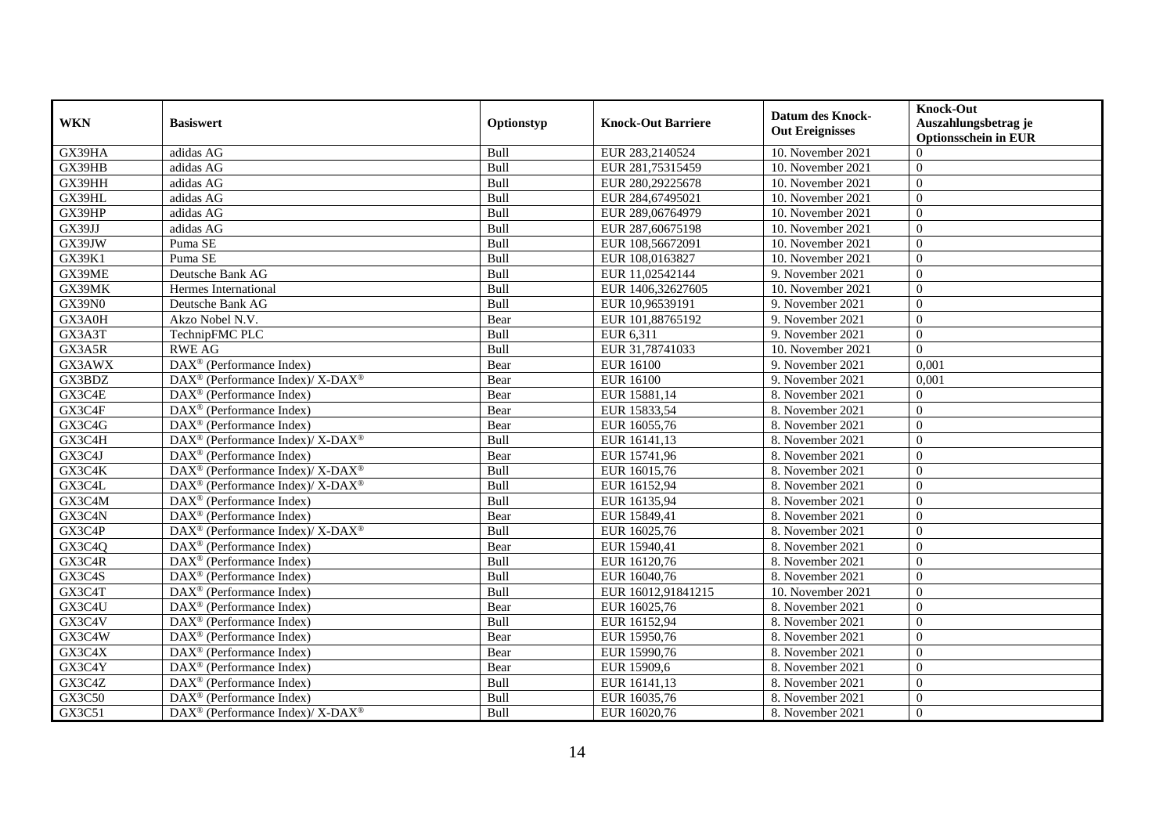| <b>WKN</b>    | <b>Basiswert</b>                                            | Optionstyp | <b>Knock-Out Barriere</b> | <b>Datum des Knock-</b><br><b>Out Ereignisses</b> | <b>Knock-Out</b><br>Auszahlungsbetrag je<br><b>Optionsschein in EUR</b> |
|---------------|-------------------------------------------------------------|------------|---------------------------|---------------------------------------------------|-------------------------------------------------------------------------|
| GX39HA        | adidas AG                                                   | Bull       | EUR 283,2140524           | 10. November 2021                                 | $\Omega$                                                                |
| GX39HB        | adidas AG                                                   | Bull       | EUR 281,75315459          | 10. November 2021                                 | $\Omega$                                                                |
| GX39HH        | adidas AG                                                   | Bull       | EUR 280,29225678          | 10. November 2021                                 | $\Omega$                                                                |
| GX39HL        | adidas AG                                                   | Bull       | EUR 284,67495021          | 10. November 2021                                 | $\theta$                                                                |
| GX39HP        | adidas AG                                                   | Bull       | EUR 289,06764979          | 10. November 2021                                 | $\overline{0}$                                                          |
| GX39JJ        | adidas AG                                                   | Bull       | EUR 287,60675198          | 10. November 2021                                 | $\Omega$                                                                |
| GX39JW        | Puma SE                                                     | Bull       | EUR 108,56672091          | 10. November 2021                                 | $\Omega$                                                                |
| GX39K1        | Puma SE                                                     | Bull       | EUR 108,0163827           | 10. November 2021                                 | $\overline{0}$                                                          |
| GX39ME        | Deutsche Bank AG                                            | Bull       | EUR 11,02542144           | 9. November 2021                                  | $\overline{0}$                                                          |
| GX39MK        | Hermes International                                        | Bull       | EUR 1406,32627605         | 10. November 2021                                 | $\overline{0}$                                                          |
| <b>GX39N0</b> | Deutsche Bank AG                                            | Bull       | EUR 10.96539191           | 9. November 2021                                  | $\Omega$                                                                |
| GX3A0H        | Akzo Nobel N.V.                                             | Bear       | EUR 101,88765192          | 9. November 2021                                  | $\Omega$                                                                |
| GX3A3T        | TechnipFMC PLC                                              | Bull       | EUR 6,311                 | 9. November 2021                                  | $\theta$                                                                |
| GX3A5R        | <b>RWE AG</b>                                               | Bull       | EUR 31,78741033           | 10. November 2021                                 | $\Omega$                                                                |
| GX3AWX        | DAX <sup>®</sup> (Performance Index)                        | Bear       | <b>EUR 16100</b>          | 9. November 2021                                  | 0,001                                                                   |
| GX3BDZ        | DAX <sup>®</sup> (Performance Index)/X-DAX <sup>®</sup>     | Bear       | <b>EUR 16100</b>          | 9. November 2021                                  | 0,001                                                                   |
| GX3C4E        | DAX <sup>®</sup> (Performance Index)                        | Bear       | EUR 15881,14              | 8. November 2021                                  | $\Omega$                                                                |
| GX3C4F        | $DAX^{\circledast}$ (Performance Index)                     | Bear       | EUR 15833,54              | 8. November 2021                                  | $\Omega$                                                                |
| GX3C4G        | $DAX^{\circledR}$ (Performance Index)                       | Bear       | EUR 16055,76              | 8. November 2021                                  | $\Omega$                                                                |
| GX3C4H        | DAX <sup>®</sup> (Performance Index)/ X-DAX <sup>®</sup>    | Bull       | EUR 16141,13              | 8. November 2021                                  | $\Omega$                                                                |
| GX3C4J        | $DAX^{\circledast}$ (Performance Index)                     | Bear       | EUR 15741,96              | 8. November 2021                                  | $\overline{0}$                                                          |
| GX3C4K        | DAX <sup>®</sup> (Performance Index)/X-DAX <sup>®</sup>     | Bull       | EUR 16015,76              | 8. November 2021                                  | $\Omega$                                                                |
| GX3C4L        | DAX <sup>®</sup> (Performance Index)/ X-DAX <sup>®</sup>    | Bull       | EUR 16152,94              | 8. November 2021                                  | $\overline{0}$                                                          |
| GX3C4M        | DAX <sup>®</sup> (Performance Index)                        | Bull       | EUR 16135,94              | 8. November 2021                                  | $\overline{0}$                                                          |
| GX3C4N        | $\text{DAX}^{\circledR}$ (Performance Index)                | Bear       | EUR 15849,41              | 8. November 2021                                  | $\Omega$                                                                |
| GX3C4P        | DAX <sup>®</sup> (Performance Index)/ X-DAX <sup>®</sup>    | Bull       | EUR 16025,76              | 8. November 2021                                  | $\overline{0}$                                                          |
| GX3C4Q        | $DAX^{\circledR}$ (Performance Index)                       | Bear       | EUR 15940,41              | 8. November 2021                                  | $\Omega$                                                                |
| GX3C4R        | $DAX^{\circledR}$ (Performance Index)                       | Bull       | EUR 16120,76              | 8. November 2021                                  | $\Omega$                                                                |
| GX3C4S        | DAX <sup>®</sup> (Performance Index)                        | Bull       | EUR 16040,76              | 8. November 2021                                  | $\overline{0}$                                                          |
| GX3C4T        | $\overline{\text{DAX}}^{\textcirc}$ (Performance Index)     | Bull       | EUR 16012,91841215        | 10. November 2021                                 | $\Omega$                                                                |
| GX3C4U        | $DAX^{\circledast}$ (Performance Index)                     | Bear       | EUR 16025,76              | 8. November 2021                                  | $\overline{0}$                                                          |
| GX3C4V        | $DAX^{\circledR}$ (Performance Index)                       | Bull       | EUR 16152,94              | 8. November 2021                                  | $\Omega$                                                                |
| GX3C4W        | DAX <sup>®</sup> (Performance Index)                        | Bear       | EUR 15950,76              | 8. November 2021                                  | $\Omega$                                                                |
| GX3C4X        | DAX <sup>®</sup> (Performance Index)                        | Bear       | EUR 15990,76              | 8. November 2021                                  | $\Omega$                                                                |
| GX3C4Y        | DAX <sup>®</sup> (Performance Index)                        | Bear       | EUR 15909,6               | 8. November 2021                                  | $\overline{0}$                                                          |
| GX3C4Z        | $DAX^{\circledR}$ (Performance Index)                       | Bull       | EUR 16141,13              | 8. November 2021                                  | $\Omega$                                                                |
| GX3C50        | $DAX^{\circledast}$ (Performance Index)                     | Bull       | EUR 16035,76              | 8. November 2021                                  | $\overline{0}$                                                          |
| GX3C51        | $DAX^{\circledast}$ (Performance Index)/ X-DAX <sup>®</sup> | Bull       | EUR 16020,76              | 8. November 2021                                  | $\overline{0}$                                                          |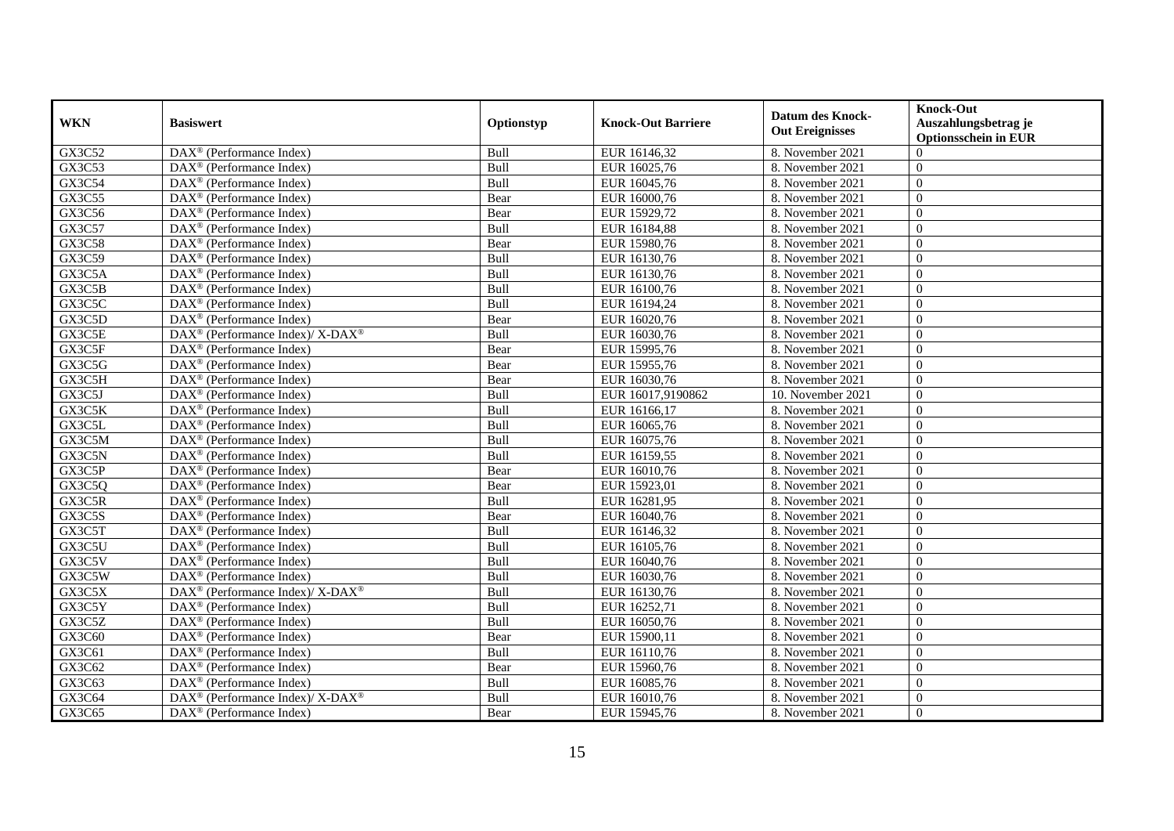| <b>WKN</b> | <b>Basiswert</b>                                             | Optionstyp | <b>Knock-Out Barriere</b> | <b>Datum des Knock-</b><br><b>Out Ereignisses</b> | <b>Knock-Out</b><br>Auszahlungsbetrag je<br><b>Optionsschein in EUR</b> |
|------------|--------------------------------------------------------------|------------|---------------------------|---------------------------------------------------|-------------------------------------------------------------------------|
| GX3C52     | $\overline{\text{DAX}^{\otimes}}$ (Performance Index)        | Bull       | EUR 16146,32              | 8. November 2021                                  | $\Omega$                                                                |
| GX3C53     | $DAX^{\circledR}$ (Performance Index)                        | Bull       | EUR 16025,76              | 8. November 2021                                  | $\Omega$                                                                |
| GX3C54     | $DAX^{\circledR}$ (Performance Index)                        | Bull       | EUR 16045,76              | 8. November 2021                                  | $\Omega$                                                                |
| GX3C55     | $DAX^{\circledast}$ (Performance Index)                      | Bear       | EUR 16000,76              | 8. November 2021                                  | $\overline{0}$                                                          |
| GX3C56     | DAX <sup>®</sup> (Performance Index)                         | Bear       | EUR 15929,72              | 8. November 2021                                  | $\overline{0}$                                                          |
| GX3C57     | $\overline{\text{DAX}^{\otimes}}$ (Performance Index)        | Bull       | EUR 16184,88              | 8. November 2021                                  | $\Omega$                                                                |
| GX3C58     | $\overline{\text{DAX}^{\otimes}}$ (Performance Index)        | Bear       | EUR 15980,76              | 8. November 2021                                  | $\overline{0}$                                                          |
| GX3C59     | DAX <sup>®</sup> (Performance Index)                         | Bull       | EUR 16130,76              | 8. November 2021                                  | $\overline{0}$                                                          |
| GX3C5A     | $DAX^{\circledast}$ (Performance Index)                      | Bull       | EUR 16130,76              | 8. November 2021                                  | $\overline{0}$                                                          |
| GX3C5B     | $DAX^{\circledast}$ (Performance Index)                      | Bull       | EUR 16100,76              | 8. November 2021                                  | $\overline{0}$                                                          |
| GX3C5C     | $DAX^{\circledast}$ (Performance Index)                      | Bull       | EUR 16194,24              | 8. November 2021                                  | $\Omega$                                                                |
| GX3C5D     | $\overline{\text{DAX}}^{\textcircled{}}$ (Performance Index) | Bear       | EUR 16020,76              | 8. November 2021                                  | $\Omega$                                                                |
| GX3C5E     | DAX <sup>®</sup> (Performance Index)/ X-DAX <sup>®</sup>     | Bull       | EUR 16030,76              | 8. November 2021                                  | $\Omega$                                                                |
| GX3C5F     | $DAX^{\circledR}$ (Performance Index)                        | Bear       | EUR 15995,76              | 8. November 2021                                  | $\Omega$                                                                |
| GX3C5G     | DAX <sup>®</sup> (Performance Index)                         | Bear       | EUR 15955,76              | 8. November 2021                                  | $\Omega$                                                                |
| GX3C5H     | DAX <sup>®</sup> (Performance Index)                         | Bear       | EUR 16030,76              | 8. November 2021                                  | $\overline{0}$                                                          |
| GX3C5J     | $DAX^{\circledR}$ (Performance Index)                        | Bull       | EUR 16017,9190862         | 10. November 2021                                 | $\Omega$                                                                |
| GX3C5K     | $\overline{\text{DAX}^{\otimes}}$ (Performance Index)        | Bull       | EUR 16166,17              | 8. November 2021                                  | $\Omega$                                                                |
| GX3C5L     | $DAX^{\circledR}$ (Performance Index)                        | Bull       | EUR 16065,76              | 8. November 2021                                  | $\Omega$                                                                |
| GX3C5M     | DAX <sup>®</sup> (Performance Index)                         | Bull       | EUR 16075,76              | 8. November 2021                                  | $\mathbf{0}$                                                            |
| GX3C5N     | DAX <sup>®</sup> (Performance Index)                         | Bull       | EUR 16159,55              | 8. November 2021                                  | $\overline{0}$                                                          |
| GX3C5P     | $\overline{\text{DAX}^{\otimes}}$ (Performance Index)        | Bear       | EUR 16010,76              | 8. November 2021                                  | $\Omega$                                                                |
| GX3C5Q     | $\overline{\text{DAX}^{\otimes}}$ (Performance Index)        | Bear       | EUR 15923,01              | 8. November 2021                                  | $\overline{0}$                                                          |
| GX3C5R     | $DAX^{\circledast}$ (Performance Index)                      | Bull       | EUR 16281,95              | 8. November 2021                                  | $\overline{0}$                                                          |
| GX3C5S     | $DAX^{\circledR}$ (Performance Index)                        | Bear       | EUR 16040,76              | 8. November 2021                                  | $\theta$                                                                |
| GX3C5T     | DAX <sup>®</sup> (Performance Index)                         | Bull       | EUR 16146,32              | 8. November 2021                                  | $\Omega$                                                                |
| GX3C5U     | $\overline{\text{DAX}}^{\textcirc}$ (Performance Index)      | Bull       | EUR 16105,76              | 8. November 2021                                  | $\Omega$                                                                |
| GX3C5V     | DAX <sup>®</sup> (Performance Index)                         | Bull       | EUR 16040,76              | 8. November 2021                                  | $\Omega$                                                                |
| GX3C5W     | DAX <sup>®</sup> (Performance Index)                         | Bull       | EUR 16030,76              | 8. November 2021                                  | $\Omega$                                                                |
| GX3C5X     | DAX <sup>®</sup> (Performance Index)/ X-DAX <sup>®</sup>     | Bull       | EUR 16130,76              | 8. November 2021                                  | $\Omega$                                                                |
| GX3C5Y     | DAX <sup>®</sup> (Performance Index)                         | Bull       | EUR 16252,71              | 8. November 2021                                  | $\overline{0}$                                                          |
| GX3C5Z     | DAX <sup>®</sup> (Performance Index)                         | Bull       | EUR 16050,76              | 8. November 2021                                  | $\overline{0}$                                                          |
| GX3C60     | $\overline{\text{DAX}^{\otimes}}$ (Performance Index)        | Bear       | EUR 15900,11              | 8. November 2021                                  | $\Omega$                                                                |
| GX3C61     | $\overline{\text{DAX}^{\otimes}}$ (Performance Index)        | Bull       | EUR 16110,76              | 8. November 2021                                  | $\overline{0}$                                                          |
| GX3C62     | $DAX^{\circledast}$ (Performance Index)                      | Bear       | EUR 15960,76              | 8. November 2021                                  | $\Omega$                                                                |
| GX3C63     | $DAX^{\circledast}$ (Performance Index)                      | Bull       | EUR 16085,76              | 8. November 2021                                  | $\overline{0}$                                                          |
| GX3C64     | DAX <sup>®</sup> (Performance Index)/ X-DAX <sup>®</sup>     | Bull       | EUR 16010,76              | 8. November 2021                                  | $\mathbf{0}$                                                            |
| GX3C65     | $DAX^{\circledast}$ (Performance Index)                      | Bear       | EUR 15945,76              | 8. November 2021                                  | $\overline{0}$                                                          |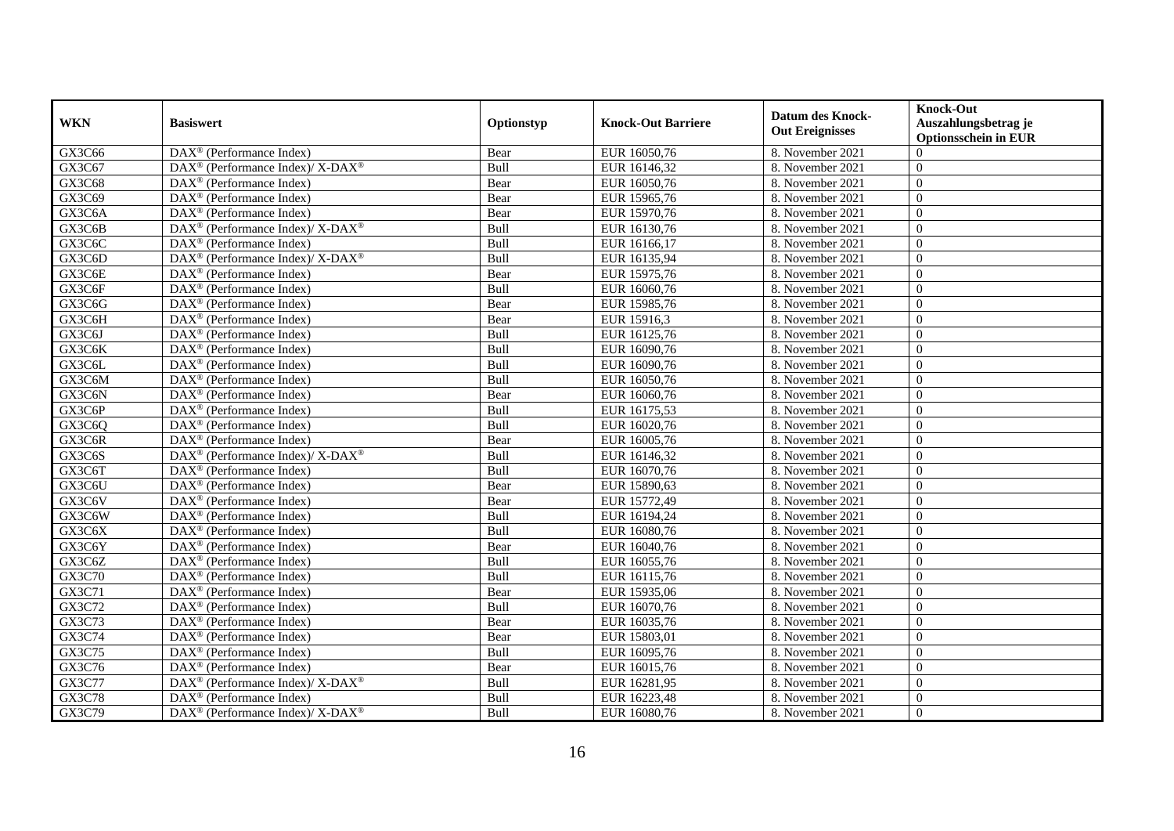| <b>WKN</b> | <b>Basiswert</b>                                                                        | Optionstyp | <b>Knock-Out Barriere</b> | <b>Datum des Knock-</b><br><b>Out Ereignisses</b> | <b>Knock-Out</b><br>Auszahlungsbetrag je<br><b>Optionsschein in EUR</b> |
|------------|-----------------------------------------------------------------------------------------|------------|---------------------------|---------------------------------------------------|-------------------------------------------------------------------------|
| GX3C66     | $\overline{\text{DAX}^{\otimes}}$ (Performance Index)                                   | Bear       | EUR 16050,76              | 8. November 2021                                  | $\Omega$                                                                |
| GX3C67     | DAX <sup>®</sup> (Performance Index)/X-DAX <sup>®</sup>                                 | Bull       | EUR 16146,32              | 8. November 2021                                  | $\Omega$                                                                |
| GX3C68     | $DAX^{\circledcirc}$ (Performance Index)                                                | Bear       | EUR 16050,76              | 8. November 2021                                  | $\Omega$                                                                |
| GX3C69     | $DAX^{\circledast}$ (Performance Index)                                                 | Bear       | EUR 15965,76              | 8. November 2021                                  | $\overline{0}$                                                          |
| GX3C6A     | DAX <sup>®</sup> (Performance Index)                                                    | Bear       | EUR 15970,76              | 8. November 2021                                  | $\overline{0}$                                                          |
| GX3C6B     | DAX <sup>®</sup> (Performance Index)/ X-DAX <sup>®</sup>                                | Bull       | EUR 16130,76              | 8. November 2021                                  | $\Omega$                                                                |
| GX3C6C     | $DAX^{\circledast}$ (Performance Index)                                                 | Bull       | EUR 16166,17              | 8. November 2021                                  | $\Omega$                                                                |
| GX3C6D     | $\text{DAX}^{\circledast}$ (Performance Index)/ $\overline{\text{X-DAX}^{\circledast}}$ | Bull       | EUR 16135,94              | 8. November 2021                                  | $\Omega$                                                                |
| GX3C6E     | DAX <sup>®</sup> (Performance Index)                                                    | Bear       | EUR 15975,76              | 8. November 2021                                  | $\Omega$                                                                |
| GX3C6F     | DAX <sup>®</sup> (Performance Index)                                                    | Bull       | EUR 16060,76              | 8. November 2021                                  | $\Omega$                                                                |
| GX3C6G     | DAX <sup>®</sup> (Performance Index)                                                    | Bear       | EUR 15985,76              | 8. November 2021                                  | $\overline{0}$                                                          |
| GX3C6H     | DAX <sup>®</sup> (Performance Index)                                                    | Bear       | EUR 15916,3               | 8. November 2021                                  | $\Omega$                                                                |
| GX3C6J     | DAX <sup>®</sup> (Performance Index)                                                    | Bull       | EUR 16125,76              | 8. November 2021                                  | $\Omega$                                                                |
| GX3C6K     | $DAX^{\circledR}$ (Performance Index)                                                   | Bull       | EUR 16090,76              | 8. November 2021                                  | $\Omega$                                                                |
| GX3C6L     | DAX <sup>®</sup> (Performance Index)                                                    | Bull       | EUR 16090,76              | 8. November 2021                                  | $\overline{0}$                                                          |
| GX3C6M     | $DAX^{\circledast}$ (Performance Index)                                                 | Bull       | EUR 16050,76              | 8. November 2021                                  | $\overline{0}$                                                          |
| GX3C6N     | DAX <sup>®</sup> (Performance Index)                                                    | Bear       | EUR 16060,76              | 8. November 2021                                  | $\Omega$                                                                |
| GX3C6P     | $DAX^{\circledcirc}$ (Performance Index)                                                | Bull       | EUR 16175.53              | 8. November 2021                                  | $\Omega$                                                                |
| GX3C6Q     | DAX <sup>®</sup> (Performance Index)                                                    | Bull       | EUR 16020,76              | 8. November 2021                                  | $\Omega$                                                                |
| GX3C6R     | $\overline{\text{DAX}^{\otimes}}$ (Performance Index)                                   | Bear       | EUR 16005,76              | 8. November 2021                                  | $\overline{0}$                                                          |
| GX3C6S     | $\text{DAX}^{\circledast}$ (Performance Index)/ $\overline{\text{X-DAX}^{\circledast}}$ | Bull       | EUR 16146,32              | 8. November 2021                                  | $\overline{0}$                                                          |
| GX3C6T     | DAX <sup>®</sup> (Performance Index)                                                    | Bull       | EUR 16070,76              | 8. November 2021                                  | $\Omega$                                                                |
| GX3C6U     | $\overline{\text{DAX}}^{\textcirc}$ (Performance Index)                                 | Bear       | EUR 15890,63              | 8. November 2021                                  | $\Omega$                                                                |
| GX3C6V     | DAX <sup>®</sup> (Performance Index)                                                    | Bear       | EUR 15772,49              | 8. November 2021                                  | $\overline{0}$                                                          |
| GX3C6W     | DAX <sup>®</sup> (Performance Index)                                                    | Bull       | EUR 16194,24              | 8. November 2021                                  | $\overline{0}$                                                          |
| GX3C6X     | DAX <sup>®</sup> (Performance Index)                                                    | Bull       | EUR 16080,76              | 8. November 2021                                  | $\Omega$                                                                |
| GX3C6Y     | $DAX^{\circledast}$ (Performance Index)                                                 | Bear       | EUR 16040,76              | 8. November 2021                                  | $\overline{0}$                                                          |
| GX3C6Z     | $\overline{\text{DAX}}^{\textcirc}$ (Performance Index)                                 | Bull       | EUR 16055,76              | 8. November 2021                                  | $\Omega$                                                                |
| GX3C70     | DAX <sup>®</sup> (Performance Index)                                                    | Bull       | EUR 16115,76              | 8. November 2021                                  | $\Omega$                                                                |
| GX3C71     | DAX <sup>®</sup> (Performance Index)                                                    | Bear       | EUR 15935,06              | 8. November 2021                                  | $\Omega$                                                                |
| GX3C72     | DAX <sup>®</sup> (Performance Index)                                                    | Bull       | EUR 16070,76              | 8. November 2021                                  | $\mathbf{0}$                                                            |
| GX3C73     | DAX <sup>®</sup> (Performance Index)                                                    | Bear       | EUR 16035,76              | 8. November 2021                                  | $\overline{0}$                                                          |
| GX3C74     | $\overline{\text{DAX}^{\otimes}}$ (Performance Index)                                   | Bear       | EUR 15803,01              | 8. November 2021                                  | $\Omega$                                                                |
| GX3C75     | $\overline{\text{DAX}^{\otimes}}$ (Performance Index)                                   | Bull       | EUR 16095,76              | 8. November 2021                                  | $\Omega$                                                                |
| GX3C76     | $DAX^{\circledast}$ (Performance Index)                                                 | Bear       | EUR 16015,76              | 8. November 2021                                  | $\overline{0}$                                                          |
| GX3C77     | DAX <sup>®</sup> (Performance Index)/ X-DAX <sup>®</sup>                                | Bull       | EUR 16281,95              | 8. November 2021                                  | $\overline{0}$                                                          |
| GX3C78     | DAX <sup>®</sup> (Performance Index)                                                    | Bull       | EUR 16223,48              | 8. November 2021                                  | $\overline{0}$                                                          |
| GX3C79     | DAX <sup>®</sup> (Performance Index)/ X-DAX <sup>®</sup>                                | Bull       | EUR 16080,76              | 8. November 2021                                  | $\mathbf{0}$                                                            |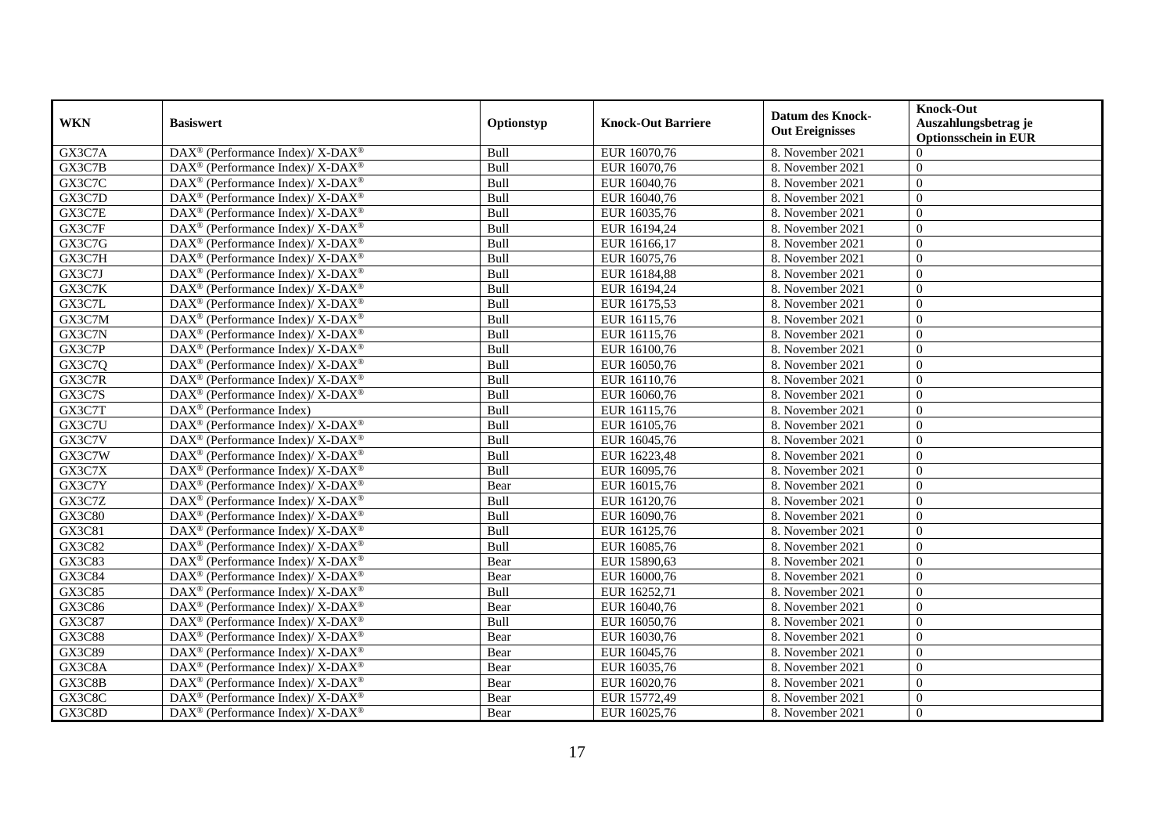| <b>WKN</b>    | <b>Basiswert</b>                                                   | Optionstyp | <b>Knock-Out Barriere</b> | <b>Datum des Knock-</b><br><b>Out Ereignisses</b> | <b>Knock-Out</b><br>Auszahlungsbetrag je<br><b>Optionsschein in EUR</b> |
|---------------|--------------------------------------------------------------------|------------|---------------------------|---------------------------------------------------|-------------------------------------------------------------------------|
| GX3C7A        | DAX <sup>®</sup> (Performance Index)/ X-DAX <sup>®</sup>           | Bull       | EUR 16070,76              | 8. November 2021                                  | $\Omega$                                                                |
| GX3C7B        | DAX <sup>®</sup> (Performance Index)/ X-DAX <sup>®</sup>           | Bull       | EUR 16070,76              | 8. November 2021                                  | $\Omega$                                                                |
| GX3C7C        | DAX <sup>®</sup> (Performance Index)/X-DAX <sup>®</sup>            | Bull       | EUR 16040,76              | 8. November 2021                                  | $\Omega$                                                                |
| GX3C7D        | DAX <sup>®</sup> (Performance Index)/X-DAX <sup>®</sup>            | Bull       | EUR 16040,76              | 8. November 2021                                  | $\theta$                                                                |
| GX3C7E        | DAX <sup>®</sup> (Performance Index)/X-DAX <sup>®</sup>            | Bull       | EUR 16035,76              | 8. November 2021                                  | $\overline{0}$                                                          |
| GX3C7F        | DAX <sup>®</sup> (Performance Index)/ X-DAX <sup>®</sup>           | Bull       | EUR 16194,24              | 8. November 2021                                  | $\Omega$                                                                |
| GX3C7G        | DAX <sup>®</sup> (Performance Index)/ X-DAX <sup>®</sup>           | Bull       | EUR 16166,17              | 8. November 2021                                  | $\Omega$                                                                |
| GX3C7H        | DAX <sup>®</sup> (Performance Index)/ X-DAX <sup>®</sup>           | Bull       | EUR 16075,76              | 8. November 2021                                  | $\overline{0}$                                                          |
| GX3C7J        | DAX <sup>®</sup> (Performance Index)/ X-DAX <sup>®</sup>           | Bull       | EUR 16184,88              | 8. November 2021                                  | $\overline{0}$                                                          |
| GX3C7K        | DAX <sup>®</sup> (Performance Index)/ X-DAX <sup>®</sup>           | Bull       | EUR 16194,24              | 8. November 2021                                  | $\overline{0}$                                                          |
| GX3C7L        | DAX <sup>®</sup> (Performance Index)/ X-DAX <sup>®</sup>           | Bull       | EUR 16175,53              | 8. November 2021                                  | $\Omega$                                                                |
| GX3C7M        | DAX <sup>®</sup> (Performance Index)/ X-DAX <sup>®</sup>           | Bull       | EUR 16115,76              | 8. November 2021                                  | $\Omega$                                                                |
| GX3C7N        | DAX <sup>®</sup> (Performance Index)/ X-DAX <sup>®</sup>           | Bull       | EUR 16115,76              | 8. November 2021                                  | $\theta$                                                                |
| GX3C7P        | DAX <sup>®</sup> (Performance Index)/ X-DAX <sup>®</sup>           | Bull       | EUR 16100,76              | 8. November 2021                                  | $\Omega$                                                                |
| GX3C7Q        | DAX <sup>®</sup> (Performance Index)/ X-DAX <sup>®</sup>           | Bull       | EUR 16050,76              | 8. November 2021                                  | $\overline{0}$                                                          |
| GX3C7R        | $DAX^{\circledast}$ (Performance Index)/ X-DAX <sup>®</sup>        | Bull       | EUR 16110,76              | 8. November 2021                                  | $\overline{0}$                                                          |
| GX3C7S        | DAX <sup>®</sup> (Performance Index)/ X-DAX <sup>®</sup>           | Bull       | EUR 16060,76              | 8. November 2021                                  | $\Omega$                                                                |
| GX3C7T        | $DAX^{\circledR}$ (Performance Index)                              | Bull       | EUR 16115,76              | 8. November 2021                                  | $\Omega$                                                                |
| GX3C7U        | DAX <sup>®</sup> (Performance Index)/ X-DAX <sup>®</sup>           | Bull       | EUR 16105,76              | 8. November 2021                                  | $\Omega$                                                                |
| GX3C7V        | DAX <sup>®</sup> (Performance Index)/ X-DAX <sup>®</sup>           | Bull       | EUR 16045,76              | 8. November 2021                                  | $\Omega$                                                                |
| GX3C7W        | DAX <sup>®</sup> (Performance Index)/ X-DAX <sup>®</sup>           | Bull       | EUR 16223,48              | 8. November 2021                                  | $\overline{0}$                                                          |
| GX3C7X        | DAX <sup>®</sup> (Performance Index)/X-DAX <sup>®</sup>            | Bull       | EUR 16095,76              | 8. November 2021                                  | $\Omega$                                                                |
| GX3C7Y        | DAX <sup>®</sup> (Performance Index)/X-DAX <sup>®</sup>            | Bear       | EUR 16015,76              | 8. November 2021                                  | $\theta$                                                                |
| GX3C7Z        | DAX <sup>®</sup> (Performance Index)/ X-DAX <sup>®</sup>           | Bull       | EUR 16120,76              | 8. November 2021                                  | $\theta$                                                                |
| GX3C80        | $DAX^{\circledast}$ (Performance Index)/ X-DAX <sup>®</sup>        | Bull       | EUR 16090,76              | 8. November 2021                                  | $\Omega$                                                                |
| GX3C81        | DAX <sup>®</sup> (Performance Index)/X-DAX <sup>®</sup>            | Bull       | EUR 16125,76              | 8. November 2021                                  | $\overline{0}$                                                          |
| GX3C82        | DAX <sup>®</sup> (Performance Index)/X-DAX <sup>®</sup>            | Bull       | EUR 16085,76              | 8. November 2021                                  | $\Omega$                                                                |
| GX3C83        | DAX <sup>®</sup> (Performance Index)/ X-DAX <sup>®</sup>           | Bear       | EUR 15890,63              | 8. November 2021                                  | $\Omega$                                                                |
| GX3C84        | DAX <sup>®</sup> (Performance Index)/ X-DAX <sup>®</sup>           | Bear       | EUR 16000,76              | 8. November 2021                                  | $\theta$                                                                |
| GX3C85        | $\text{DAX}^{\circledast}$ (Performance Index)/ X-DAX <sup>®</sup> | Bull       | EUR 16252,71              | 8. November 2021                                  | $\Omega$                                                                |
| GX3C86        | $DAX^{\circledast}$ (Performance Index)/ X-DAX <sup>®</sup>        | Bear       | EUR 16040,76              | 8. November 2021                                  | $\overline{0}$                                                          |
| GX3C87        | DAX <sup>®</sup> (Performance Index)/X-DAX <sup>®</sup>            | Bull       | EUR 16050,76              | 8. November 2021                                  | $\Omega$                                                                |
| <b>GX3C88</b> | DAX <sup>®</sup> (Performance Index)/ X-DAX <sup>®</sup>           | Bear       | EUR 16030,76              | 8. November 2021                                  | $\Omega$                                                                |
| GX3C89        | DAX <sup>®</sup> (Performance Index)/ X-DAX <sup>®</sup>           | Bear       | EUR 16045,76              | 8. November 2021                                  | $\Omega$                                                                |
| GX3C8A        | DAX <sup>®</sup> (Performance Index)/ X-DAX <sup>®</sup>           | Bear       | EUR 16035,76              | 8. November 2021                                  | $\overline{0}$                                                          |
| GX3C8B        | $\text{DAX}^{\circledast}$ (Performance Index)/ X-DAX <sup>®</sup> | Bear       | EUR 16020,76              | 8. November 2021                                  | $\theta$                                                                |
| GX3C8C        | DAX <sup>®</sup> (Performance Index)/ X-DAX <sup>®</sup>           | Bear       | EUR 15772,49              | 8. November 2021                                  | $\mathbf{0}$                                                            |
| GX3C8D        | $DAX^{\circledast}$ (Performance Index)/ X-DAX <sup>®</sup>        | Bear       | EUR 16025,76              | 8. November 2021                                  | $\overline{0}$                                                          |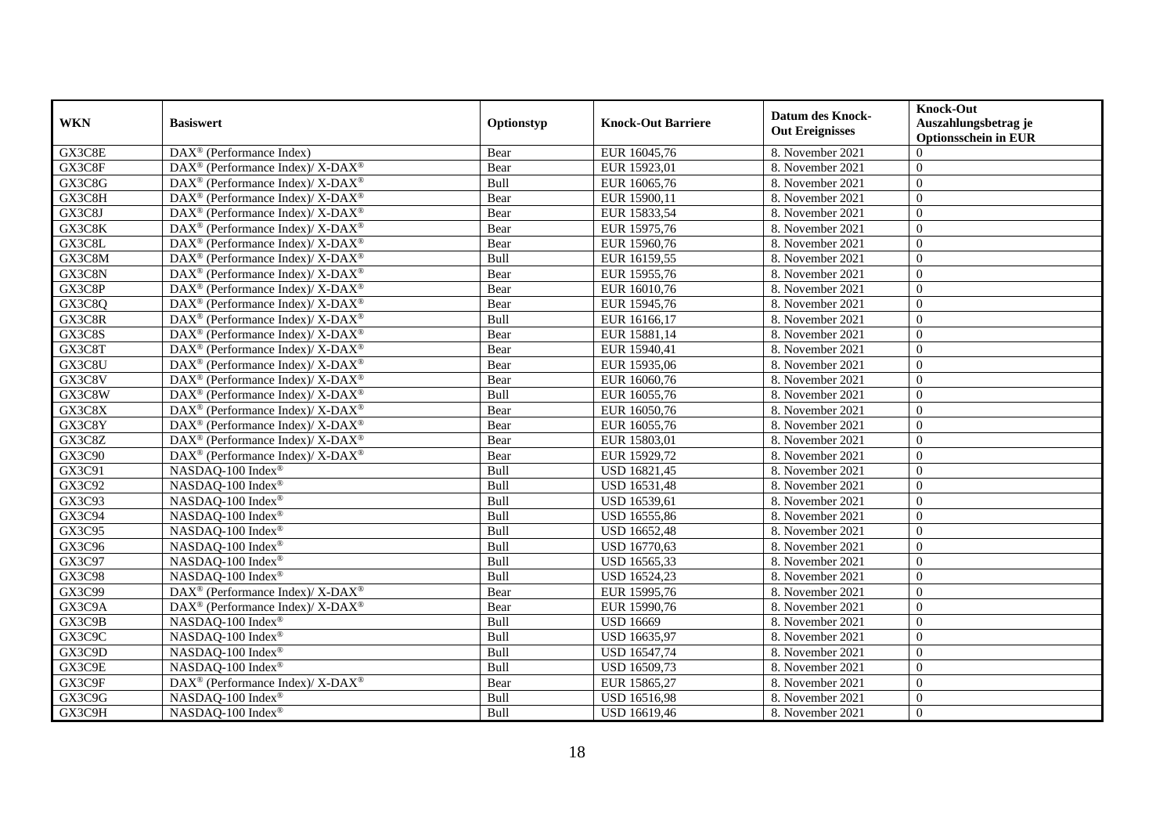| <b>WKN</b> | <b>Basiswert</b>                                                   | Optionstyp | <b>Knock-Out Barriere</b> | <b>Datum des Knock-</b><br><b>Out Ereignisses</b> | <b>Knock-Out</b><br>Auszahlungsbetrag je<br><b>Optionsschein in EUR</b> |
|------------|--------------------------------------------------------------------|------------|---------------------------|---------------------------------------------------|-------------------------------------------------------------------------|
| GX3C8E     | $\overline{\text{DAX}^{\otimes}}$ (Performance Index)              | Bear       | EUR 16045,76              | 8. November 2021                                  | $\Omega$                                                                |
| GX3C8F     | DAX <sup>®</sup> (Performance Index)/ X-DAX <sup>®</sup>           | Bear       | EUR 15923,01              | 8. November 2021                                  | $\Omega$                                                                |
| GX3C8G     | DAX <sup>®</sup> (Performance Index)/ X-DAX <sup>®</sup>           | Bull       | EUR 16065,76              | 8. November 2021                                  | $\Omega$                                                                |
| GX3C8H     | DAX <sup>®</sup> (Performance Index)/ X-DAX <sup>®</sup>           | Bear       | EUR 15900,11              | 8. November 2021                                  | $\overline{0}$                                                          |
| GX3C8J     | $DAX^{\circledast}$ (Performance Index)/ X-DAX <sup>®</sup>        | Bear       | EUR 15833,54              | 8. November 2021                                  | $\overline{0}$                                                          |
| GX3C8K     | DAX <sup>®</sup> (Performance Index)/ X-DAX <sup>®</sup>           | Bear       | EUR 15975,76              | 8. November 2021                                  | $\Omega$                                                                |
| GX3C8L     | DAX <sup>®</sup> (Performance Index)/ X-DAX <sup>®</sup>           | Bear       | EUR 15960,76              | 8. November 2021                                  | $\Omega$                                                                |
| GX3C8M     | $\text{DAX}^{\circledast}$ (Performance Index)/ X-DAX <sup>®</sup> | Bull       | EUR 16159,55              | 8. November 2021                                  | $\theta$                                                                |
| GX3C8N     | DAX <sup>®</sup> (Performance Index)/ X-DAX <sup>®</sup>           | Bear       | EUR 15955,76              | 8. November 2021                                  | $\mathbf{0}$                                                            |
| GX3C8P     | $DAX^{\circledast}$ (Performance Index)/ X-DAX <sup>®</sup>        | Bear       | EUR 16010,76              | 8. November 2021                                  | $\theta$                                                                |
| GX3C8Q     | $DAX^{\circledast}$ (Performance Index)/ X-DAX <sup>®</sup>        | Bear       | EUR 15945,76              | 8. November 2021                                  | $\Omega$                                                                |
| GX3C8R     | DAX <sup>®</sup> (Performance Index)/ X-DAX <sup>®</sup>           | Bull       | EUR 16166,17              | 8. November 2021                                  | $\overline{0}$                                                          |
| GX3C8S     | DAX <sup>®</sup> (Performance Index)/X-DAX <sup>®</sup>            | Bear       | EUR 15881,14              | 8. November 2021                                  | $\Omega$                                                                |
| GX3C8T     | DAX <sup>®</sup> (Performance Index)/ X-DAX <sup>®</sup>           | Bear       | EUR 15940,41              | 8. November 2021                                  | $\theta$                                                                |
| GX3C8U     | DAX <sup>®</sup> (Performance Index)/ X-DAX <sup>®</sup>           | Bear       | EUR 15935,06              | 8. November 2021                                  | $\overline{0}$                                                          |
| GX3C8V     | DAX <sup>®</sup> (Performance Index)/ X-DAX <sup>®</sup>           | Bear       | EUR 16060,76              | 8. November 2021                                  | $\Omega$                                                                |
| GX3C8W     | DAX <sup>®</sup> (Performance Index)/ X-DAX <sup>®</sup>           | Bull       | EUR 16055,76              | 8. November 2021                                  | $\overline{0}$                                                          |
| GX3C8X     | $DAX^{\circledast}$ (Performance Index)/ X-DAX <sup>®</sup>        | Bear       | EUR 16050,76              | 8. November 2021                                  | $\overline{0}$                                                          |
| GX3C8Y     | $DAX^{\circledast}$ (Performance Index)/ X-DAX <sup>®</sup>        | Bear       | EUR 16055,76              | 8. November 2021                                  | $\Omega$                                                                |
| GX3C8Z     | DAX <sup>®</sup> (Performance Index)/ X-DAX <sup>®</sup>           | Bear       | EUR 15803,01              | 8. November 2021                                  | $\overline{0}$                                                          |
| GX3C90     | DAX <sup>®</sup> (Performance Index)/ X-DAX <sup>®</sup>           | Bear       | EUR 15929,72              | 8. November 2021                                  | $\theta$                                                                |
| GX3C91     | NASDAQ-100 Index®                                                  | Bull       | USD 16821,45              | 8. November 2021                                  | $\overline{0}$                                                          |
| GX3C92     | NASDAQ-100 Index®                                                  | Bull       | USD 16531,48              | 8. November 2021                                  | $\theta$                                                                |
| GX3C93     | NASDAQ-100 Index®                                                  | Bull       | USD 16539,61              | 8. November 2021                                  | $\theta$                                                                |
| GX3C94     | NASDAQ-100 Index®                                                  | Bull       | USD 16555,86              | 8. November 2021                                  | $\overline{0}$                                                          |
| GX3C95     | NASDAQ-100 Index®                                                  | Bull       | <b>USD 16652,48</b>       | 8. November 2021                                  | $\Omega$                                                                |
| GX3C96     | NASDAQ-100 Index®                                                  | Bull       | USD 16770,63              | 8. November 2021                                  | $\Omega$                                                                |
| GX3C97     | NASDAQ-100 Index®                                                  | Bull       | USD 16565,33              | 8. November 2021                                  | $\overline{0}$                                                          |
| GX3C98     | NASDAQ-100 Index®                                                  | Bull       | USD 16524,23              | 8. November 2021                                  | $\overline{0}$                                                          |
| GX3C99     | DAX <sup>®</sup> (Performance Index)/ X-DAX <sup>®</sup>           | Bear       | EUR 15995,76              | 8. November 2021                                  | $\Omega$                                                                |
| GX3C9A     | DAX <sup>®</sup> (Performance Index)/ X-DAX <sup>®</sup>           | Bear       | EUR 15990,76              | 8. November 2021                                  | $\overline{0}$                                                          |
| GX3C9B     | NASDAQ-100 Index®                                                  | Bull       | <b>USD 16669</b>          | 8. November 2021                                  | $\theta$                                                                |
| GX3C9C     | NASDAQ-100 Index®                                                  | Bull       | USD 16635,97              | 8. November 2021                                  | $\overline{0}$                                                          |
| GX3C9D     | NASDAQ-100 Index®                                                  | Bull       | USD 16547,74              | 8. November 2021                                  | $\overline{0}$                                                          |
| GX3C9E     | NASDAQ-100 Index®                                                  | Bull       | USD 16509,73              | 8. November 2021                                  | $\theta$                                                                |
| GX3C9F     | DAX <sup>®</sup> (Performance Index)/X-DAX <sup>®</sup>            | Bear       | EUR 15865,27              | 8. November 2021                                  | $\overline{0}$                                                          |
| GX3C9G     | NASDAQ-100 Index®                                                  | Bull       | <b>USD 16516,98</b>       | 8. November 2021                                  | $\mathbf{0}$                                                            |
| GX3C9H     | NASDAQ-100 Index®                                                  | Bull       | USD 16619,46              | 8. November 2021                                  | $\mathbf{0}$                                                            |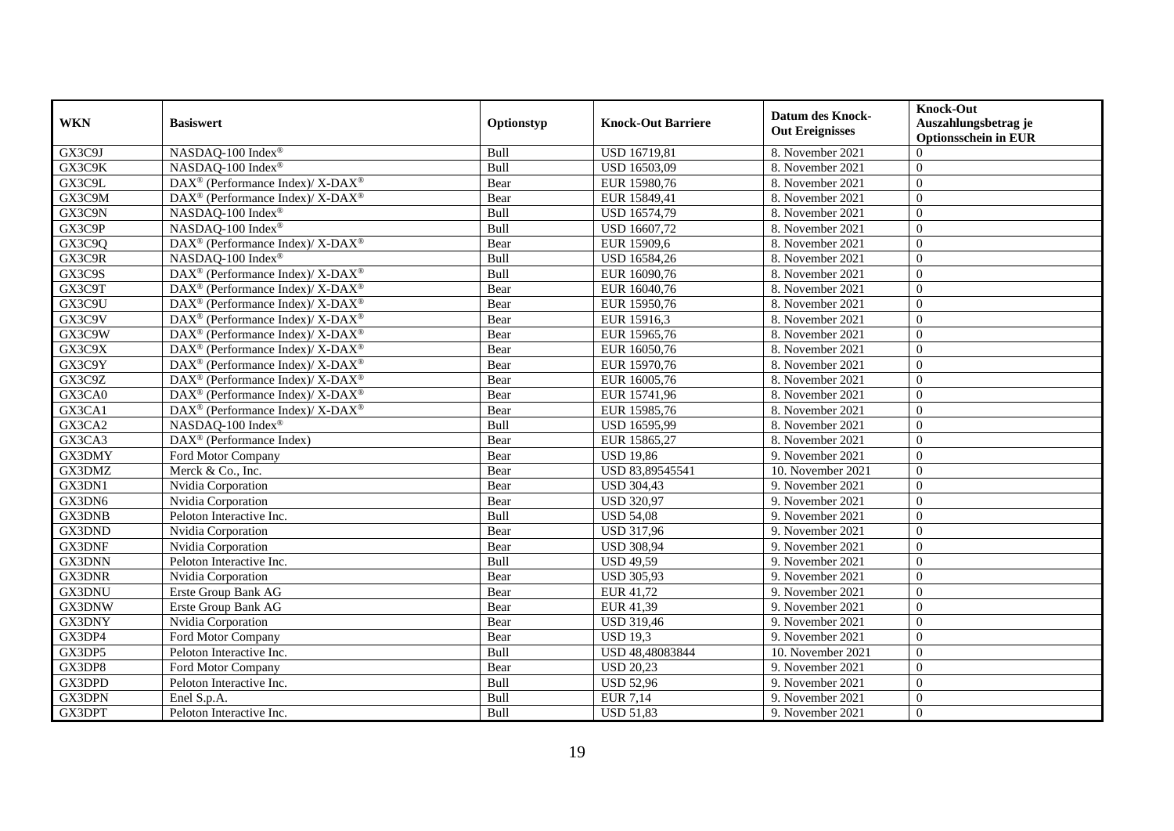| <b>WKN</b>    | <b>Basiswert</b>                                                                     | Optionstyp | <b>Knock-Out Barriere</b> | <b>Datum des Knock-</b><br><b>Out Ereignisses</b> | <b>Knock-Out</b><br>Auszahlungsbetrag je<br><b>Optionsschein in EUR</b> |
|---------------|--------------------------------------------------------------------------------------|------------|---------------------------|---------------------------------------------------|-------------------------------------------------------------------------|
| GX3C9J        | NASDAQ-100 Index®                                                                    | Bull       | <b>USD 16719,81</b>       | 8. November 2021                                  | $\Omega$                                                                |
| GX3C9K        | NASDAQ-100 Index®                                                                    | Bull       | USD 16503,09              | 8. November 2021                                  | $\Omega$                                                                |
| GX3C9L        | $\overline{\text{DAX}^{\otimes}}$ (Performance Index)/X-DAX <sup>®</sup>             | Bear       | EUR 15980,76              | 8. November 2021                                  | $\Omega$                                                                |
| GX3C9M        | $\text{DAX}^{\textcircled{\tiny{\text{R}}}}$ (Performance Index)/ X-DAX <sup>®</sup> | Bear       | EUR 15849,41              | 8. November 2021                                  | $\theta$                                                                |
| GX3C9N        | NASDAQ-100 Index®                                                                    | Bull       | USD 16574,79              | 8. November 2021                                  | $\theta$                                                                |
| GX3C9P        | NASDAQ-100 Index®                                                                    | Bull       | USD 16607,72              | 8. November 2021                                  | $\Omega$                                                                |
| GX3C90        | DAX <sup>®</sup> (Performance Index)/X-DAX <sup>®</sup>                              | Bear       | EUR 15909,6               | 8. November 2021                                  | $\Omega$                                                                |
| GX3C9R        | NASDAQ-100 Index®                                                                    | Bull       | USD 16584,26              | 8. November 2021                                  | $\theta$                                                                |
| GX3C9S        | DAX <sup>®</sup> (Performance Index)/ X-DAX <sup>®</sup>                             | Bull       | EUR 16090,76              | 8. November 2021                                  | $\overline{0}$                                                          |
| GX3C9T        | DAX <sup>®</sup> (Performance Index)/X-DAX <sup>®</sup>                              | Bear       | EUR 16040,76              | 8. November 2021                                  | $\Omega$                                                                |
| GX3C9U        | DAX <sup>®</sup> (Performance Index)/X-DAX <sup>®</sup>                              | Bear       | EUR 15950,76              | 8. November 2021                                  | $\Omega$                                                                |
| GX3C9V        | DAX <sup>®</sup> (Performance Index)/ X-DAX <sup>®</sup>                             | Bear       | EUR 15916,3               | 8. November 2021                                  | $\theta$                                                                |
| GX3C9W        | DAX <sup>®</sup> (Performance Index)/X-DAX <sup>®</sup>                              | Bear       | EUR 15965,76              | 8. November 2021                                  | $\theta$                                                                |
| GX3C9X        | $DAX^{\circledcirc}$ (Performance Index)/ X-DAX <sup>®</sup>                         | Bear       | EUR 16050,76              | 8. November 2021                                  | $\Omega$                                                                |
| GX3C9Y        | DAX <sup>®</sup> (Performance Index)/ X-DAX <sup>®</sup>                             | Bear       | EUR 15970,76              | 8. November 2021                                  | $\Omega$                                                                |
| GX3C9Z        | DAX <sup>®</sup> (Performance Index)/ X-DAX <sup>®</sup>                             | Bear       | EUR 16005,76              | 8. November 2021                                  | $\Omega$                                                                |
| GX3CA0        | $DAX^{\circledcirc}$ (Performance Index)/ X-DAX <sup>®</sup>                         | Bear       | EUR 15741,96              | 8. November 2021                                  | $\Omega$                                                                |
| GX3CA1        | $\text{DAX}^{\circledR}$ (Performance Index)/ X-DAX <sup>®</sup>                     | Bear       | EUR 15985,76              | 8. November 2021                                  | $\Omega$                                                                |
| GX3CA2        | NASDAQ-100 Index®                                                                    | Bull       | USD 16595,99              | 8. November 2021                                  | $\Omega$                                                                |
| GX3CA3        | DAX <sup>®</sup> (Performance Index)                                                 | Bear       | EUR 15865,27              | 8. November 2021                                  | $\theta$                                                                |
| GX3DMY        | Ford Motor Company                                                                   | Bear       | <b>USD 19,86</b>          | 9. November 2021                                  | $\overline{0}$                                                          |
| GX3DMZ        | Merck & Co., Inc.                                                                    | Bear       | USD 83,89545541           | 10. November 2021                                 | $\Omega$                                                                |
| GX3DN1        | Nvidia Corporation                                                                   | Bear       | <b>USD 304,43</b>         | 9. November 2021                                  | $\Omega$                                                                |
| GX3DN6        | Nvidia Corporation                                                                   | Bear       | <b>USD 320,97</b>         | 9. November 2021                                  | $\Omega$                                                                |
| <b>GX3DNB</b> | Peloton Interactive Inc.                                                             | Bull       | <b>USD 54,08</b>          | 9. November 2021                                  | $\theta$                                                                |
| GX3DND        | Nvidia Corporation                                                                   | Bear       | <b>USD 317,96</b>         | 9. November 2021                                  | $\Omega$                                                                |
| <b>GX3DNF</b> | Nvidia Corporation                                                                   | Bear       | <b>USD 308,94</b>         | 9. November 2021                                  | $\overline{0}$                                                          |
| GX3DNN        | Peloton Interactive Inc.                                                             | Bull       | <b>USD 49,59</b>          | 9. November 2021                                  | $\theta$                                                                |
| <b>GX3DNR</b> | Nvidia Corporation                                                                   | Bear       | <b>USD 305,93</b>         | 9. November 2021                                  | $\theta$                                                                |
| GX3DNU        | Erste Group Bank AG                                                                  | Bear       | EUR 41,72                 | 9. November 2021                                  | $\overline{0}$                                                          |
| GX3DNW        | Erste Group Bank AG                                                                  | Bear       | EUR 41,39                 | 9. November 2021                                  | $\mathbf{0}$                                                            |
| GX3DNY        | Nvidia Corporation                                                                   | Bear       | <b>USD 319,46</b>         | 9. November 2021                                  | $\Omega$                                                                |
| GX3DP4        | Ford Motor Company                                                                   | Bear       | <b>USD 19.3</b>           | 9. November 2021                                  | $\Omega$                                                                |
| GX3DP5        | Peloton Interactive Inc.                                                             | Bull       | USD 48,48083844           | 10. November 2021                                 | $\Omega$                                                                |
| GX3DP8        | Ford Motor Company                                                                   | Bear       | <b>USD 20,23</b>          | 9. November 2021                                  | $\overline{0}$                                                          |
| GX3DPD        | Peloton Interactive Inc.                                                             | Bull       | <b>USD 52,96</b>          | 9. November 2021                                  | $\overline{0}$                                                          |
| GX3DPN        | Enel S.p.A.                                                                          | Bull       | EUR 7,14                  | 9. November 2021                                  | $\overline{0}$                                                          |
| GX3DPT        | Peloton Interactive Inc.                                                             | Bull       | <b>USD 51,83</b>          | 9. November 2021                                  | $\boldsymbol{0}$                                                        |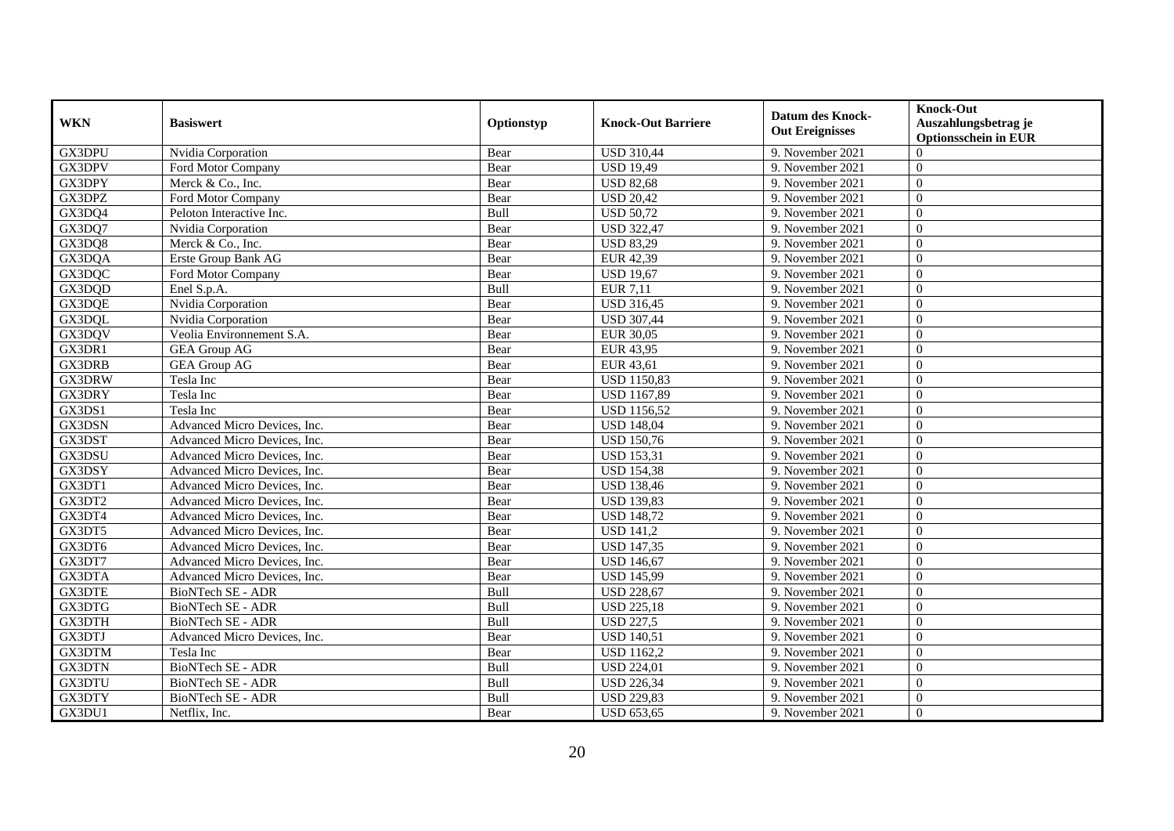| <b>WKN</b>    | <b>Basiswert</b>             | Optionstyp | <b>Knock-Out Barriere</b> | <b>Datum des Knock-</b><br><b>Out Ereignisses</b> | <b>Knock-Out</b><br>Auszahlungsbetrag je<br><b>Optionsschein in EUR</b> |
|---------------|------------------------------|------------|---------------------------|---------------------------------------------------|-------------------------------------------------------------------------|
| GX3DPU        | Nvidia Corporation           | Bear       | <b>USD 310,44</b>         | 9. November 2021                                  | $\Omega$                                                                |
| GX3DPV        | Ford Motor Company           | Bear       | <b>USD 19,49</b>          | 9. November 2021                                  | $\Omega$                                                                |
| GX3DPY        | Merck & Co., Inc.            | Bear       | <b>USD 82,68</b>          | 9. November 2021                                  | $\Omega$                                                                |
| GX3DPZ        | Ford Motor Company           | Bear       | <b>USD 20,42</b>          | 9. November 2021                                  | $\overline{0}$                                                          |
| GX3DQ4        | Peloton Interactive Inc.     | Bull       | <b>USD 50,72</b>          | 9. November 2021                                  | $\overline{0}$                                                          |
| GX3DQ7        | Nvidia Corporation           | Bear       | <b>USD 322,47</b>         | 9. November 2021                                  | $\Omega$                                                                |
| GX3DO8        | Merck & Co., Inc.            | Bear       | <b>USD 83,29</b>          | 9. November 2021                                  | $\Omega$                                                                |
| GX3DQA        | Erste Group Bank AG          | Bear       | EUR 42,39                 | 9. November 2021                                  | $\overline{0}$                                                          |
| GX3DQC        | Ford Motor Company           | Bear       | <b>USD 19,67</b>          | 9. November 2021                                  | $\overline{0}$                                                          |
| GX3DQD        | Enel S.p.A.                  | Bull       | <b>EUR 7,11</b>           | 9. November 2021                                  | $\overline{0}$                                                          |
| GX3DQE        | Nvidia Corporation           | Bear       | <b>USD 316,45</b>         | 9. November 2021                                  | $\Omega$                                                                |
| GX3DQL        | Nvidia Corporation           | Bear       | <b>USD 307,44</b>         | 9. November 2021                                  | $\overline{0}$                                                          |
| GX3DQV        | Veolia Environnement S.A.    | Bear       | EUR 30,05                 | 9. November 2021                                  | $\overline{0}$                                                          |
| GX3DR1        | <b>GEA Group AG</b>          | Bear       | EUR 43,95                 | 9. November 2021                                  | $\Omega$                                                                |
| <b>GX3DRB</b> | <b>GEA</b> Group AG          | Bear       | EUR 43,61                 | 9. November 2021                                  | $\overline{0}$                                                          |
| GX3DRW        | Tesla Inc                    | Bear       | <b>USD 1150,83</b>        | 9. November 2021                                  | $\Omega$                                                                |
| GX3DRY        | Tesla Inc                    | Bear       | <b>USD 1167,89</b>        | 9. November 2021                                  | $\Omega$                                                                |
| GX3DS1        | Tesla Inc                    | Bear       | <b>USD 1156,52</b>        | 9. November 2021                                  | $\overline{0}$                                                          |
| GX3DSN        | Advanced Micro Devices, Inc. | Bear       | <b>USD 148,04</b>         | 9. November 2021                                  | $\Omega$                                                                |
| GX3DST        | Advanced Micro Devices, Inc. | Bear       | <b>USD 150,76</b>         | 9. November 2021                                  | $\overline{0}$                                                          |
| GX3DSU        | Advanced Micro Devices, Inc. | Bear       | <b>USD 153,31</b>         | 9. November 2021                                  | $\overline{0}$                                                          |
| GX3DSY        | Advanced Micro Devices, Inc. | Bear       | <b>USD 154,38</b>         | 9. November 2021                                  | $\Omega$                                                                |
| GX3DT1        | Advanced Micro Devices, Inc. | Bear       | <b>USD 138,46</b>         | 9. November 2021                                  | $\Omega$                                                                |
| GX3DT2        | Advanced Micro Devices, Inc. | Bear       | <b>USD 139,83</b>         | 9. November 2021                                  | $\Omega$                                                                |
| GX3DT4        | Advanced Micro Devices, Inc. | Bear       | <b>USD 148,72</b>         | 9. November 2021                                  | $\theta$                                                                |
| GX3DT5        | Advanced Micro Devices, Inc. | Bear       | <b>USD 141,2</b>          | 9. November 2021                                  | $\overline{0}$                                                          |
| GX3DT6        | Advanced Micro Devices, Inc. | Bear       | <b>USD 147,35</b>         | 9. November 2021                                  | $\overline{0}$                                                          |
| GX3DT7        | Advanced Micro Devices, Inc. | Bear       | <b>USD 146,67</b>         | 9. November 2021                                  | $\overline{0}$                                                          |
| GX3DTA        | Advanced Micro Devices, Inc. | Bear       | <b>USD 145,99</b>         | 9. November 2021                                  | $\overline{0}$                                                          |
| <b>GX3DTE</b> | <b>BioNTech SE - ADR</b>     | Bull       | <b>USD 228,67</b>         | 9. November 2021                                  | $\overline{0}$                                                          |
| GX3DTG        | <b>BioNTech SE - ADR</b>     | Bull       | <b>USD 225,18</b>         | 9. November 2021                                  | $\overline{0}$                                                          |
| GX3DTH        | <b>BioNTech SE - ADR</b>     | Bull       | <b>USD 227,5</b>          | 9. November 2021                                  | $\overline{0}$                                                          |
| GX3DTJ        | Advanced Micro Devices, Inc. | Bear       | <b>USD 140,51</b>         | 9. November 2021                                  | $\Omega$                                                                |
| GX3DTM        | Tesla Inc                    | Bear       | <b>USD 1162,2</b>         | 9. November 2021                                  | $\overline{0}$                                                          |
| <b>GX3DTN</b> | <b>BioNTech SE - ADR</b>     | Bull       | <b>USD 224,01</b>         | 9. November 2021                                  | $\overline{0}$                                                          |
| GX3DTU        | <b>BioNTech SE - ADR</b>     | Bull       | <b>USD 226,34</b>         | 9. November 2021                                  | $\overline{0}$                                                          |
| GX3DTY        | <b>BioNTech SE - ADR</b>     | Bull       | <b>USD 229,83</b>         | 9. November 2021                                  | $\overline{0}$                                                          |
| GX3DU1        | Netflix, Inc.                | Bear       | <b>USD 653,65</b>         | 9. November 2021                                  | $\boldsymbol{0}$                                                        |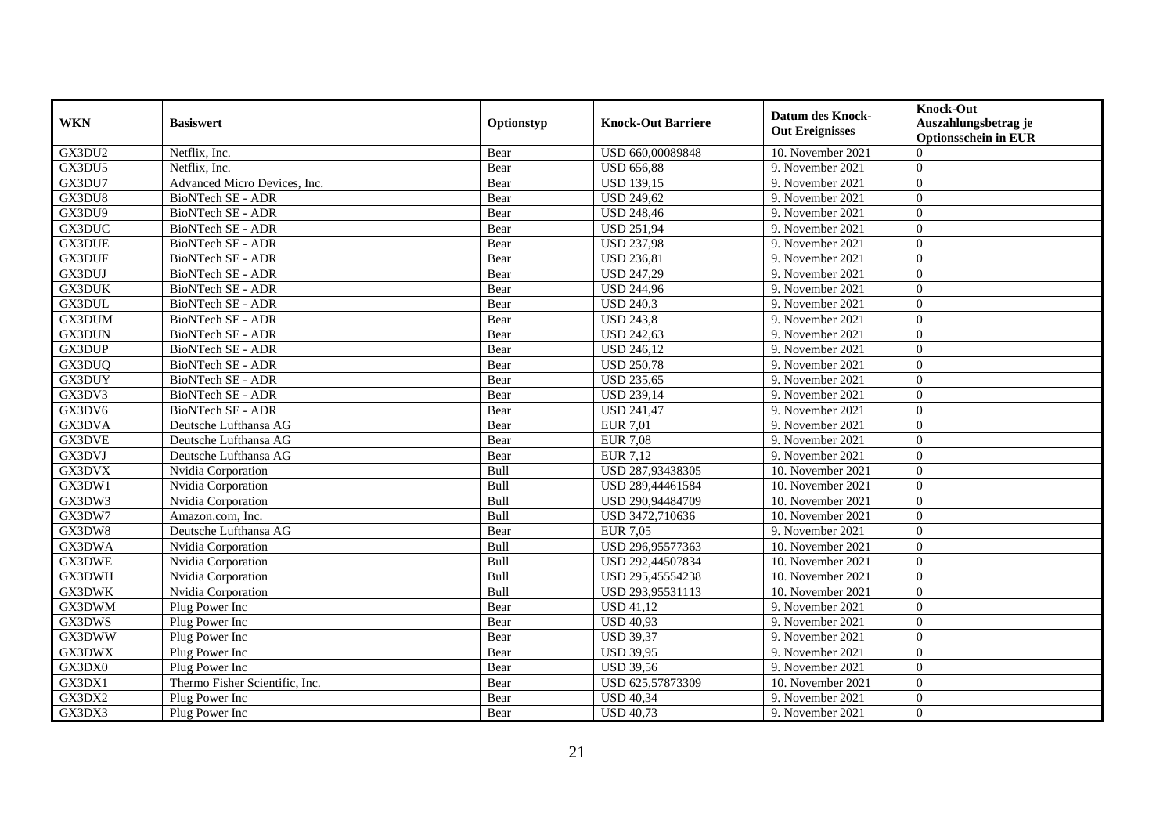| <b>WKN</b>         | <b>Basiswert</b>               | Optionstyp  | <b>Knock-Out Barriere</b> | <b>Datum des Knock-</b><br><b>Out Ereignisses</b> | <b>Knock-Out</b><br>Auszahlungsbetrag je<br><b>Optionsschein in EUR</b> |
|--------------------|--------------------------------|-------------|---------------------------|---------------------------------------------------|-------------------------------------------------------------------------|
| GX3DU2             | Netflix, Inc.                  | Bear        | USD 660,00089848          | 10. November 2021                                 | $\Omega$                                                                |
| GX3DU5             | Netflix, Inc.                  | Bear        | <b>USD 656,88</b>         | 9. November 2021                                  | $\Omega$                                                                |
| GX3DU7             | Advanced Micro Devices, Inc.   | Bear        | <b>USD 139,15</b>         | 9. November 2021                                  | $\Omega$                                                                |
| GX3DU8             | <b>BioNTech SE - ADR</b>       | Bear        | <b>USD 249,62</b>         | 9. November 2021                                  | $\overline{0}$                                                          |
| GX3DU9             | <b>BioNTech SE - ADR</b>       | Bear        | <b>USD 248,46</b>         | 9. November 2021                                  | $\overline{0}$                                                          |
| <b>GX3DUC</b>      | <b>BioNTech SE - ADR</b>       | Bear        | <b>USD 251,94</b>         | 9. November 2021                                  | $\Omega$                                                                |
| <b>GX3DUE</b>      | <b>BioNTech SE - ADR</b>       | Bear        | <b>USD 237,98</b>         | 9. November 2021                                  | $\overline{0}$                                                          |
| GX3DUF             | BioNTech SE - ADR              | Bear        | <b>USD 236,81</b>         | 9. November 2021                                  | $\Omega$                                                                |
| GX3DUJ             | <b>BioNTech SE - ADR</b>       | Bear        | <b>USD 247,29</b>         | 9. November 2021                                  | $\overline{0}$                                                          |
| <b>GX3DUK</b>      | <b>BioNTech SE - ADR</b>       | Bear        | <b>USD 244,96</b>         | 9. November 2021                                  | $\Omega$                                                                |
| GX3DUL             | <b>BioNTech SE - ADR</b>       | Bear        | <b>USD 240.3</b>          | 9. November 2021                                  | $\Omega$                                                                |
| GX3DUM             | BioNTech SE - ADR              | Bear        | <b>USD 243,8</b>          | 9. November 2021                                  | $\overline{0}$                                                          |
| GX3DUN             | <b>BioNTech SE - ADR</b>       | Bear        | <b>USD 242,63</b>         | 9. November 2021                                  | $\overline{0}$                                                          |
| <b>GX3DUP</b>      | <b>BioNTech SE - ADR</b>       | Bear        | <b>USD 246,12</b>         | 9. November 2021                                  | $\overline{0}$                                                          |
| GX3DUQ             | BioNTech SE - ADR              | Bear        | <b>USD 250,78</b>         | 9. November 2021                                  | $\overline{0}$                                                          |
| GX3DUY             | BioNTech SE - ADR              | Bear        | <b>USD 235,65</b>         | 9. November 2021                                  | $\overline{0}$                                                          |
| GX3D <sub>V3</sub> | <b>BioNTech SE - ADR</b>       | Bear        | <b>USD 239,14</b>         | 9. November 2021                                  | $\overline{0}$                                                          |
| GX3DV6             | <b>BioNTech SE - ADR</b>       | Bear        | <b>USD 241,47</b>         | 9. November 2021                                  | $\Omega$                                                                |
| GX3DVA             | Deutsche Lufthansa AG          | Bear        | <b>EUR 7,01</b>           | 9. November 2021                                  | $\Omega$                                                                |
| <b>GX3DVE</b>      | Deutsche Lufthansa AG          | <b>Bear</b> | <b>EUR 7,08</b>           | 9. November 2021                                  | $\overline{0}$                                                          |
| GX3DVJ             | Deutsche Lufthansa AG          | Bear        | EUR 7,12                  | 9. November 2021                                  | $\overline{0}$                                                          |
| GX3DVX             | Nvidia Corporation             | Bull        | USD 287,93438305          | 10. November 2021                                 | $\Omega$                                                                |
| GX3DW1             | Nvidia Corporation             | Bull        | USD 289,44461584          | 10. November 2021                                 | $\overline{0}$                                                          |
| GX3DW3             | Nvidia Corporation             | Bull        | USD 290,94484709          | 10. November 2021                                 | $\overline{0}$                                                          |
| GX3DW7             | Amazon.com, Inc.               | Bull        | USD 3472,710636           | 10. November 2021                                 | $\overline{0}$                                                          |
| GX3DW8             | Deutsche Lufthansa AG          | Bear        | <b>EUR 7,05</b>           | 9. November 2021                                  | $\overline{0}$                                                          |
| GX3DWA             | Nvidia Corporation             | Bull        | USD 296,95577363          | 10. November 2021                                 | $\overline{0}$                                                          |
| <b>GX3DWE</b>      | Nvidia Corporation             | Bull        | USD 292,44507834          | 10. November 2021                                 | $\overline{0}$                                                          |
| GX3DWH             | Nvidia Corporation             | Bull        | USD 295,45554238          | 10. November 2021                                 | $\Omega$                                                                |
| <b>GX3DWK</b>      | Nvidia Corporation             | Bull        | USD 293.95531113          | 10. November 2021                                 | $\Omega$                                                                |
| GX3DWM             | Plug Power Inc                 | Bear        | <b>USD 41,12</b>          | 9. November 2021                                  | $\overline{0}$                                                          |
| GX3DWS             | Plug Power Inc                 | Bear        | <b>USD 40,93</b>          | 9. November 2021                                  | $\overline{0}$                                                          |
| GX3DWW             | Plug Power Inc                 | Bear        | <b>USD 39,37</b>          | 9. November 2021                                  | $\Omega$                                                                |
| GX3DWX             | Plug Power Inc                 | Bear        | <b>USD 39,95</b>          | 9. November 2021                                  | $\overline{0}$                                                          |
| GX3DX0             | Plug Power Inc                 | Bear        | <b>USD 39,56</b>          | 9. November 2021                                  | $\Omega$                                                                |
| GX3DX1             | Thermo Fisher Scientific, Inc. | Bear        | USD 625,57873309          | 10. November 2021                                 | $\overline{0}$                                                          |
| GX3DX2             | Plug Power Inc                 | Bear        | <b>USD 40,34</b>          | 9. November 2021                                  | $\mathbf{0}$                                                            |
| GX3DX3             | Plug Power Inc                 | Bear        | <b>USD 40,73</b>          | 9. November 2021                                  | $\theta$                                                                |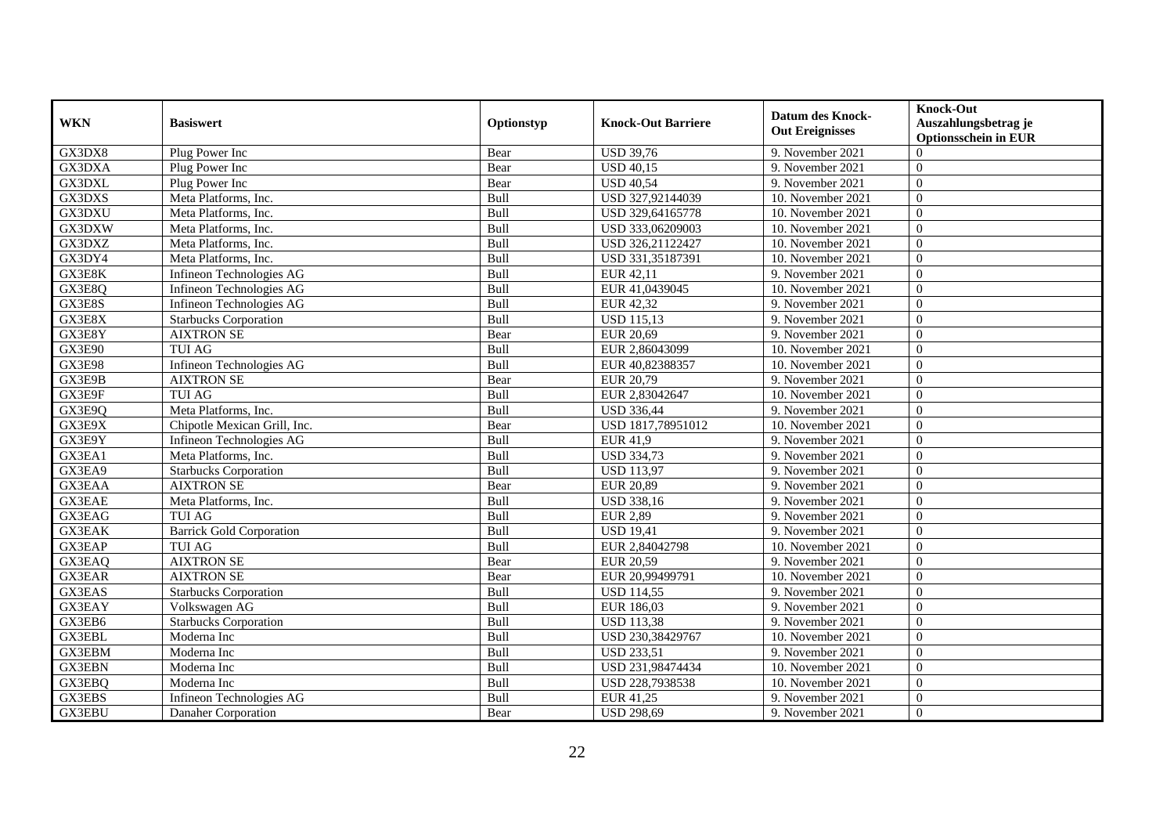| <b>WKN</b>    | <b>Basiswert</b>                | Optionstyp | <b>Knock-Out Barriere</b> | <b>Datum des Knock-</b><br><b>Out Ereignisses</b> | <b>Knock-Out</b><br>Auszahlungsbetrag je<br><b>Optionsschein in EUR</b> |
|---------------|---------------------------------|------------|---------------------------|---------------------------------------------------|-------------------------------------------------------------------------|
| GX3DX8        | Plug Power Inc                  | Bear       | <b>USD 39,76</b>          | 9. November 2021                                  | $\Omega$                                                                |
| GX3DXA        | Plug Power Inc                  | Bear       | <b>USD 40,15</b>          | 9. November 2021                                  | $\Omega$                                                                |
| GX3DXL        | Plug Power Inc                  | Bear       | <b>USD 40.54</b>          | 9. November 2021                                  | $\Omega$                                                                |
| GX3DXS        | Meta Platforms, Inc.            | Bull       | USD 327,92144039          | 10. November 2021                                 | $\Omega$                                                                |
| GX3DXU        | Meta Platforms, Inc.            | Bull       | USD 329,64165778          | 10. November 2021                                 | $\overline{0}$                                                          |
| GX3DXW        | Meta Platforms, Inc.            | Bull       | USD 333,06209003          | 10. November 2021                                 | $\theta$                                                                |
| GX3DXZ        | Meta Platforms, Inc.            | Bull       | USD 326.21122427          | 10. November 2021                                 | $\Omega$                                                                |
| GX3DY4        | Meta Platforms, Inc.            | Bull       | USD 331,35187391          | 10. November 2021                                 | $\Omega$                                                                |
| GX3E8K        | Infineon Technologies AG        | Bull       | EUR 42,11                 | 9. November 2021                                  | $\overline{0}$                                                          |
| GX3E8Q        | Infineon Technologies AG        | Bull       | EUR 41,0439045            | 10. November 2021                                 | $\overline{0}$                                                          |
| GX3E8S        | Infineon Technologies AG        | Bull       | EUR 42,32                 | 9. November 2021                                  | $\Omega$                                                                |
| GX3E8X        | <b>Starbucks Corporation</b>    | Bull       | <b>USD 115,13</b>         | 9. November 2021                                  | $\theta$                                                                |
| GX3E8Y        | <b>AIXTRON SE</b>               | Bear       | EUR 20,69                 | 9. November 2021                                  | $\theta$                                                                |
| <b>GX3E90</b> | <b>TUI AG</b>                   | Bull       | EUR 2,86043099            | 10. November 2021                                 | $\theta$                                                                |
| GX3E98        | Infineon Technologies AG        | Bull       | EUR 40,82388357           | 10. November 2021                                 | $\theta$                                                                |
| GX3E9B        | <b>AIXTRON SE</b>               | Bear       | EUR 20,79                 | 9. November 2021                                  | $\theta$                                                                |
| GX3E9F        | <b>TUI AG</b>                   | Bull       | EUR 2,83042647            | 10. November 2021                                 | $\theta$                                                                |
| GX3E9Q        | Meta Platforms, Inc.            | Bull       | <b>USD 336,44</b>         | 9. November 2021                                  | $\Omega$                                                                |
| GX3E9X        | Chipotle Mexican Grill, Inc.    | Bear       | USD 1817,78951012         | 10. November 2021                                 | $\Omega$                                                                |
| GX3E9Y        | Infineon Technologies AG        | Bull       | <b>EUR 41,9</b>           | 9. November 2021                                  | $\overline{0}$                                                          |
| GX3EA1        | Meta Platforms, Inc.            | Bull       | <b>USD 334,73</b>         | 9. November 2021                                  | $\mathbf{0}$                                                            |
| GX3EA9        | <b>Starbucks Corporation</b>    | Bull       | <b>USD</b> 113,97         | 9. November 2021                                  | $\theta$                                                                |
| <b>GX3EAA</b> | <b>AIXTRON SE</b>               | Bear       | <b>EUR 20,89</b>          | 9. November 2021                                  | $\Omega$                                                                |
| <b>GX3EAE</b> | Meta Platforms, Inc.            | Bull       | USD 338,16                | 9. November 2021                                  | $\Omega$                                                                |
| <b>GX3EAG</b> | TUI AG                          | Bull       | <b>EUR 2,89</b>           | 9. November 2021                                  | $\overline{0}$                                                          |
| <b>GX3EAK</b> | <b>Barrick Gold Corporation</b> | Bull       | <b>USD 19,41</b>          | 9. November 2021                                  | $\overline{0}$                                                          |
| GX3EAP        | <b>TUI AG</b>                   | Bull       | EUR 2,84042798            | 10. November 2021                                 | $\Omega$                                                                |
| GX3EAQ        | <b>AIXTRON SE</b>               | Bear       | EUR 20,59                 | 9. November 2021                                  | $\overline{0}$                                                          |
| <b>GX3EAR</b> | <b>AIXTRON SE</b>               | Bear       | EUR 20,99499791           | 10. November 2021                                 | $\overline{0}$                                                          |
| GX3EAS        | <b>Starbucks Corporation</b>    | Bull       | <b>USD 114,55</b>         | 9. November 2021                                  | $\Omega$                                                                |
| GX3EAY        | Volkswagen AG                   | Bull       | EUR 186,03                | 9. November 2021                                  | $\overline{0}$                                                          |
| GX3EB6        | <b>Starbucks Corporation</b>    | Bull       | <b>USD 113,38</b>         | 9. November 2021                                  | $\overline{0}$                                                          |
| <b>GX3EBL</b> | Moderna Inc                     | Bull       | USD 230,38429767          | 10. November 2021                                 | $\overline{0}$                                                          |
| GX3EBM        | Moderna Inc                     | Bull       | <b>USD 233,51</b>         | 9. November 2021                                  | $\overline{0}$                                                          |
| <b>GX3EBN</b> | Moderna Inc                     | Bull       | USD 231,98474434          | 10. November 2021                                 | $\overline{0}$                                                          |
| GX3EBQ        | Moderna Inc                     | Bull       | USD 228,7938538           | 10. November 2021                                 | $\overline{0}$                                                          |
| GX3EBS        | Infineon Technologies AG        | Bull       | EUR 41,25                 | 9. November 2021                                  | $\mathbf{0}$                                                            |
| GX3EBU        | Danaher Corporation             | Bear       | <b>USD 298,69</b>         | 9. November 2021                                  | $\overline{0}$                                                          |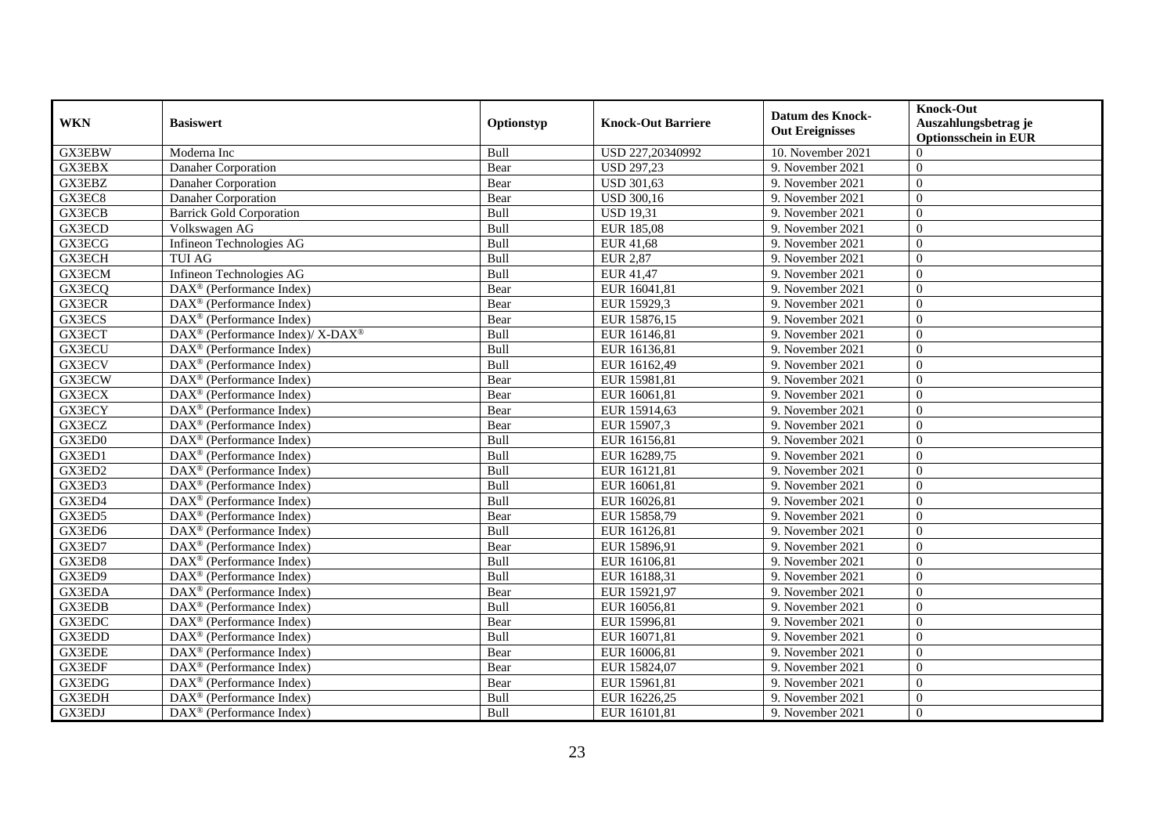| <b>WKN</b>    | <b>Basiswert</b>                                         | Optionstyp | <b>Knock-Out Barriere</b> | <b>Datum des Knock-</b><br><b>Out Ereignisses</b> | <b>Knock-Out</b><br>Auszahlungsbetrag je<br><b>Optionsschein in EUR</b> |
|---------------|----------------------------------------------------------|------------|---------------------------|---------------------------------------------------|-------------------------------------------------------------------------|
| <b>GX3EBW</b> | Moderna Inc                                              | Bull       | USD 227,20340992          | 10. November 2021                                 | $\Omega$                                                                |
| GX3EBX        | Danaher Corporation                                      | Bear       | <b>USD 297,23</b>         | 9. November 2021                                  | $\theta$                                                                |
| GX3EBZ        | Danaher Corporation                                      | Bear       | <b>USD 301,63</b>         | 9. November 2021                                  | $\theta$                                                                |
| GX3EC8        | Danaher Corporation                                      | Bear       | <b>USD 300,16</b>         | 9. November 2021                                  | $\overline{0}$                                                          |
| <b>GX3ECB</b> | <b>Barrick Gold Corporation</b>                          | Bull       | <b>USD 19,31</b>          | 9. November 2021                                  | $\overline{0}$                                                          |
| GX3ECD        | Volkswagen AG                                            | Bull       | EUR 185,08                | 9. November 2021                                  | $\Omega$                                                                |
| GX3ECG        | Infineon Technologies AG                                 | Bull       | <b>EUR 41,68</b>          | 9. November 2021                                  | $\Omega$                                                                |
| GX3ECH        | <b>TUI AG</b>                                            | Bull       | <b>EUR 2,87</b>           | 9. November 2021                                  | $\theta$                                                                |
| <b>GX3ECM</b> | Infineon Technologies AG                                 | Bull       | EUR 41,47                 | 9. November 2021                                  | $\theta$                                                                |
| GX3ECQ        | DAX <sup>®</sup> (Performance Index)                     | Bear       | EUR 16041,81              | 9. November 2021                                  | $\theta$                                                                |
| <b>GX3ECR</b> | DAX <sup>®</sup> (Performance Index)                     | Bear       | EUR 15929,3               | 9. November 2021                                  | $\Omega$                                                                |
| <b>GX3ECS</b> | $\overline{\text{DAX}^{\otimes}}$ (Performance Index)    | Bear       | EUR 15876,15              | 9. November 2021                                  | $\theta$                                                                |
| GX3ECT        | DAX <sup>®</sup> (Performance Index)/ X-DAX <sup>®</sup> | Bull       | EUR 16146,81              | 9. November 2021                                  | $\theta$                                                                |
| <b>GX3ECU</b> | $DAX^{\circledR}$ (Performance Index)                    | Bull       | EUR 16136,81              | 9. November 2021                                  | $\Omega$                                                                |
| GX3ECV        | $DAX^{\circledast}$ (Performance Index)                  | Bull       | EUR 16162,49              | 9. November 2021                                  | $\overline{0}$                                                          |
| GX3ECW        | $DAX^{\circledast}$ (Performance Index)                  | Bear       | EUR 15981,81              | 9. November 2021                                  | $\overline{0}$                                                          |
| GX3ECX        | DAX <sup>®</sup> (Performance Index)                     | Bear       | EUR 16061,81              | 9. November 2021                                  | $\theta$                                                                |
| <b>GX3ECY</b> | $DAX^{\circledast}$ (Performance Index)                  | Bear       | EUR 15914,63              | 9. November 2021                                  | $\theta$                                                                |
| GX3ECZ        | $DAX^{\circledR}$ (Performance Index)                    | Bear       | EUR 15907,3               | 9. November 2021                                  | $\theta$                                                                |
| GX3ED0        | $\overline{\text{DAX}^{\otimes}}$ (Performance Index)    | Bull       | EUR 16156,81              | 9. November 2021                                  | $\overline{0}$                                                          |
| GX3ED1        | $DAX^{\circledast}$ (Performance Index)                  | Bull       | EUR 16289,75              | 9. November 2021                                  | $\theta$                                                                |
| GX3ED2        | $DAX^{\circledast}$ (Performance Index)                  | Bull       | EUR 16121,81              | 9. November 2021                                  | $\theta$                                                                |
| GX3ED3        | $\overline{\text{DAX}^{\otimes}}$ (Performance Index)    | Bull       | EUR 16061,81              | 9. November 2021                                  | $\theta$                                                                |
| GX3ED4        | DAX <sup>®</sup> (Performance Index)                     | Bull       | EUR 16026,81              | 9. November 2021                                  | $\Omega$                                                                |
| GX3ED5        | $DAX^{\circledR}$ (Performance Index)                    | Bear       | EUR 15858,79              | 9. November 2021                                  | $\theta$                                                                |
| GX3ED6        | $DAX^{\circledast}$ (Performance Index)                  | Bull       | EUR 16126,81              | 9. November 2021                                  | $\overline{0}$                                                          |
| GX3ED7        | DAX <sup>®</sup> (Performance Index)                     | Bear       | EUR 15896,91              | 9. November 2021                                  | $\overline{0}$                                                          |
| GX3ED8        | $DAX^{\circledR}$ (Performance Index)                    | Bull       | EUR 16106,81              | 9. November 2021                                  | $\theta$                                                                |
| GX3ED9        | DAX <sup>®</sup> (Performance Index)                     | Bull       | EUR 16188,31              | 9. November 2021                                  | $\theta$                                                                |
| GX3EDA        | $DAX^{\circledast}$ (Performance Index)                  | Bear       | EUR 15921,97              | 9. November 2021                                  | $\theta$                                                                |
| GX3EDB        | DAX <sup>®</sup> (Performance Index)                     | Bull       | EUR 16056,81              | 9. November 2021                                  | $\overline{0}$                                                          |
| GX3EDC        | DAX <sup>®</sup> (Performance Index)                     | Bear       | EUR 15996,81              | 9. November 2021                                  | $\Omega$                                                                |
| GX3EDD        | $\overline{\text{DAX}^{\otimes}}$ (Performance Index)    | Bull       | EUR 16071,81              | 9. November 2021                                  | $\Omega$                                                                |
| GX3EDE        | $\overline{\text{DAX}^{\otimes}}$ (Performance Index)    | Bear       | EUR 16006,81              | 9. November 2021                                  | $\theta$                                                                |
| GX3EDF        | $DAX^{\circledast}$ (Performance Index)                  | Bear       | EUR 15824,07              | 9. November 2021                                  | $\overline{0}$                                                          |
| GX3EDG        | $DAX^{\circledast}$ (Performance Index)                  | Bear       | EUR 15961,81              | 9. November 2021                                  | $\theta$                                                                |
| GX3EDH        | $DAX^{\circledast}$ (Performance Index)                  | Bull       | EUR 16226,25              | 9. November 2021                                  | $\overline{0}$                                                          |
| GX3EDJ        | $DAX^{\circledast}$ (Performance Index)                  | Bull       | EUR 16101,81              | 9. November 2021                                  | $\overline{0}$                                                          |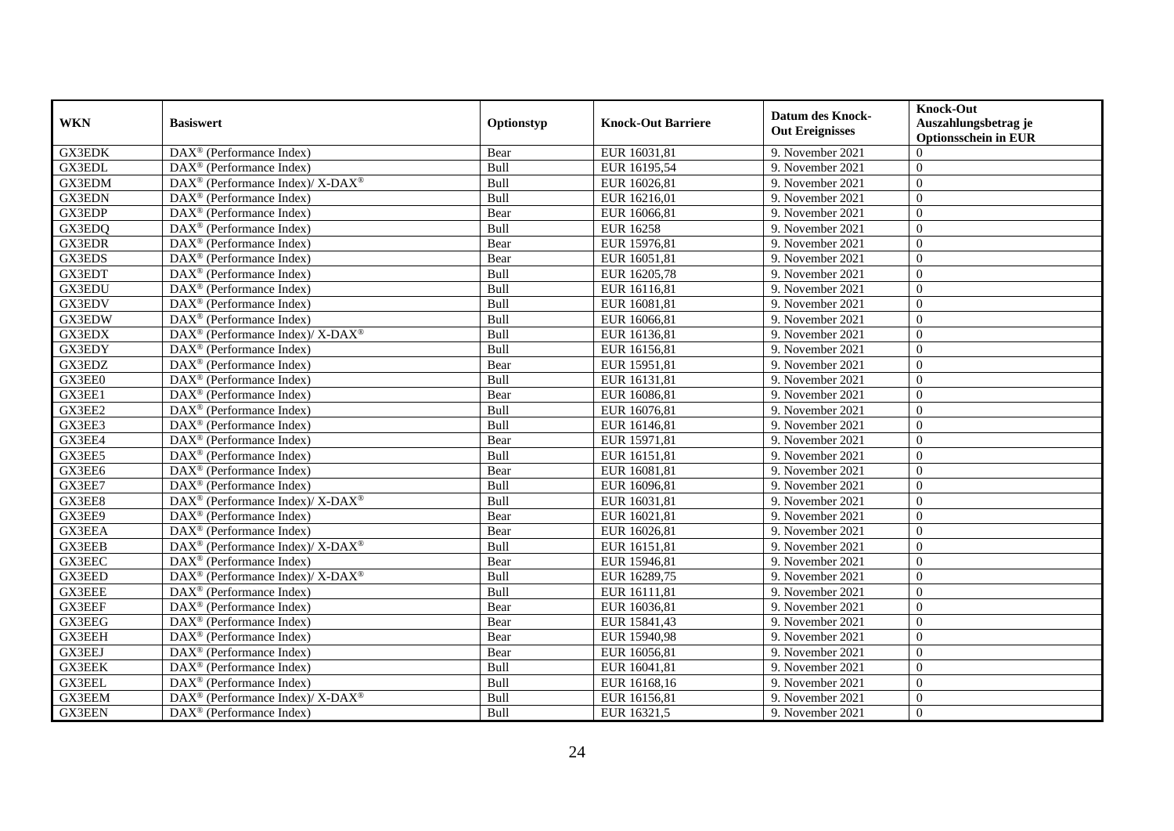| <b>WKN</b>    | <b>Basiswert</b>                                            | Optionstyp | Knock-Out Barriere | <b>Datum des Knock-</b><br><b>Out Ereignisses</b> | <b>Knock-Out</b><br>Auszahlungsbetrag je<br><b>Optionsschein in EUR</b> |
|---------------|-------------------------------------------------------------|------------|--------------------|---------------------------------------------------|-------------------------------------------------------------------------|
| <b>GX3EDK</b> | DAX <sup>®</sup> (Performance Index)                        | Bear       | EUR 16031,81       | 9. November 2021                                  | $\Omega$                                                                |
| <b>GX3EDL</b> | $DAX^{\circledR}$ (Performance Index)                       | Bull       | EUR 16195,54       | 9. November 2021                                  | $\Omega$                                                                |
| <b>GX3EDM</b> | DAX <sup>®</sup> (Performance Index)/X-DAX <sup>®</sup>     | Bull       | EUR 16026,81       | 9. November 2021                                  | $\Omega$                                                                |
| <b>GX3EDN</b> | DAX <sup>®</sup> (Performance Index)                        | Bull       | EUR 16216,01       | 9. November 2021                                  | $\overline{0}$                                                          |
| GX3EDP        | DAX <sup>®</sup> (Performance Index)                        | Bear       | EUR 16066,81       | 9. November 2021                                  | $\overline{0}$                                                          |
| GX3EDQ        | $\overline{\text{DAX}^{\otimes}}$ (Performance Index)       | Bull       | <b>EUR 16258</b>   | 9. November 2021                                  | $\Omega$                                                                |
| <b>GX3EDR</b> | $DAX^{\circledast}$ (Performance Index)                     | Bear       | EUR 15976,81       | 9. November 2021                                  | $\overline{0}$                                                          |
| GX3EDS        | $DAX^{\circledR}$ (Performance Index)                       | Bear       | EUR 16051,81       | 9. November 2021                                  | $\Omega$                                                                |
| GX3EDT        | DAX <sup>®</sup> (Performance Index)                        | Bull       | EUR 16205,78       | 9. November 2021                                  | $\Omega$                                                                |
| <b>GX3EDU</b> | DAX <sup>®</sup> (Performance Index)                        | Bull       | EUR 16116,81       | 9. November 2021                                  | $\Omega$                                                                |
| GX3EDV        | $DAX^{\circledR}$ (Performance Index)                       | Bull       | EUR 16081,81       | 9. November 2021                                  | $\Omega$                                                                |
| GX3EDW        | $\overline{\text{DAX}^{\otimes}}$ (Performance Index)       | Bull       | EUR 16066,81       | 9. November 2021                                  | $\Omega$                                                                |
| <b>GX3EDX</b> | DAX <sup>®</sup> (Performance Index)/ X-DAX <sup>®</sup>    | Bull       | EUR 16136,81       | 9. November 2021                                  | $\overline{0}$                                                          |
| GX3EDY        | $DAX^{\circledcirc}$ (Performance Index)                    | Bull       | EUR 16156,81       | 9. November 2021                                  | $\theta$                                                                |
| GX3EDZ        | DAX <sup>®</sup> (Performance Index)                        | Bear       | EUR 15951,81       | 9. November 2021                                  | $\overline{0}$                                                          |
| GX3EE0        | $\overline{\text{DAX}^{\otimes}}$ (Performance Index)       | Bull       | EUR 16131,81       | 9. November 2021                                  | $\theta$                                                                |
| GX3EE1        | DAX <sup>®</sup> (Performance Index)                        | Bear       | EUR 16086,81       | 9. November 2021                                  | $\theta$                                                                |
| GX3EE2        | $DAX^{\circledcirc}$ (Performance Index)                    | Bull       | EUR 16076,81       | 9. November 2021                                  | $\Omega$                                                                |
| GX3EE3        | DAX <sup>®</sup> (Performance Index)                        | Bull       | EUR 16146,81       | 9. November 2021                                  | $\Omega$                                                                |
| GX3EE4        | DAX <sup>®</sup> (Performance Index)                        | Bear       | EUR 15971,81       | 9. November 2021                                  | $\overline{0}$                                                          |
| GX3EE5        | $DAX^{\circledR}$ (Performance Index)                       | Bull       | EUR 16151,81       | 9. November 2021                                  | $\overline{0}$                                                          |
| GX3EE6        | $DAX^{\circledR}$ (Performance Index)                       | Bear       | EUR 16081,81       | 9. November 2021                                  | $\Omega$                                                                |
| GX3EE7        | DAX <sup>®</sup> (Performance Index)                        | Bull       | EUR 16096,81       | 9. November 2021                                  | $\Omega$                                                                |
| GX3EE8        | $DAX^{\circledast}$ (Performance Index)/ X-DAX <sup>®</sup> | Bull       | EUR 16031,81       | 9. November 2021                                  | $\overline{0}$                                                          |
| GX3EE9        | $DAX^{\circledast}$ (Performance Index)                     | Bear       | EUR 16021,81       | 9. November 2021                                  | $\overline{0}$                                                          |
| GX3EEA        | DAX <sup>®</sup> (Performance Index)                        | Bear       | EUR 16026,81       | 9. November 2021                                  | $\Omega$                                                                |
| GX3EEB        | DAX <sup>®</sup> (Performance Index)/X-DAX <sup>®</sup>     | Bull       | EUR 16151,81       | 9. November 2021                                  | $\theta$                                                                |
| GX3EEC        | $\text{DAX}^{\textcircled{}}$ (Performance Index)           | Bear       | EUR 15946,81       | 9. November 2021                                  | $\theta$                                                                |
| <b>GX3EED</b> | DAX <sup>®</sup> (Performance Index)/ X-DAX <sup>®</sup>    | Bull       | EUR 16289,75       | 9. November 2021                                  | $\Omega$                                                                |
| <b>GX3EEE</b> | $DAX^{\circledR}$ (Performance Index)                       | Bull       | EUR 16111,81       | 9. November 2021                                  | $\Omega$                                                                |
| GX3EEF        | DAX <sup>®</sup> (Performance Index)                        | Bear       | EUR 16036,81       | 9. November 2021                                  | $\overline{0}$                                                          |
| GX3EEG        | $DAX^{\circledR}$ (Performance Index)                       | Bear       | EUR 15841,43       | 9. November 2021                                  | $\overline{0}$                                                          |
| <b>GX3EEH</b> | $\overline{\text{DAX}^{\otimes}}$ (Performance Index)       | Bear       | EUR 15940,98       | 9. November 2021                                  | $\Omega$                                                                |
| GX3EEJ        | $\overline{\text{DAX}^{\otimes}}$ (Performance Index)       | Bear       | EUR 16056,81       | 9. November 2021                                  | $\Omega$                                                                |
| <b>GX3EEK</b> | $\overline{\text{DAX}^{\otimes}}$ (Performance Index)       | Bull       | EUR 16041,81       | 9. November 2021                                  | $\Omega$                                                                |
| GX3EEL        | $DAX^{\circledast}$ (Performance Index)                     | Bull       | EUR 16168,16       | 9. November 2021                                  | $\overline{0}$                                                          |
| <b>GX3EEM</b> | DAX <sup>®</sup> (Performance Index)/ X-DAX <sup>®</sup>    | Bull       | EUR 16156,81       | 9. November 2021                                  | $\mathbf{0}$                                                            |
| <b>GX3EEN</b> | $DAX^{\circledast}$ (Performance Index)                     | Bull       | EUR 16321,5        | 9. November 2021                                  | $\theta$                                                                |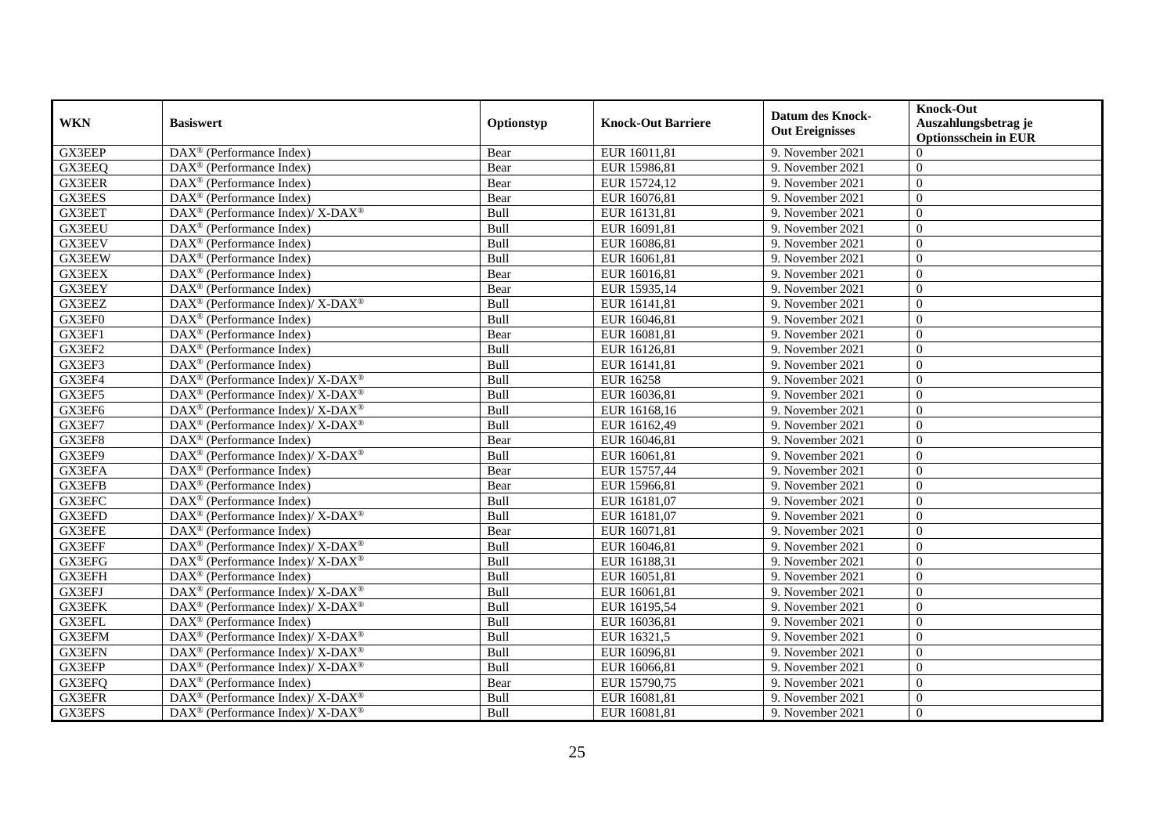| <b>WKN</b>    | <b>Basiswert</b>                                                                        | Optionstyp | <b>Knock-Out Barriere</b> | <b>Datum des Knock-</b><br><b>Out Ereignisses</b> | <b>Knock-Out</b><br>Auszahlungsbetrag je<br><b>Optionsschein in EUR</b> |
|---------------|-----------------------------------------------------------------------------------------|------------|---------------------------|---------------------------------------------------|-------------------------------------------------------------------------|
| GX3EEP        | $\overline{\text{DAX}^{\otimes}}$ (Performance Index)                                   | Bear       | EUR 16011,81              | 9. November 2021                                  | $\Omega$                                                                |
| GX3EEQ        | $DAX^{\circledR}$ (Performance Index)                                                   | Bear       | EUR 15986,81              | 9. November 2021                                  | $\Omega$                                                                |
| GX3EER        | $DAX^{\circledR}$ (Performance Index)                                                   | Bear       | EUR 15724,12              | 9. November 2021                                  | $\Omega$                                                                |
| GX3EES        | $DAX^{\circledast}$ (Performance Index)                                                 | Bear       | EUR 16076,81              | 9. November 2021                                  | $\theta$                                                                |
| GX3EET        | DAX <sup>®</sup> (Performance Index)/ X-DAX <sup>®</sup>                                | Bull       | EUR 16131,81              | 9. November 2021                                  | $\overline{0}$                                                          |
| GX3EEU        | $DAX^{\circledast}$ (Performance Index)                                                 | Bull       | EUR 16091,81              | 9. November 2021                                  | $\Omega$                                                                |
| <b>GX3EEV</b> | $DAX^{\circledast}$ (Performance Index)                                                 | Bull       | EUR 16086,81              | 9. November 2021                                  | $\theta$                                                                |
| <b>GX3EEW</b> | $DAX^{\circledR}$ (Performance Index)                                                   | Bull       | EUR 16061,81              | 9. November 2021                                  | $\Omega$                                                                |
| GX3EEX        | $DAX^{\circledR}$ (Performance Index)                                                   | Bear       | EUR 16016,81              | 9. November 2021                                  | $\theta$                                                                |
| GX3EEY        | DAX <sup>®</sup> (Performance Index)                                                    | Bear       | EUR 15935,14              | 9. November 2021                                  | $\overline{0}$                                                          |
| GX3EEZ        | DAX <sup>®</sup> (Performance Index)/ X-DAX <sup>®</sup>                                | Bull       | EUR 16141,81              | 9. November 2021                                  | $\Omega$                                                                |
| GX3EF0        | $\overline{\text{DAX}^{\otimes}}$ (Performance Index)                                   | Bull       | EUR 16046,81              | 9. November 2021                                  | $\Omega$                                                                |
| GX3EF1        | $DAX^{\circledast}$ (Performance Index)                                                 | Bear       | EUR 16081,81              | 9. November 2021                                  | $\theta$                                                                |
| GX3EF2        | DAX <sup>®</sup> (Performance Index)                                                    | Bull       | EUR 16126,81              | 9. November 2021                                  | $\Omega$                                                                |
| GX3EF3        | $DAX^{\circledast}$ (Performance Index)                                                 | Bull       | EUR 16141,81              | 9. November 2021                                  | $\overline{0}$                                                          |
| GX3EF4        | DAX <sup>®</sup> (Performance Index)/ X-DAX <sup>®</sup>                                | Bull       | <b>EUR 16258</b>          | 9. November 2021                                  | $\theta$                                                                |
| GX3EF5        | DAX <sup>®</sup> (Performance Index)/ X-DAX <sup>®</sup>                                | Bull       | EUR 16036,81              | 9. November 2021                                  | $\Omega$                                                                |
| GX3EF6        | DAX <sup>®</sup> (Performance Index)/X-DAX <sup>®</sup>                                 | Bull       | EUR 16168,16              | 9. November 2021                                  | $\Omega$                                                                |
| GX3EF7        | DAX <sup>®</sup> (Performance Index)/ X-DAX <sup>®</sup>                                | Bull       | EUR 16162,49              | 9. November 2021                                  | $\Omega$                                                                |
| GX3EF8        | DAX <sup>®</sup> (Performance Index)                                                    | Bear       | EUR 16046,81              | 9. November 2021                                  | $\overline{0}$                                                          |
| GX3EF9        | $\text{DAX}^{\circledast}$ (Performance Index)/ $\overline{\text{X-DAX}^{\circledast}}$ | Bull       | EUR 16061,81              | 9. November 2021                                  | $\overline{0}$                                                          |
| GX3EFA        | $\overline{\text{DAX}^{\otimes}}$ (Performance Index)                                   | Bear       | EUR 15757,44              | 9. November 2021                                  | $\Omega$                                                                |
| GX3EFB        | $\overline{\text{DAX}^{\otimes}}$ (Performance Index)                                   | Bear       | EUR 15966,81              | 9. November 2021                                  | $\Omega$                                                                |
| GX3EFC        | DAX <sup>®</sup> (Performance Index)                                                    | Bull       | EUR 16181,07              | 9. November 2021                                  | $\Omega$                                                                |
| GX3EFD        | $DAX^{\circledast}$ (Performance Index)/ X-DAX <sup>®</sup>                             | Bull       | EUR 16181,07              | 9. November 2021                                  | $\theta$                                                                |
| GX3EFE        | $DAX^{\circledast}$ (Performance Index)                                                 | Bear       | EUR 16071,81              | 9. November 2021                                  | $\overline{0}$                                                          |
| GX3EFF        | DAX <sup>®</sup> (Performance Index)/ X-DAX <sup>®</sup>                                | Bull       | EUR 16046,81              | 9. November 2021                                  | $\theta$                                                                |
| GX3EFG        | $DAX^{\circledast}$ (Performance Index)/ X-DAX <sup>®</sup>                             | Bull       | EUR 16188,31              | 9. November 2021                                  | $\theta$                                                                |
| GX3EFH        | DAX <sup>®</sup> (Performance Index)                                                    | Bull       | EUR 16051,81              | 9. November 2021                                  | $\Omega$                                                                |
| GX3EFJ        | DAX <sup>®</sup> (Performance Index)/X-DAX <sup>®</sup>                                 | Bull       | EUR 16061,81              | 9. November 2021                                  | $\Omega$                                                                |
| GX3EFK        | DAX <sup>®</sup> (Performance Index)/ X-DAX <sup>®</sup>                                | Bull       | EUR 16195,54              | 9. November 2021                                  | $\overline{0}$                                                          |
| GX3EFL        | DAX <sup>®</sup> (Performance Index)                                                    | Bull       | EUR 16036,81              | 9. November 2021                                  | $\overline{0}$                                                          |
| <b>GX3EFM</b> | DAX <sup>®</sup> (Performance Index)/ X-DAX <sup>®</sup>                                | Bull       | EUR 16321,5               | 9. November 2021                                  | $\Omega$                                                                |
| <b>GX3EFN</b> | DAX <sup>®</sup> (Performance Index)/ X-DAX <sup>®</sup>                                | Bull       | EUR 16096,81              | 9. November 2021                                  | $\overline{0}$                                                          |
| GX3EFP        | $DAX^{\circledast}$ (Performance Index)/ X-DAX <sup>®</sup>                             | Bull       | EUR 16066,81              | 9. November 2021                                  | $\overline{0}$                                                          |
| GX3EFQ        | DAX <sup>®</sup> (Performance Index)                                                    | Bear       | EUR 15790,75              | 9. November 2021                                  | $\overline{0}$                                                          |
| GX3EFR        | DAX <sup>®</sup> (Performance Index)/ X-DAX <sup>®</sup>                                | Bull       | EUR 16081,81              | 9. November 2021                                  | $\overline{0}$                                                          |
| GX3EFS        | DAX <sup>®</sup> (Performance Index)/ X-DAX <sup>®</sup>                                | Bull       | EUR 16081,81              | 9. November 2021                                  | $\boldsymbol{0}$                                                        |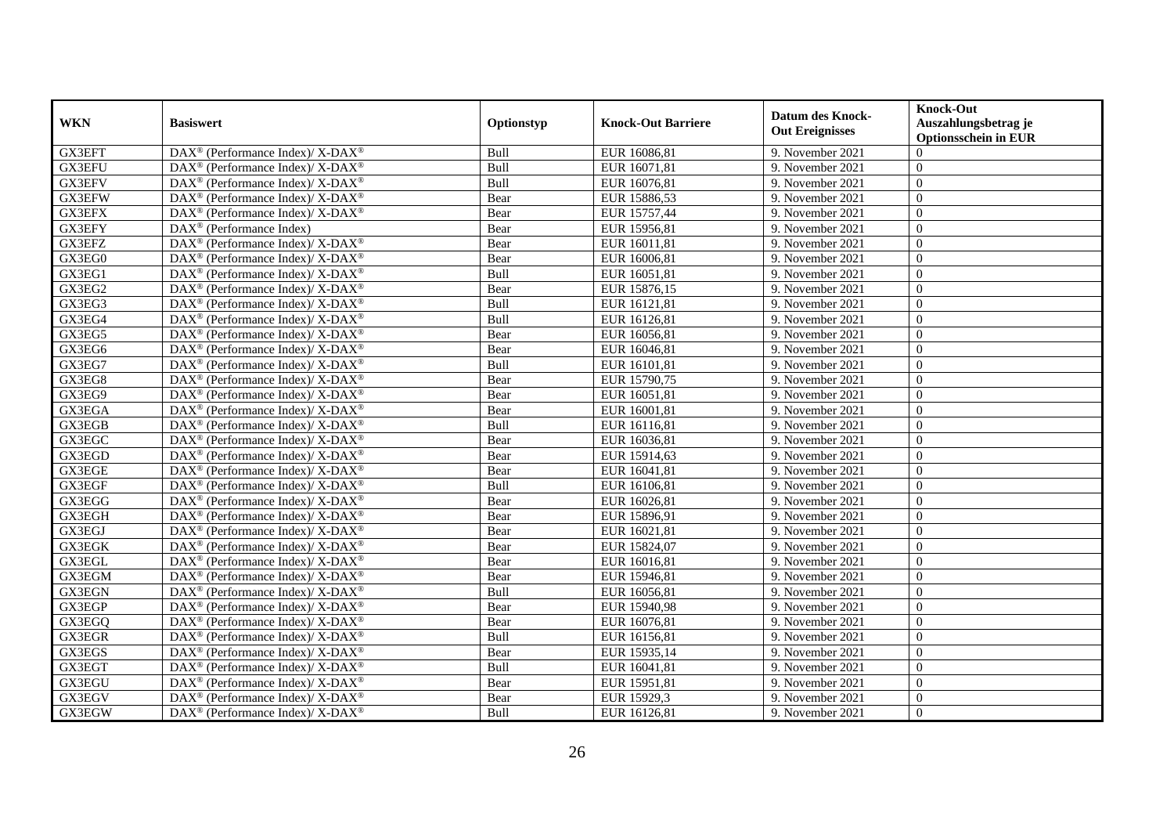| <b>WKN</b>    | <b>Basiswert</b>                                                         | Optionstyp | <b>Knock-Out Barriere</b> | <b>Datum des Knock-</b><br><b>Out Ereignisses</b> | <b>Knock-Out</b><br>Auszahlungsbetrag je<br><b>Optionsschein in EUR</b> |
|---------------|--------------------------------------------------------------------------|------------|---------------------------|---------------------------------------------------|-------------------------------------------------------------------------|
| GX3EFT        | $\text{DAX}^{\circledR}$ (Performance Index)/ X-DAX <sup>®</sup>         | Bull       | EUR 16086,81              | 9. November 2021                                  | $\Omega$                                                                |
| GX3EFU        | DAX <sup>®</sup> (Performance Index)/ X-DAX <sup>®</sup>                 | Bull       | EUR 16071,81              | 9. November 2021                                  | $\Omega$                                                                |
| GX3EFV        | $DAX^{\circledast}$ (Performance Index)/ X-DAX <sup>®</sup>              | Bull       | EUR 16076,81              | 9. November 2021                                  | $\Omega$                                                                |
| GX3EFW        | DAX <sup>®</sup> (Performance Index)/ X-DAX <sup>®</sup>                 | Bear       | EUR 15886,53              | 9. November 2021                                  | $\overline{0}$                                                          |
| GX3EFX        | DAX <sup>®</sup> (Performance Index)/ X-DAX <sup>®</sup>                 | Bear       | EUR 15757,44              | 9. November 2021                                  | $\overline{0}$                                                          |
| GX3EFY        | $DAX^{\circledast}$ (Performance Index)                                  | Bear       | EUR 15956,81              | 9. November 2021                                  | $\Omega$                                                                |
| GX3EFZ        | DAX <sup>®</sup> (Performance Index)/ X-DAX <sup>®</sup>                 | Bear       | EUR 16011,81              | 9. November 2021                                  | $\overline{0}$                                                          |
| GX3EG0        | DAX <sup>®</sup> (Performance Index)/X-DAX <sup>®</sup>                  | Bear       | EUR 16006,81              | 9. November 2021                                  | $\Omega$                                                                |
| GX3EG1        | $DAX^{\circledast}$ (Performance Index)/ X-DAX <sup>®</sup>              | Bull       | EUR 16051,81              | 9. November 2021                                  | $\theta$                                                                |
| GX3EG2        | DAX <sup>®</sup> (Performance Index)/X-DAX <sup>®</sup>                  | Bear       | EUR 15876,15              | 9. November 2021                                  | $\overline{0}$                                                          |
| GX3EG3        | DAX <sup>®</sup> (Performance Index)/ X-DAX <sup>®</sup>                 | Bull       | EUR 16121,81              | 9. November 2021                                  | $\Omega$                                                                |
| GX3EG4        | DAX <sup>®</sup> (Performance Index)/ X-DAX <sup>®</sup>                 | Bull       | EUR 16126,81              | 9. November 2021                                  | $\Omega$                                                                |
| GX3EG5        | DAX <sup>®</sup> (Performance Index)/X-DAX <sup>®</sup>                  | Bear       | EUR 16056,81              | 9. November 2021                                  | $\theta$                                                                |
| GX3EG6        | DAX <sup>®</sup> (Performance Index)/ X-DAX <sup>®</sup>                 | Bear       | EUR 16046,81              | 9. November 2021                                  | $\Omega$                                                                |
| GX3EG7        | DAX <sup>®</sup> (Performance Index)/ X-DAX <sup>®</sup>                 | Bull       | EUR 16101,81              | 9. November 2021                                  | $\overline{0}$                                                          |
| GX3EG8        | DAX <sup>®</sup> (Performance Index)/X-DAX <sup>®</sup>                  | Bear       | EUR 15790,75              | 9. November 2021                                  | $\overline{0}$                                                          |
| GX3EG9        | DAX <sup>®</sup> (Performance Index)/ X-DAX <sup>®</sup>                 | Bear       | EUR 16051,81              | 9. November 2021                                  | $\Omega$                                                                |
| GX3EGA        | DAX <sup>®</sup> (Performance Index)/X-DAX <sup>®</sup>                  | Bear       | EUR 16001,81              | 9. November 2021                                  | $\Omega$                                                                |
| <b>GX3EGB</b> | $DAX^{\circledast}$ (Performance Index)/ X-DAX <sup>®</sup>              | Bull       | EUR 16116,81              | 9. November 2021                                  | $\Omega$                                                                |
| GX3EGC        | $DAX^{\circledast}$ (Performance Index)/ X-DAX <sup>®</sup>              | Bear       | EUR 16036,81              | 9. November 2021                                  | $\overline{0}$                                                          |
| GX3EGD        | DAX <sup>®</sup> (Performance Index)/ X-DAX <sup>®</sup>                 | Bear       | EUR 15914,63              | 9. November 2021                                  | $\overline{0}$                                                          |
| GX3EGE        | DAX <sup>®</sup> (Performance Index)/ X-DAX <sup>®</sup>                 | Bear       | EUR 16041,81              | 9. November 2021                                  | $\Omega$                                                                |
| GX3EGF        | DAX <sup>®</sup> (Performance Index)/ X-DAX <sup>®</sup>                 | Bull       | EUR 16106,81              | 9. November 2021                                  | $\Omega$                                                                |
| GX3EGG        | DAX <sup>®</sup> (Performance Index)/ X-DAX <sup>®</sup>                 | Bear       | EUR 16026,81              | 9. November 2021                                  | $\Omega$                                                                |
| GX3EGH        | DAX <sup>®</sup> (Performance Index)/ X-DAX <sup>®</sup>                 | Bear       | EUR 15896,91              | 9. November 2021                                  | $\overline{0}$                                                          |
| GX3EGJ        | DAX <sup>®</sup> (Performance Index)/ X-DAX <sup>®</sup>                 | Bear       | EUR 16021,81              | 9. November 2021                                  | $\overline{0}$                                                          |
| <b>GX3EGK</b> | $DAX^{\circledast}$ (Performance Index)/ X-DAX <sup>®</sup>              | Bear       | EUR 15824,07              | 9. November 2021                                  | $\overline{0}$                                                          |
| GX3EGL        | $DAX^{\circledcirc}$ (Performance Index)/ X-DAX <sup>®</sup>             | Bear       | EUR 16016,81              | 9. November 2021                                  | $\Omega$                                                                |
| GX3EGM        | DAX <sup>®</sup> (Performance Index)/ X-DAX <sup>®</sup>                 | Bear       | EUR 15946,81              | 9. November 2021                                  | $\Omega$                                                                |
| <b>GX3EGN</b> | DAX <sup>®</sup> (Performance Index)/X-DAX <sup>®</sup>                  | Bull       | EUR 16056,81              | 9. November 2021                                  | $\Omega$                                                                |
| GX3EGP        | DAX <sup>®</sup> (Performance Index)/ X-DAX <sup>®</sup>                 | Bear       | EUR 15940,98              | 9. November 2021                                  | $\overline{0}$                                                          |
| GX3EGQ        | DAX <sup>®</sup> (Performance Index)/X-DAX <sup>®</sup>                  | Bear       | EUR 16076,81              | 9. November 2021                                  | $\overline{0}$                                                          |
| GX3EGR        | DAX <sup>®</sup> (Performance Index)/ X-DAX <sup>®</sup>                 | Bull       | EUR 16156,81              | 9. November 2021                                  | $\Omega$                                                                |
| GX3EGS        | DAX <sup>®</sup> (Performance Index)/ X-DAX <sup>®</sup>                 | Bear       | EUR 15935,14              | 9. November 2021                                  | $\overline{0}$                                                          |
| GX3EGT        | $DAX^{\circledast}$ (Performance Index)/ X-DAX <sup>®</sup>              | Bull       | EUR 16041,81              | 9. November 2021                                  | $\overline{0}$                                                          |
| GX3EGU        | $DAX^{\circledast}$ (Performance Index)/ X-DAX <sup>®</sup>              | Bear       | EUR 15951,81              | 9. November 2021                                  | $\overline{0}$                                                          |
| GX3EGV        | $\overline{\text{DAX}^{\otimes}}$ (Performance Index)/X-DAX <sup>®</sup> | Bear       | EUR 15929,3               | 9. November 2021                                  | $\overline{0}$                                                          |
| GX3EGW        | DAX <sup>®</sup> (Performance Index)/ X-DAX <sup>®</sup>                 | Bull       | EUR 16126,81              | 9. November 2021                                  | $\boldsymbol{0}$                                                        |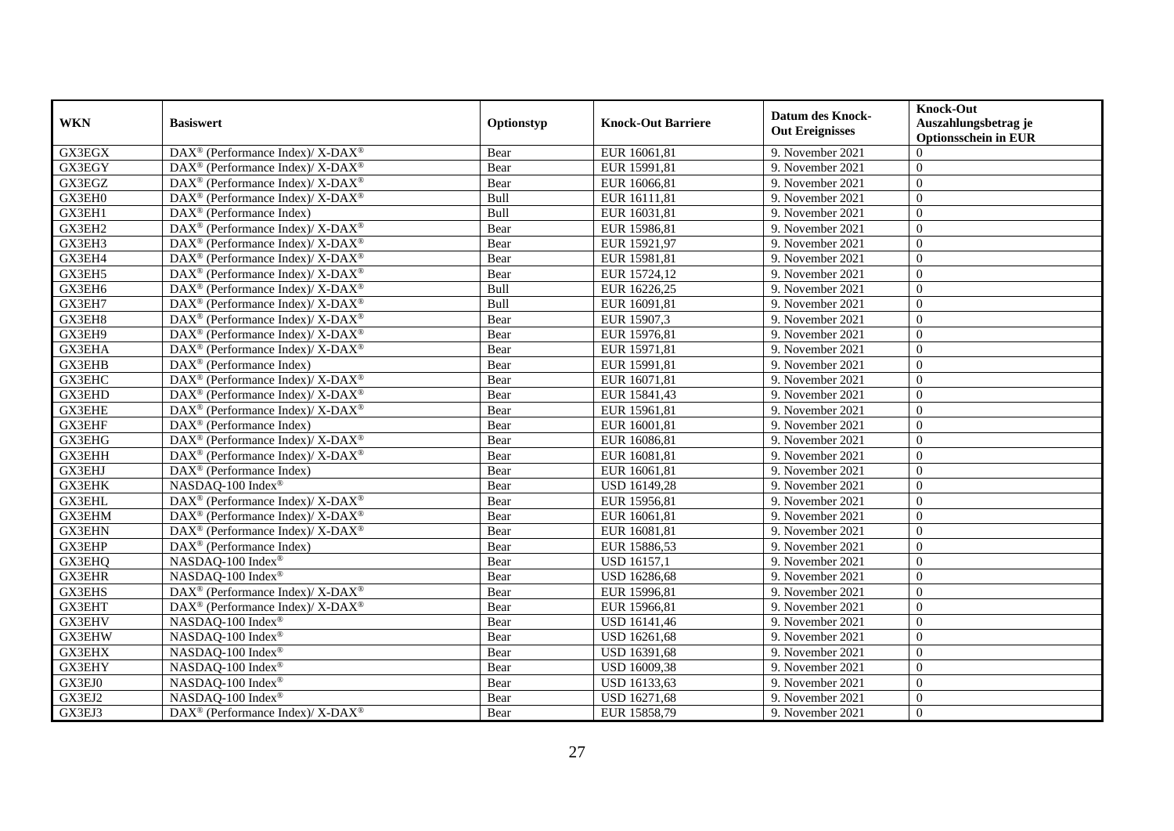| <b>WKN</b>    | <b>Basiswert</b>                                                 | Optionstyp | <b>Knock-Out Barriere</b> | <b>Datum des Knock-</b><br><b>Out Ereignisses</b> | <b>Knock-Out</b><br>Auszahlungsbetrag je<br><b>Optionsschein in EUR</b> |
|---------------|------------------------------------------------------------------|------------|---------------------------|---------------------------------------------------|-------------------------------------------------------------------------|
| <b>GX3EGX</b> | $\text{DAX}^{\circledR}$ (Performance Index)/ X-DAX <sup>®</sup> | Bear       | EUR 16061,81              | 9. November 2021                                  | $\Omega$                                                                |
| GX3EGY        | DAX <sup>®</sup> (Performance Index)/ X-DAX <sup>®</sup>         | Bear       | EUR 15991,81              | 9. November 2021                                  | $\Omega$                                                                |
| GX3EGZ        | $DAX^{\circledast}$ (Performance Index)/ X-DAX <sup>®</sup>      | Bear       | EUR 16066,81              | 9. November 2021                                  | $\Omega$                                                                |
| GX3EH0        | DAX <sup>®</sup> (Performance Index)/ X-DAX <sup>®</sup>         | Bull       | EUR 16111,81              | 9. November 2021                                  | $\overline{0}$                                                          |
| GX3EH1        | DAX <sup>®</sup> (Performance Index)                             | Bull       | EUR 16031,81              | 9. November 2021                                  | $\overline{0}$                                                          |
| GX3EH2        | DAX <sup>®</sup> (Performance Index)/ X-DAX <sup>®</sup>         | Bear       | EUR 15986,81              | 9. November 2021                                  | $\Omega$                                                                |
| GX3EH3        | $DAX^{\circledast}$ (Performance Index)/ X-DAX <sup>®</sup>      | Bear       | EUR 15921,97              | 9. November 2021                                  | $\overline{0}$                                                          |
| GX3EH4        | DAX <sup>®</sup> (Performance Index)/X-DAX <sup>®</sup>          | Bear       | EUR 15981,81              | 9. November 2021                                  | $\Omega$                                                                |
| GX3EH5        | DAX <sup>®</sup> (Performance Index)/X-DAX <sup>®</sup>          | Bear       | EUR 15724,12              | 9. November 2021                                  | $\theta$                                                                |
| GX3EH6        | DAX <sup>®</sup> (Performance Index)/X-DAX <sup>®</sup>          | Bull       | EUR 16226,25              | 9. November 2021                                  | $\overline{0}$                                                          |
| GX3EH7        | DAX <sup>®</sup> (Performance Index)/X-DAX <sup>®</sup>          | Bull       | EUR 16091,81              | 9. November 2021                                  | $\Omega$                                                                |
| GX3EH8        | DAX <sup>®</sup> (Performance Index)/ X-DAX <sup>®</sup>         | Bear       | EUR 15907,3               | 9. November 2021                                  | $\Omega$                                                                |
| GX3EH9        | $DAX^{\circledast}$ (Performance Index)/ X-DAX <sup>®</sup>      | Bear       | EUR 15976,81              | 9. November 2021                                  | $\theta$                                                                |
| GX3EHA        | DAX <sup>®</sup> (Performance Index)/ X-DAX <sup>®</sup>         | Bear       | EUR 15971,81              | 9. November 2021                                  | $\Omega$                                                                |
| GX3EHB        | $DAX^{\circledast}$ (Performance Index)                          | Bear       | EUR 15991,81              | 9. November 2021                                  | $\overline{0}$                                                          |
| GX3EHC        | DAX <sup>®</sup> (Performance Index)/X-DAX <sup>®</sup>          | Bear       | EUR 16071,81              | 9. November 2021                                  | $\theta$                                                                |
| GX3EHD        | DAX <sup>®</sup> (Performance Index)/ X-DAX <sup>®</sup>         | Bear       | EUR 15841,43              | 9. November 2021                                  | $\Omega$                                                                |
| <b>GX3EHE</b> | $DAX^{\circledcirc}$ (Performance Index)/X-DAX <sup>®</sup>      | Bear       | EUR 15961,81              | 9. November 2021                                  | $\Omega$                                                                |
| <b>GX3EHF</b> | DAX <sup>®</sup> (Performance Index)                             | Bear       | EUR 16001,81              | 9. November 2021                                  | $\Omega$                                                                |
| GX3EHG        | DAX <sup>®</sup> (Performance Index)/ X-DAX <sup>®</sup>         | Bear       | EUR 16086,81              | 9. November 2021                                  | $\overline{0}$                                                          |
| GX3EHH        | DAX <sup>®</sup> (Performance Index)/ X-DAX <sup>®</sup>         | Bear       | EUR 16081,81              | 9. November 2021                                  | $\overline{0}$                                                          |
| GX3EHJ        | DAX <sup>®</sup> (Performance Index)                             | Bear       | EUR 16061,81              | 9. November 2021                                  | $\Omega$                                                                |
| <b>GX3EHK</b> | NASDAQ-100 Index®                                                | Bear       | USD 16149,28              | 9. November 2021                                  | $\Omega$                                                                |
| <b>GX3EHL</b> | DAX <sup>®</sup> (Performance Index)/ X-DAX <sup>®</sup>         | Bear       | EUR 15956,81              | 9. November 2021                                  | $\Omega$                                                                |
| GX3EHM        | DAX <sup>®</sup> (Performance Index)/ X-DAX <sup>®</sup>         | Bear       | EUR 16061,81              | 9. November 2021                                  | $\overline{0}$                                                          |
| <b>GX3EHN</b> | DAX <sup>®</sup> (Performance Index)/ X-DAX <sup>®</sup>         | Bear       | EUR 16081,81              | 9. November 2021                                  | $\overline{0}$                                                          |
| GX3EHP        | $DAX^{\circledast}$ (Performance Index)                          | Bear       | EUR 15886,53              | 9. November 2021                                  | $\theta$                                                                |
| GX3EHQ        | NASDAQ-100 Index®                                                | Bear       | <b>USD 16157,1</b>        | 9. November 2021                                  | $\Omega$                                                                |
| <b>GX3EHR</b> | NASDAQ-100 Index®                                                | Bear       | USD 16286,68              | 9. November 2021                                  | $\Omega$                                                                |
| <b>GX3EHS</b> | DAX <sup>®</sup> (Performance Index)/ X-DAX <sup>®</sup>         | Bear       | EUR 15996,81              | 9. November 2021                                  | $\Omega$                                                                |
| GX3EHT        | DAX <sup>®</sup> (Performance Index)/ X-DAX <sup>®</sup>         | Bear       | EUR 15966,81              | 9. November 2021                                  | $\overline{0}$                                                          |
| GX3EHV        | NASDAQ-100 Index®                                                | Bear       | USD 16141,46              | 9. November 2021                                  | $\overline{0}$                                                          |
| <b>GX3EHW</b> | NASDAQ-100 Index®                                                | Bear       | USD 16261,68              | 9. November 2021                                  | $\Omega$                                                                |
| <b>GX3EHX</b> | NASDAQ-100 Index®                                                | Bear       | USD 16391,68              | 9. November 2021                                  | $\overline{0}$                                                          |
| GX3EHY        | NASDAQ-100 Index®                                                | Bear       | USD 16009,38              | 9. November 2021                                  | $\overline{0}$                                                          |
| GX3EJ0        | NASDAQ-100 Index®                                                | Bear       | USD 16133,63              | 9. November 2021                                  | $\overline{0}$                                                          |
| GX3EJ2        | NASDAQ-100 Index®                                                | Bear       | USD 16271,68              | 9. November 2021                                  | $\theta$                                                                |
| GX3EJ3        | DAX <sup>®</sup> (Performance Index)/ X-DAX <sup>®</sup>         | Bear       | EUR 15858,79              | 9. November 2021                                  | $\boldsymbol{0}$                                                        |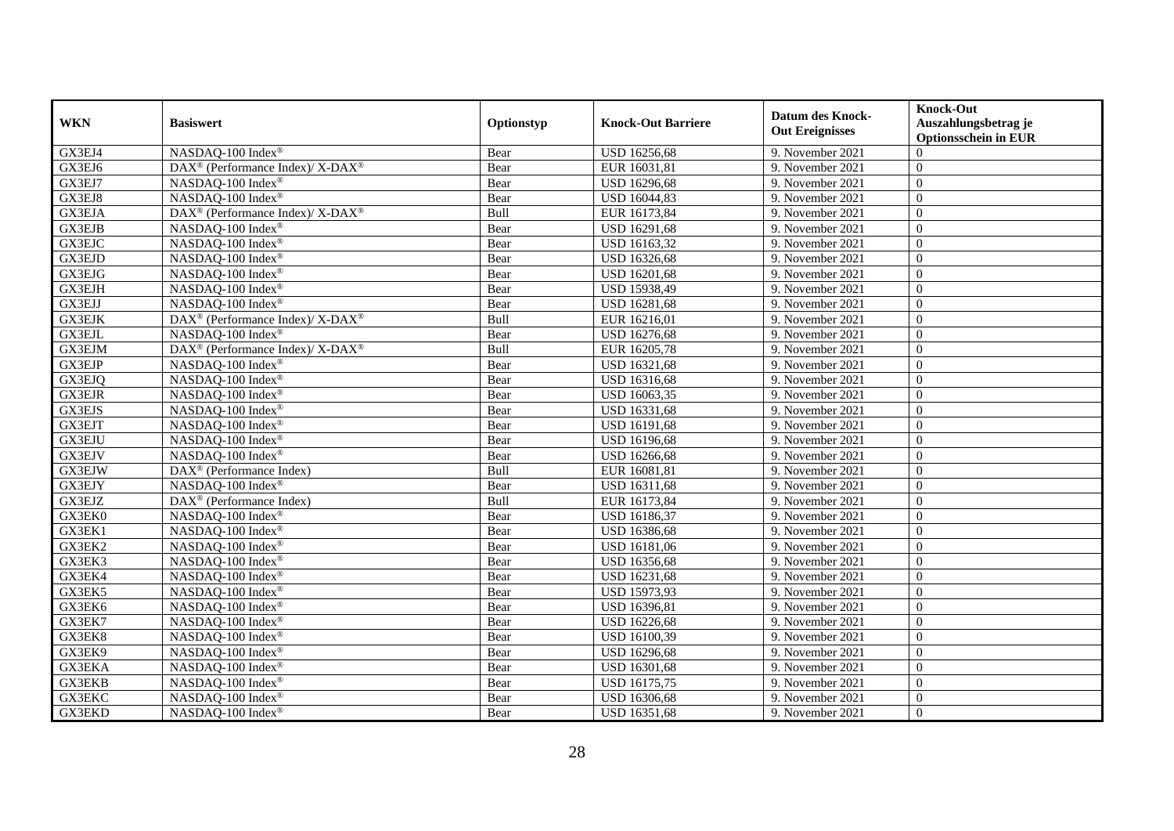| <b>WKN</b>    | <b>Basiswert</b>                                                         | Optionstyp | <b>Knock-Out Barriere</b> | <b>Datum des Knock-</b> | <b>Knock-Out</b><br>Auszahlungsbetrag je |
|---------------|--------------------------------------------------------------------------|------------|---------------------------|-------------------------|------------------------------------------|
|               |                                                                          |            |                           | <b>Out Ereignisses</b>  | <b>Optionsschein in EUR</b>              |
| GX3EJ4        | NASDAQ-100 Index <sup>®</sup>                                            | Bear       | <b>USD 16256,68</b>       | 9. November 2021        | $\Omega$                                 |
| GX3EJ6        | DAX <sup>®</sup> (Performance Index)/ X-DAX <sup>®</sup>                 | Bear       | EUR 16031,81              | 9. November 2021        | $\Omega$                                 |
| GX3EJ7        | NASDAQ-100 Index®                                                        | Bear       | USD 16296,68              | 9. November 2021        | $\Omega$                                 |
| GX3EJ8        | NASDAQ-100 Index®                                                        | Bear       | USD 16044,83              | 9. November 2021        | $\theta$                                 |
| GX3EJA        | DAX <sup>®</sup> (Performance Index)/ X-DAX <sup>®</sup>                 | Bull       | EUR 16173,84              | 9. November 2021        | $\theta$                                 |
| <b>GX3EJB</b> | NASDAQ-100 Index®                                                        | Bear       | USD 16291,68              | 9. November 2021        | $\Omega$                                 |
| GX3EJC        | NASDAQ-100 Index®                                                        | Bear       | USD 16163,32              | 9. November 2021        | $\theta$                                 |
| GX3EJD        | NASDAQ-100 Index®                                                        | Bear       | USD 16326,68              | 9. November 2021        | $\Omega$                                 |
| GX3EJG        | NASDAQ-100 Index®                                                        | Bear       | USD 16201,68              | 9. November 2021        | $\theta$                                 |
| <b>GX3EJH</b> | NASDAQ-100 Index®                                                        | Bear       | USD 15938,49              | 9. November 2021        | $\Omega$                                 |
| <b>GX3EJJ</b> | NASDAQ-100 Index®                                                        | Bear       | <b>USD 16281,68</b>       | 9. November 2021        | $\Omega$                                 |
| <b>GX3EJK</b> | $\overline{\text{DAX}^{\otimes}}$ (Performance Index)/X-DAX <sup>®</sup> | Bull       | EUR 16216,01              | 9. November 2021        | $\Omega$                                 |
| <b>GX3EJL</b> | NASDAQ-100 Index®                                                        | Bear       | <b>USD 16276,68</b>       | 9. November 2021        | $\Omega$                                 |
| GX3EJM        | DAX <sup>®</sup> (Performance Index)/ X-DAX <sup>®</sup>                 | Bull       | EUR 16205,78              | 9. November 2021        | $\theta$                                 |
| GX3EJP        | $NASDAQ-100$ Index <sup>®</sup>                                          | Bear       | USD 16321,68              | 9. November 2021        | $\theta$                                 |
| GX3EJQ        | NASDAQ-100 Index®                                                        | Bear       | USD 16316,68              | 9. November 2021        | $\overline{0}$                           |
| <b>GX3EJR</b> | NASDAQ-100 Index®                                                        | Bear       | USD 16063,35              | 9. November 2021        | $\theta$                                 |
| <b>GX3EJS</b> | NASDAQ-100 Index®                                                        | Bear       | USD 16331,68              | 9. November 2021        | $\Omega$                                 |
| GX3EJT        | NASDAQ-100 Index®                                                        | Bear       | USD 16191,68              | 9. November 2021        | $\Omega$                                 |
| GX3EJU        | NASDAQ-100 Index®                                                        | Bear       | USD 16196,68              | 9. November 2021        | $\theta$                                 |
| <b>GX3EJV</b> | NASDAQ-100 Index®                                                        | Bear       | USD 16266,68              | 9. November 2021        | $\overline{0}$                           |
| <b>GX3EJW</b> | DAX <sup>®</sup> (Performance Index)                                     | Bull       | EUR 16081,81              | 9. November 2021        | $\Omega$                                 |
| GX3EJY        | NASDAQ-100 Index®                                                        | Bear       | <b>USD 16311,68</b>       | 9. November 2021        | $\Omega$                                 |
| GX3EJZ        | DAX <sup>®</sup> (Performance Index)                                     | Bull       | EUR 16173,84              | 9. November 2021        | $\overline{0}$                           |
| GX3EK0        | NASDAQ-100 Index®                                                        | Bear       | USD 16186,37              | 9. November 2021        | $\theta$                                 |
| GX3EK1        | NASDAQ-100 Index®                                                        | Bear       | USD 16386,68              | 9. November 2021        | $\Omega$                                 |
| GX3EK2        | NASDAQ-100 Index®                                                        | Bear       | USD 16181,06              | 9. November 2021        | $\theta$                                 |
| GX3EK3        | NASDAQ-100 Index®                                                        | Bear       | <b>USD 16356,68</b>       | 9. November 2021        | $\theta$                                 |
| GX3EK4        | NASDAQ-100 Index®                                                        | Bear       | USD 16231,68              | 9. November 2021        | $\Omega$                                 |
| GX3EK5        | NASDAQ-100 Index®                                                        | Bear       | USD 15973,93              | 9. November 2021        | $\Omega$                                 |
| GX3EK6        | NASDAQ-100 Index®                                                        | Bear       | USD 16396,81              | 9. November 2021        | $\mathbf{0}$                             |
| GX3EK7        | NASDAQ-100 Index®                                                        | Bear       | <b>USD 16226,68</b>       | 9. November 2021        | $\overline{0}$                           |
| GX3EK8        | NASDAQ-100 Index®                                                        | Bear       | USD 16100,39              | 9. November 2021        | $\Omega$                                 |
| GX3EK9        | NASDAQ-100 Index®                                                        | Bear       | USD 16296,68              | 9. November 2021        | $\Omega$                                 |
| GX3EKA        | NASDAQ-100 Index®                                                        | Bear       | USD 16301,68              | 9. November 2021        | $\Omega$                                 |
| <b>GX3EKB</b> | NASDAQ-100 Index®                                                        | Bear       | USD 16175,75              | 9. November 2021        | $\overline{0}$                           |
| GX3EKC        | NASDAQ-100 Index®                                                        | Bear       | USD 16306,68              | 9. November 2021        | $\mathbf{0}$                             |
| GX3EKD        | NASDAQ-100 Index®                                                        | Bear       | USD 16351,68              | 9. November 2021        | $\theta$                                 |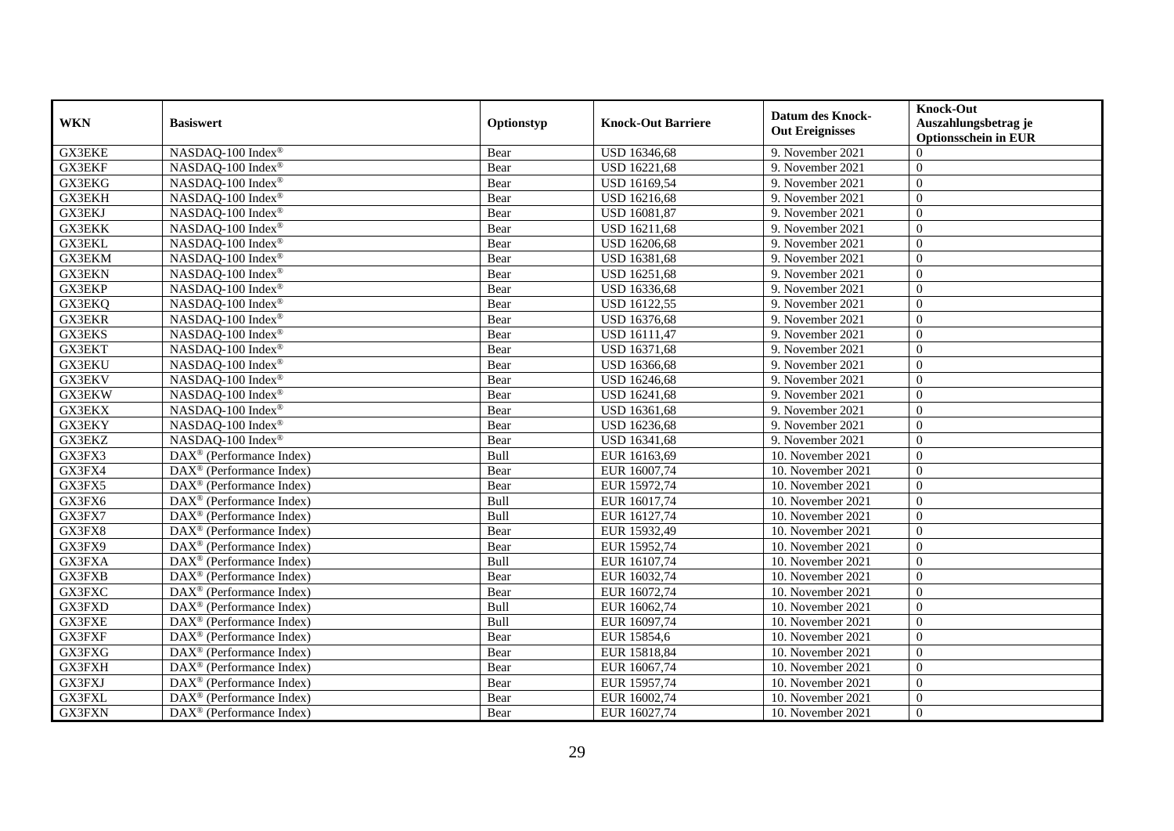| <b>WKN</b>    | <b>Basiswert</b>                                  | Optionstyp | <b>Knock-Out Barriere</b> | <b>Datum des Knock-</b><br><b>Out Ereignisses</b> | <b>Knock-Out</b><br>Auszahlungsbetrag je |
|---------------|---------------------------------------------------|------------|---------------------------|---------------------------------------------------|------------------------------------------|
|               |                                                   |            |                           |                                                   | <b>Optionsschein in EUR</b>              |
| <b>GX3EKE</b> | NASDAQ-100 Index®                                 | Bear       | <b>USD 16346,68</b>       | 9. November 2021                                  | $\Omega$                                 |
| <b>GX3EKF</b> | NASDAQ-100 Index®                                 | Bear       | USD 16221,68              | 9. November 2021                                  | $\Omega$                                 |
| <b>GX3EKG</b> | NASDAQ-100 Index®                                 | Bear       | USD 16169,54              | 9. November 2021                                  | $\Omega$                                 |
| GX3EKH        | NASDAQ-100 Index®                                 | Bear       | USD 16216,68              | 9. November 2021                                  | $\theta$                                 |
| GX3EKJ        | NASDAQ-100 Index®                                 | Bear       | USD 16081,87              | 9. November 2021                                  | $\theta$                                 |
| <b>GX3EKK</b> | NASDAQ-100 Index®                                 | Bear       | USD 16211,68              | 9. November 2021                                  | $\Omega$                                 |
| <b>GX3EKL</b> | NASDAQ-100 Index®                                 | Bear       | USD 16206,68              | 9. November 2021                                  | $\theta$                                 |
| GX3EKM        | NASDAQ-100 Index®                                 | Bear       | USD 16381,68              | 9. November 2021                                  | $\theta$                                 |
| <b>GX3EKN</b> | NASDAQ-100 Index®                                 | Bear       | USD 16251,68              | 9. November 2021                                  | $\theta$                                 |
| GX3EKP        | NASDAQ-100 Index®                                 | Bear       | USD 16336,68              | 9. November 2021                                  | $\overline{0}$                           |
| GX3EKQ        | NASDAQ-100 Index®                                 | Bear       | <b>USD 16122,55</b>       | 9. November 2021                                  | $\Omega$                                 |
| <b>GX3EKR</b> | NASDAQ-100 Index®                                 | Bear       | USD 16376,68              | 9. November 2021                                  | $\Omega$                                 |
| <b>GX3EKS</b> | NASDAQ-100 Index®                                 | Bear       | USD 16111,47              | 9. November 2021                                  | $\Omega$                                 |
| GX3EKT        | NASDAQ-100 Index®                                 | Bear       | <b>USD 16371,68</b>       | 9. November 2021                                  | $\Omega$                                 |
| <b>GX3EKU</b> | NASDAQ-100 Index®                                 | Bear       | USD 16366,68              | 9. November 2021                                  | $\Omega$                                 |
| <b>GX3EKV</b> | NASDAQ-100 Index®                                 | Bear       | <b>USD 16246,68</b>       | 9. November 2021                                  | $\Omega$                                 |
| <b>GX3EKW</b> | NASDAQ-100 Index®                                 | Bear       | <b>USD 16241,68</b>       | 9. November 2021                                  | $\Omega$                                 |
| <b>GX3EKX</b> | NASDAQ-100 Index®                                 | Bear       | USD 16361,68              | 9. November 2021                                  | $\Omega$                                 |
| <b>GX3EKY</b> | NASDAQ-100 Index®                                 | Bear       | USD 16236,68              | 9. November 2021                                  | $\theta$                                 |
| GX3EKZ        | NASDAQ-100 Index®                                 | Bear       | USD 16341,68              | 9. November 2021                                  | $\theta$                                 |
| GX3FX3        | DAX <sup>®</sup> (Performance Index)              | Bull       | EUR 16163,69              | 10. November 2021                                 | $\theta$                                 |
| GX3FX4        | DAX <sup>®</sup> (Performance Index)              | Bear       | EUR 16007,74              | 10. November 2021                                 | $\theta$                                 |
| GX3FX5        | $DAX^{\circledast}$ (Performance Index)           | Bear       | EUR 15972,74              | 10. November 2021                                 | $\theta$                                 |
| GX3FX6        | $\text{DAX}^{\textcircled{}}$ (Performance Index) | Bull       | EUR 16017,74              | 10. November 2021                                 | $\theta$                                 |
| GX3FX7        | DAX <sup>®</sup> (Performance Index)              | Bull       | EUR 16127,74              | 10. November 2021                                 | $\Omega$                                 |
| GX3FX8        | $DAX^{\circledR}$ (Performance Index)             | Bear       | EUR 15932,49              | 10. November 2021                                 | $\Omega$                                 |
| GX3FX9        | $\text{DAX}^{\textcircled{}}$ (Performance Index) | Bear       | EUR 15952,74              | 10. November 2021                                 | $\Omega$                                 |
| GX3FXA        | $\text{DAX}^{\textcircled{}}$ (Performance Index) | Bull       | EUR 16107,74              | 10. November 2021                                 | $\Omega$                                 |
| <b>GX3FXB</b> | DAX <sup>®</sup> (Performance Index)              | Bear       | EUR 16032,74              | 10. November 2021                                 | $\theta$                                 |
| GX3FXC        | $\text{DAX}^{\textcircled{}}$ (Performance Index) | Bear       | EUR 16072,74              | 10. November 2021                                 | $\Omega$                                 |
| GX3FXD        | $DAX^{\circledR}$ (Performance Index)             | Bull       | EUR 16062,74              | 10. November 2021                                 | $\theta$                                 |
| <b>GX3FXE</b> | DAX <sup>®</sup> (Performance Index)              | Bull       | EUR 16097,74              | 10. November 2021                                 | $\Omega$                                 |
| <b>GX3FXF</b> | DAX <sup>®</sup> (Performance Index)              | Bear       | EUR 15854,6               | 10. November 2021                                 | $\theta$                                 |
| GX3FXG        | DAX <sup>®</sup> (Performance Index)              | Bear       | EUR 15818,84              | 10. November 2021                                 | $\Omega$                                 |
| GX3FXH        | $\text{DAX}^{\textcircled{}}$ (Performance Index) | Bear       | EUR 16067,74              | 10. November 2021                                 | $\theta$                                 |
| GX3FXJ        | $DAX^{\circledast}$ (Performance Index)           | Bear       | EUR 15957,74              | 10. November 2021                                 | $\theta$                                 |
| <b>GX3FXL</b> | $DAX^{\circledast}$ (Performance Index)           | Bear       | EUR 16002,74              | 10. November 2021                                 | $\mathbf{0}$                             |
| GX3FXN        | $\text{DAX}^{\textcircled{}}$ (Performance Index) | Bear       | EUR 16027,74              | 10. November 2021                                 | $\mathbf{0}$                             |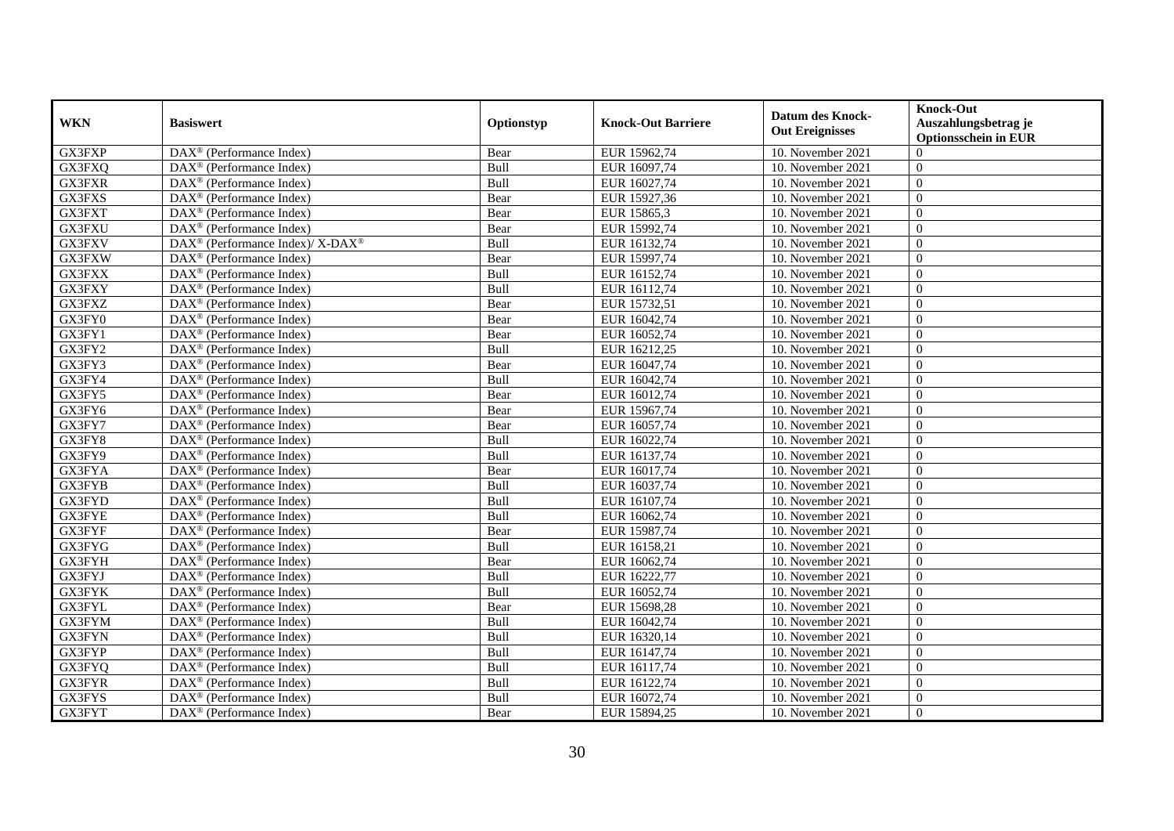| <b>WKN</b>    | <b>Basiswert</b>                                         | Optionstyp | <b>Knock-Out Barriere</b> | <b>Datum des Knock-</b><br><b>Out Ereignisses</b> | <b>Knock-Out</b><br>Auszahlungsbetrag je<br><b>Optionsschein in EUR</b> |
|---------------|----------------------------------------------------------|------------|---------------------------|---------------------------------------------------|-------------------------------------------------------------------------|
| GX3FXP        | $\overline{\text{DAX}^{\otimes}}$ (Performance Index)    | Bear       | EUR 15962,74              | 10. November 2021                                 | $\Omega$                                                                |
| GX3FXQ        | $DAX^{\circledR}$ (Performance Index)                    | Bull       | EUR 16097,74              | 10. November 2021                                 | $\Omega$                                                                |
| <b>GX3FXR</b> | DAX <sup>®</sup> (Performance Index)                     | Bull       | EUR 16027,74              | 10. November 2021                                 | $\theta$                                                                |
| GX3FXS        | DAX <sup>®</sup> (Performance Index)                     | Bear       | EUR 15927,36              | 10. November 2021                                 | $\overline{0}$                                                          |
| GX3FXT        | DAX <sup>®</sup> (Performance Index)                     | Bear       | EUR 15865,3               | 10. November 2021                                 | $\overline{0}$                                                          |
| GX3FXU        | $\overline{\text{DAX}^{\otimes}}$ (Performance Index)    | Bear       | EUR 15992,74              | 10. November 2021                                 | $\overline{0}$                                                          |
| GX3FXV        | DAX <sup>®</sup> (Performance Index)/ X-DAX <sup>®</sup> | Bull       | EUR 16132,74              | 10. November 2021                                 | $\Omega$                                                                |
| GX3FXW        | $DAX^{\circledR}$ (Performance Index)                    | Bear       | EUR 15997,74              | 10. November 2021                                 | $\theta$                                                                |
| GX3FXX        | DAX <sup>®</sup> (Performance Index)                     | Bull       | EUR 16152,74              | 10. November 2021                                 | $\overline{0}$                                                          |
| GX3FXY        | DAX <sup>®</sup> (Performance Index)                     | Bull       | EUR 16112,74              | 10. November 2021                                 | $\theta$                                                                |
| GX3FXZ        | $DAX^{\circledR}$ (Performance Index)                    | Bear       | EUR 15732,51              | 10. November 2021                                 | $\theta$                                                                |
| GX3FY0        | $\overline{\text{DAX}^{\otimes}}$ (Performance Index)    | Bear       | EUR 16042,74              | 10. November 2021                                 | $\overline{0}$                                                          |
| GX3FY1        | $\overline{\text{DAX}^{\otimes}}$ (Performance Index)    | Bear       | EUR 16052,74              | 10. November 2021                                 | $\theta$                                                                |
| GX3FY2        | $DAX^{\circledR}$ (Performance Index)                    | Bull       | EUR 16212,25              | 10. November 2021                                 | $\Omega$                                                                |
| GX3FY3        | DAX <sup>®</sup> (Performance Index)                     | Bear       | EUR 16047,74              | 10. November 2021                                 | $\theta$                                                                |
| GX3FY4        | $\overline{\text{DAX}^{\otimes}}$ (Performance Index)    | Bull       | EUR 16042,74              | 10. November 2021                                 | $\overline{0}$                                                          |
| GX3FY5        | DAX <sup>®</sup> (Performance Index)                     | Bear       | EUR 16012,74              | 10. November 2021                                 | $\overline{0}$                                                          |
| GX3FY6        | $\overline{\text{DAX}^{\otimes}}$ (Performance Index)    | Bear       | EUR 15967,74              | 10. November 2021                                 | $\theta$                                                                |
| GX3FY7        | $DAX^{\circledast}$ (Performance Index)                  | Bear       | EUR 16057,74              | 10. November 2021                                 | $\theta$                                                                |
| GX3FY8        | DAX <sup>®</sup> (Performance Index)                     | Bull       | EUR 16022,74              | 10. November 2021                                 | $\overline{0}$                                                          |
| GX3FY9        | $\overline{\text{DAX}}^{\textcirc}$ (Performance Index)  | Bull       | EUR 16137,74              | 10. November 2021                                 | $\overline{0}$                                                          |
| GX3FYA        | $DAX^{\circledR}$ (Performance Index)                    | Bear       | EUR 16017,74              | 10. November 2021                                 | $\Omega$                                                                |
| <b>GX3FYB</b> | $\overline{\text{DAX}^{\otimes}}$ (Performance Index)    | Bull       | EUR 16037,74              | 10. November 2021                                 | $\theta$                                                                |
| GX3FYD        | $DAX^{\circledast}$ (Performance Index)                  | Bull       | EUR 16107,74              | 10. November 2021                                 | $\overline{0}$                                                          |
| GX3FYE        | $DAX^{\circledast}$ (Performance Index)                  | Bull       | EUR 16062,74              | 10. November 2021                                 | $\overline{0}$                                                          |
| GX3FYF        | DAX <sup>®</sup> (Performance Index)                     | Bear       | EUR 15987,74              | 10. November 2021                                 | $\Omega$                                                                |
| GX3FYG        | $\overline{\text{DAX}^{\otimes}}$ (Performance Index)    | Bull       | EUR 16158,21              | 10. November 2021                                 | $\overline{0}$                                                          |
| GX3FYH        | $\text{DAX}^{\textcircled{}}$ (Performance Index)        | Bear       | EUR 16062,74              | 10. November 2021                                 | $\overline{0}$                                                          |
| GX3FYJ        | $DAX^{\circledast}$ (Performance Index)                  | Bull       | EUR 16222,77              | 10. November 2021                                 | $\theta$                                                                |
| <b>GX3FYK</b> | $DAX^{\circledR}$ (Performance Index)                    | Bull       | EUR 16052,74              | 10. November 2021                                 | $\theta$                                                                |
| GX3FYL        | DAX <sup>®</sup> (Performance Index)                     | Bear       | EUR 15698,28              | 10. November 2021                                 | $\overline{0}$                                                          |
| <b>GX3FYM</b> | $DAX^{\circledR}$ (Performance Index)                    | Bull       | EUR 16042,74              | 10. November 2021                                 | $\overline{0}$                                                          |
| <b>GX3FYN</b> | $\overline{\text{DAX}^{\otimes}}$ (Performance Index)    | Bull       | EUR 16320,14              | 10. November 2021                                 | $\Omega$                                                                |
| GX3FYP        | $\overline{\text{DAX}^{\otimes}}$ (Performance Index)    | Bull       | EUR 16147,74              | 10. November 2021                                 | $\theta$                                                                |
| GX3FYQ        | $DAX^{\circledast}$ (Performance Index)                  | Bull       | EUR 16117,74              | 10. November 2021                                 | $\theta$                                                                |
| GX3FYR        | $DAX^{\circledast}$ (Performance Index)                  | Bull       | EUR 16122,74              | 10. November 2021                                 | $\overline{0}$                                                          |
| GX3FYS        | DAX <sup>®</sup> (Performance Index)                     | Bull       | EUR 16072,74              | 10. November 2021                                 | $\mathbf{0}$                                                            |
| GX3FYT        | $DAX^{\circledast}$ (Performance Index)                  | Bear       | EUR 15894,25              | 10. November 2021                                 | $\overline{0}$                                                          |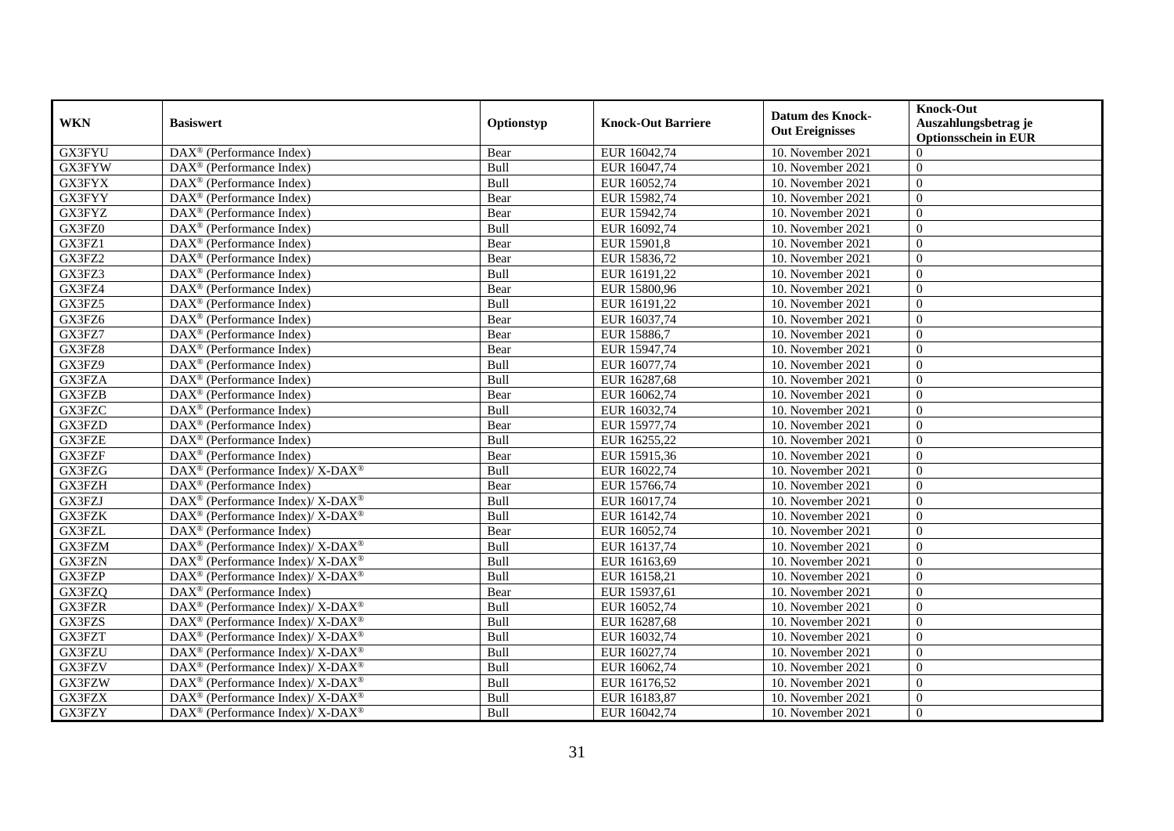| <b>WKN</b>    | <b>Basiswert</b>                                                         | Optionstyp | <b>Knock-Out Barriere</b> | <b>Datum des Knock-</b><br><b>Out Ereignisses</b> | <b>Knock-Out</b><br>Auszahlungsbetrag je<br><b>Optionsschein in EUR</b> |
|---------------|--------------------------------------------------------------------------|------------|---------------------------|---------------------------------------------------|-------------------------------------------------------------------------|
| <b>GX3FYU</b> | $\overline{\text{DAX}^{\otimes}}$ (Performance Index)                    | Bear       | EUR 16042,74              | 10. November 2021                                 | $\Omega$                                                                |
| GX3FYW        | $DAX^{\circledR}$ (Performance Index)                                    | Bull       | EUR 16047,74              | 10. November 2021                                 | $\Omega$                                                                |
| GX3FYX        | DAX <sup>®</sup> (Performance Index)                                     | Bull       | EUR 16052,74              | 10. November 2021                                 | $\Omega$                                                                |
| GX3FYY        | $DAX^{\circledast}$ (Performance Index)                                  | Bear       | EUR 15982,74              | 10. November 2021                                 | $\overline{0}$                                                          |
| GX3FYZ        | DAX <sup>®</sup> (Performance Index)                                     | Bear       | EUR 15942,74              | 10. November 2021                                 | $\overline{0}$                                                          |
| GX3FZ0        | $DAX^{\circledast}$ (Performance Index)                                  | Bull       | EUR 16092,74              | 10. November 2021                                 | $\Omega$                                                                |
| GX3FZ1        | $DAX^{\circledast}$ (Performance Index)                                  | Bear       | EUR 15901,8               | 10. November 2021                                 | $\theta$                                                                |
| GX3FZ2        | $DAX^{\circledast}$ (Performance Index)                                  | Bear       | EUR 15836,72              | 10. November 2021                                 | $\Omega$                                                                |
| GX3FZ3        | $DAX^{\circledR}$ (Performance Index)                                    | Bull       | EUR 16191,22              | 10. November 2021                                 | $\theta$                                                                |
| GX3FZ4        | DAX <sup>®</sup> (Performance Index)                                     | Bear       | EUR 15800,96              | 10. November 2021                                 | $\overline{0}$                                                          |
| GX3FZ5        | $\overline{\text{DAX}}^{\textcirc}$ (Performance Index)                  | Bull       | EUR 16191,22              | 10. November 2021                                 | $\Omega$                                                                |
| GX3FZ6        | $\overline{\text{DAX}^{\otimes}}$ (Performance Index)                    | Bear       | EUR 16037,74              | 10. November 2021                                 | $\overline{0}$                                                          |
| GX3FZ7        | $DAX^{\circledast}$ (Performance Index)                                  | Bear       | EUR 15886,7               | 10. November 2021                                 | $\theta$                                                                |
| GX3FZ8        | DAX <sup>®</sup> (Performance Index)                                     | Bear       | EUR 15947,74              | 10. November 2021                                 | $\Omega$                                                                |
| GX3FZ9        | $DAX^{\circledast}$ (Performance Index)                                  | Bull       | EUR 16077,74              | 10. November 2021                                 | $\overline{0}$                                                          |
| GX3FZA        | $DAX^{\circledast}$ (Performance Index)                                  | Bull       | EUR 16287,68              | 10. November 2021                                 | $\theta$                                                                |
| GX3FZB        | DAX <sup>®</sup> (Performance Index)                                     | Bear       | EUR 16062,74              | 10. November 2021                                 | $\Omega$                                                                |
| GX3FZC        | $DAX^{\circledast}$ (Performance Index)                                  | Bull       | EUR 16032,74              | 10. November 2021                                 | $\Omega$                                                                |
| GX3FZD        | $\overline{\text{DAX}}^{\textcirc}$ (Performance Index)                  | Bear       | EUR 15977,74              | 10. November 2021                                 | $\Omega$                                                                |
| GX3FZE        | $\overline{\text{DAX}^{\otimes}}$ (Performance Index)                    | Bull       | EUR 16255,22              | 10. November 2021                                 | $\overline{0}$                                                          |
| GX3FZF        | $DAX^{\circledast}$ (Performance Index)                                  | Bear       | EUR 15915,36              | 10. November 2021                                 | $\overline{0}$                                                          |
| GX3FZG        | DAX <sup>®</sup> (Performance Index)/X-DAX <sup>®</sup>                  | Bull       | EUR 16022,74              | 10. November 2021                                 | $\Omega$                                                                |
| GX3FZH        | $\overline{\text{DAX}^{\otimes}}$ (Performance Index)                    | Bear       | EUR 15766,74              | 10. November 2021                                 | $\Omega$                                                                |
| GX3FZJ        | DAX <sup>®</sup> (Performance Index)/ X-DAX <sup>®</sup>                 | Bull       | EUR 16017,74              | 10. November 2021                                 | $\overline{0}$                                                          |
| GX3FZK        | DAX <sup>®</sup> (Performance Index)/ X-DAX <sup>®</sup>                 | Bull       | EUR 16142,74              | 10. November 2021                                 | $\overline{0}$                                                          |
| GX3FZL        | $DAX^{\circledast}$ (Performance Index)                                  | Bear       | EUR 16052,74              | 10. November 2021                                 | $\overline{0}$                                                          |
| GX3FZM        | DAX <sup>®</sup> (Performance Index)/X-DAX <sup>®</sup>                  | Bull       | EUR 16137,74              | 10. November 2021                                 | $\theta$                                                                |
| GX3FZN        | $DAX^{\circledast}$ (Performance Index)/ X-DAX <sup>®</sup>              | Bull       | EUR 16163,69              | 10. November 2021                                 | $\theta$                                                                |
| GX3FZP        | DAX <sup>®</sup> (Performance Index)/ X-DAX <sup>®</sup>                 | Bull       | EUR 16158,21              | 10. November 2021                                 | $\Omega$                                                                |
| GX3FZQ        | $DAX^{\circledast}$ (Performance Index)                                  | Bear       | EUR 15937,61              | 10. November 2021                                 | $\Omega$                                                                |
| GX3FZR        | DAX <sup>®</sup> (Performance Index)/ X-DAX <sup>®</sup>                 | Bull       | EUR 16052,74              | 10. November 2021                                 | $\overline{0}$                                                          |
| GX3FZS        | DAX <sup>®</sup> (Performance Index)/X-DAX <sup>®</sup>                  | Bull       | EUR 16287,68              | 10. November 2021                                 | $\overline{0}$                                                          |
| GX3FZT        | DAX <sup>®</sup> (Performance Index)/ X-DAX <sup>®</sup>                 | Bull       | EUR 16032,74              | 10. November 2021                                 | $\Omega$                                                                |
| GX3FZU        | DAX <sup>®</sup> (Performance Index)/ X-DAX <sup>®</sup>                 | Bull       | EUR 16027,74              | 10. November 2021                                 | $\overline{0}$                                                          |
| GX3FZV        | $DAX^{\circledast}$ (Performance Index)/ X-DAX <sup>®</sup>              | Bull       | EUR 16062,74              | 10. November 2021                                 | $\overline{0}$                                                          |
| GX3FZW        | $DAX^{\circledast}$ (Performance Index)/ X-DAX <sup>®</sup>              | Bull       | EUR 16176,52              | 10. November 2021                                 | $\overline{0}$                                                          |
| GX3FZX        | $\overline{\text{DAX}^{\otimes}}$ (Performance Index)/X-DAX <sup>®</sup> | Bull       | EUR 16183,87              | 10. November 2021                                 | $\overline{0}$                                                          |
| GX3FZY        | DAX <sup>®</sup> (Performance Index)/ X-DAX <sup>®</sup>                 | Bull       | EUR 16042,74              | 10. November 2021                                 | $\boldsymbol{0}$                                                        |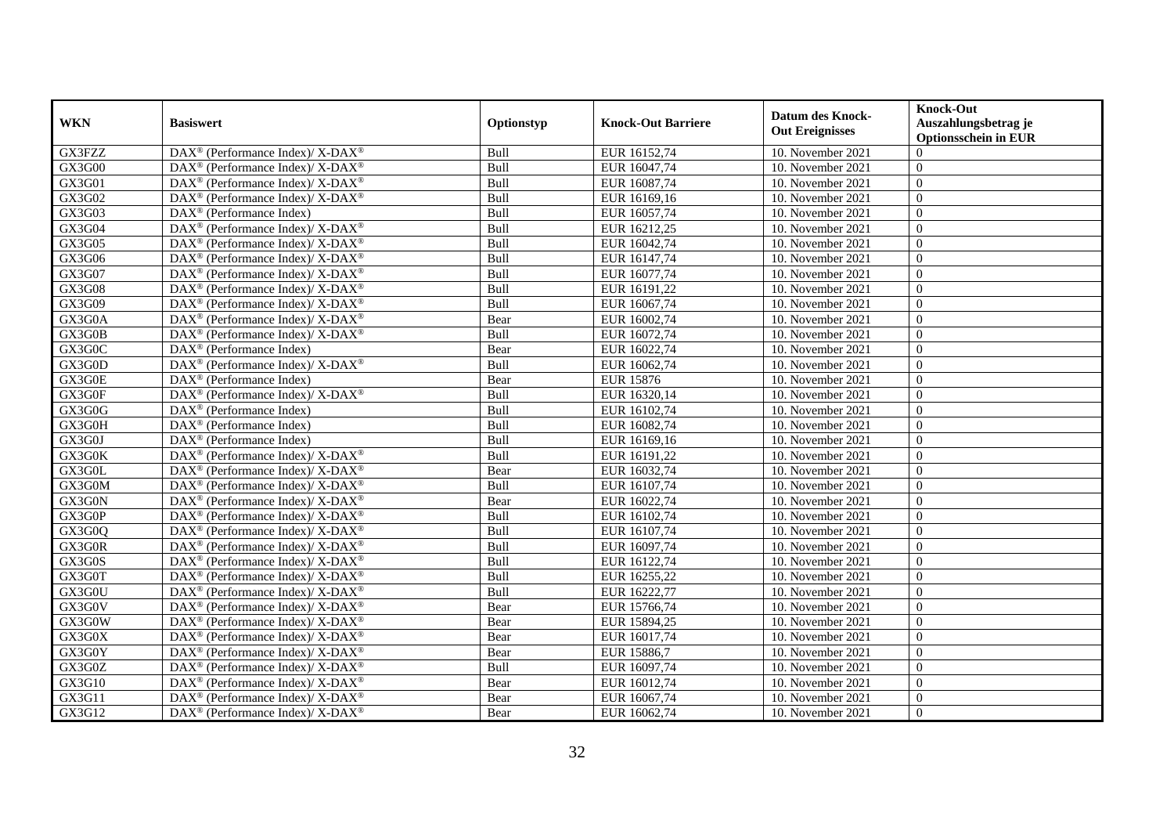| <b>WKN</b>          | <b>Basiswert</b>                                            | Optionstyp | <b>Knock-Out Barriere</b> | <b>Datum des Knock-</b><br><b>Out Ereignisses</b> | <b>Knock-Out</b><br>Auszahlungsbetrag je<br><b>Optionsschein in EUR</b> |
|---------------------|-------------------------------------------------------------|------------|---------------------------|---------------------------------------------------|-------------------------------------------------------------------------|
| GX3FZZ              | DAX <sup>®</sup> (Performance Index)/ X-DAX <sup>®</sup>    | Bull       | EUR 16152,74              | 10. November 2021                                 | $\Omega$                                                                |
| GX3G00              | DAX <sup>®</sup> (Performance Index)/ X-DAX <sup>®</sup>    | Bull       | EUR 16047,74              | 10. November 2021                                 | $\Omega$                                                                |
| GX3G01              | DAX <sup>®</sup> (Performance Index)/ X-DAX <sup>®</sup>    | Bull       | EUR 16087,74              | 10. November 2021                                 | $\Omega$                                                                |
| GX3G02              | DAX <sup>®</sup> (Performance Index)/ X-DAX <sup>®</sup>    | Bull       | EUR 16169,16              | 10. November 2021                                 | $\overline{0}$                                                          |
| GX3G03              | $DAX^{\circledast}$ (Performance Index)                     | Bull       | EUR 16057,74              | 10. November 2021                                 | $\overline{0}$                                                          |
| GX3G04              | DAX <sup>®</sup> (Performance Index)/ X-DAX <sup>®</sup>    | Bull       | EUR 16212,25              | 10. November 2021                                 | $\Omega$                                                                |
| GX3G05              | DAX <sup>®</sup> (Performance Index)/ X-DAX <sup>®</sup>    | Bull       | EUR 16042,74              | 10. November 2021                                 | $\Omega$                                                                |
| GX3G06              | DAX <sup>®</sup> (Performance Index)/ X-DAX <sup>®</sup>    | Bull       | EUR 16147,74              | 10. November 2021                                 | $\overline{0}$                                                          |
| GX3G07              | $DAX^{\circledast}$ (Performance Index)/ X-DAX <sup>®</sup> | Bull       | EUR 16077,74              | 10. November 2021                                 | $\overline{0}$                                                          |
| GX3G08              | DAX <sup>®</sup> (Performance Index)/ X-DAX <sup>®</sup>    | Bull       | EUR 16191,22              | 10. November 2021                                 | $\overline{0}$                                                          |
| GX3G09              | DAX <sup>®</sup> (Performance Index)/X-DAX <sup>®</sup>     | Bull       | EUR 16067,74              | 10. November 2021                                 | $\Omega$                                                                |
| GX3G0A              | DAX <sup>®</sup> (Performance Index)/ X-DAX <sup>®</sup>    | Bear       | EUR 16002,74              | 10. November 2021                                 | $\overline{0}$                                                          |
| GX3G0B              | DAX <sup>®</sup> (Performance Index)/ X-DAX <sup>®</sup>    | Bull       | EUR 16072,74              | 10. November 2021                                 | $\overline{0}$                                                          |
| GX3G0C              | $DAX^{\circledR}$ (Performance Index)                       | Bear       | EUR 16022,74              | 10. November 2021                                 | $\Omega$                                                                |
| GX3G0D              | DAX <sup>®</sup> (Performance Index)/ X-DAX <sup>®</sup>    | Bull       | EUR 16062,74              | 10. November 2021                                 | $\theta$                                                                |
| GX3G0E              | $\overline{\text{DAX}^{\otimes}}$ (Performance Index)       | Bear       | <b>EUR 15876</b>          | 10. November 2021                                 | $\Omega$                                                                |
| GX3G0F              | DAX <sup>®</sup> (Performance Index)/ X-DAX <sup>®</sup>    | Bull       | EUR 16320,14              | 10. November 2021                                 | $\Omega$                                                                |
| GX3G0G              | DAX <sup>®</sup> (Performance Index)                        | Bull       | EUR 16102,74              | 10. November 2021                                 | $\overline{0}$                                                          |
| $GX3\overline{G0H}$ | $DAX^{\circledast}$ (Performance Index)                     | Bull       | EUR 16082,74              | 10. November 2021                                 | $\Omega$                                                                |
| GX3G0J              | DAX <sup>®</sup> (Performance Index)                        | Bull       | EUR 16169,16              | 10. November 2021                                 | $\overline{0}$                                                          |
| GX3G0K              | DAX <sup>®</sup> (Performance Index)/ X-DAX <sup>®</sup>    | Bull       | EUR 16191,22              | 10. November 2021                                 | $\overline{0}$                                                          |
| GX3G0L              | $DAX^{\circledcirc}$ (Performance Index)/X-DAX <sup>®</sup> | Bear       | EUR 16032,74              | 10. November 2021                                 | $\Omega$                                                                |
| GX3G0M              | DAX <sup>®</sup> (Performance Index)/ X-DAX <sup>®</sup>    | Bull       | EUR 16107,74              | 10. November 2021                                 | $\Omega$                                                                |
| GX3G0N              | DAX <sup>®</sup> (Performance Index)/ X-DAX <sup>®</sup>    | Bear       | EUR 16022,74              | 10. November 2021                                 | $\Omega$                                                                |
| GX3G0P              | $DAX^{\circledast}$ (Performance Index)/ X-DAX <sup>®</sup> | Bull       | EUR 16102,74              | 10. November 2021                                 | $\theta$                                                                |
| GX3G0Q              | DAX <sup>®</sup> (Performance Index)/ X-DAX <sup>®</sup>    | Bull       | EUR 16107,74              | 10. November 2021                                 | $\overline{0}$                                                          |
| GX3G0R              | DAX <sup>®</sup> (Performance Index)/ X-DAX <sup>®</sup>    | Bull       | EUR 16097,74              | 10. November 2021                                 | $\overline{0}$                                                          |
| GX3G0S              | DAX <sup>®</sup> (Performance Index)/ X-DAX <sup>®</sup>    | Bull       | EUR 16122,74              | 10. November 2021                                 | $\overline{0}$                                                          |
| GX3G0T              | DAX <sup>®</sup> (Performance Index)/X-DAX <sup>®</sup>     | Bull       | EUR 16255,22              | 10. November 2021                                 | $\overline{0}$                                                          |
| GX3G0U              | DAX <sup>®</sup> (Performance Index)/X-DAX <sup>®</sup>     | Bull       | EUR 16222,77              | 10. November 2021                                 | $\overline{0}$                                                          |
| GX3G0V              | DAX <sup>®</sup> (Performance Index)/X-DAX <sup>®</sup>     | Bear       | EUR 15766,74              | 10. November 2021                                 | $\overline{0}$                                                          |
| GX3G0W              | DAX <sup>®</sup> (Performance Index)/ X-DAX <sup>®</sup>    | Bear       | EUR 15894,25              | 10. November 2021                                 | $\overline{0}$                                                          |
| GX3G0X              | DAX <sup>®</sup> (Performance Index)/ X-DAX <sup>®</sup>    | Bear       | EUR 16017,74              | 10. November 2021                                 | $\Omega$                                                                |
| GX3G0Y              | DAX <sup>®</sup> (Performance Index)/ X-DAX <sup>®</sup>    | Bear       | EUR 15886,7               | 10. November 2021                                 | $\overline{0}$                                                          |
| GX3G0Z              | $DAX^{\circledast}$ (Performance Index)/ X-DAX <sup>®</sup> | Bull       | EUR 16097,74              | 10. November 2021                                 | $\overline{0}$                                                          |
| GX3G10              | DAX <sup>®</sup> (Performance Index)/ X-DAX <sup>®</sup>    | Bear       | EUR 16012,74              | 10. November 2021                                 | $\overline{0}$                                                          |
| GX3G11              | DAX <sup>®</sup> (Performance Index)/ X-DAX <sup>®</sup>    | Bear       | EUR 16067,74              | 10. November 2021                                 | $\overline{0}$                                                          |
| GX3G12              | DAX <sup>®</sup> (Performance Index)/ X-DAX <sup>®</sup>    | Bear       | EUR 16062,74              | 10. November 2021                                 | $\boldsymbol{0}$                                                        |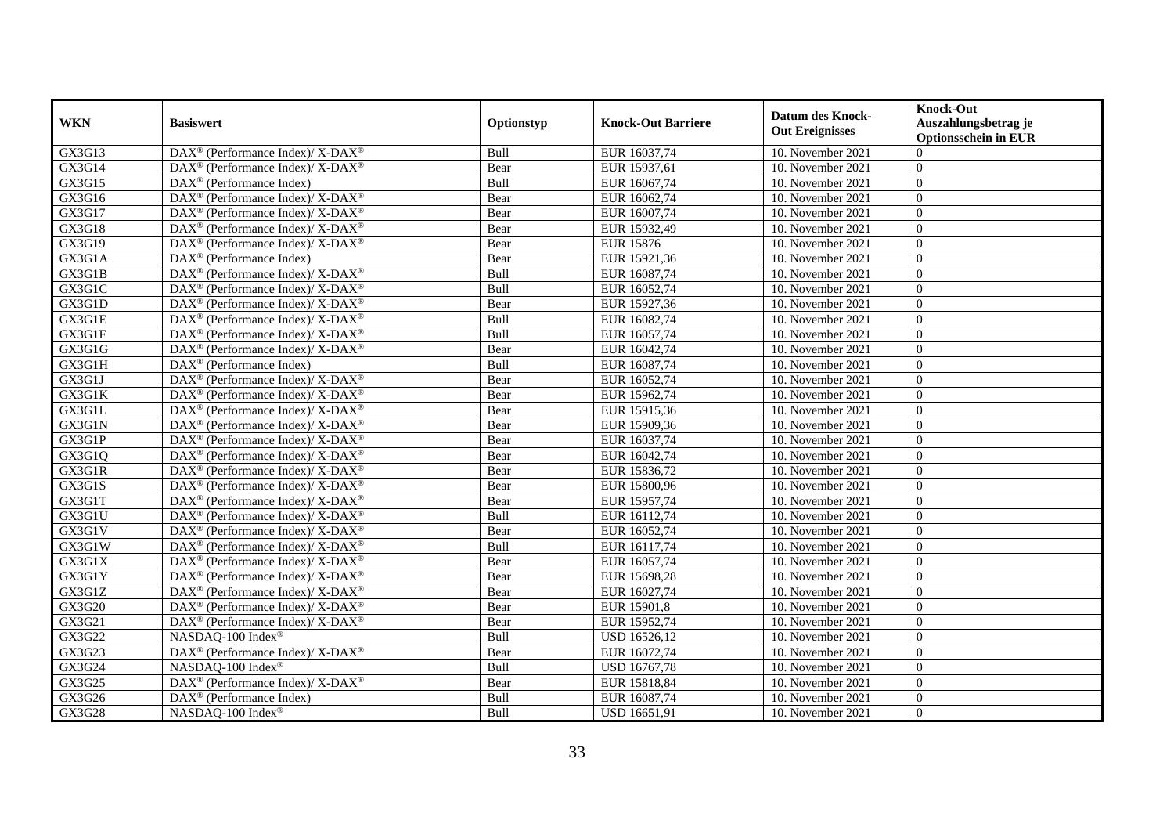| <b>WKN</b>          | <b>Basiswert</b>                                                         | Optionstyp | <b>Knock-Out Barriere</b> | <b>Datum des Knock-</b><br><b>Out Ereignisses</b> | <b>Knock-Out</b><br>Auszahlungsbetrag je<br><b>Optionsschein in EUR</b> |
|---------------------|--------------------------------------------------------------------------|------------|---------------------------|---------------------------------------------------|-------------------------------------------------------------------------|
| GX3G13              | DAX <sup>®</sup> (Performance Index)/ X-DAX <sup>®</sup>                 | Bull       | EUR 16037,74              | 10. November 2021                                 | $\Omega$                                                                |
| $G\overline{X}3G14$ | DAX <sup>®</sup> (Performance Index)/ X-DAX <sup>®</sup>                 | Bear       | EUR 15937,61              | 10. November 2021                                 | $\Omega$                                                                |
| GX3G15              | $DAX^{\circledast}$ (Performance Index)                                  | Bull       | EUR 16067,74              | 10. November 2021                                 | $\theta$                                                                |
| GX3G16              | DAX <sup>®</sup> (Performance Index)/ X-DAX <sup>®</sup>                 | Bear       | EUR 16062,74              | 10. November 2021                                 | $\overline{0}$                                                          |
| GX3G17              | $\text{DAX}^{\circledast}$ (Performance Index)/ X-DAX <sup>®</sup>       | Bear       | EUR 16007,74              | 10. November 2021                                 | $\overline{0}$                                                          |
| GX3G18              | DAX <sup>®</sup> (Performance Index)/ X-DAX <sup>®</sup>                 | Bear       | EUR 15932,49              | 10. November 2021                                 | $\Omega$                                                                |
| GX3G19              | DAX <sup>®</sup> (Performance Index)/X-DAX <sup>®</sup>                  | Bear       | <b>EUR 15876</b>          | 10. November 2021                                 | $\overline{0}$                                                          |
| GX3G1A              | $DAX^{\circledR}$ (Performance Index)                                    | Bear       | EUR 15921,36              | 10. November 2021                                 | $\theta$                                                                |
| GX3G1B              | DAX <sup>®</sup> (Performance Index)/ X-DAX <sup>®</sup>                 | Bull       | EUR 16087,74              | 10. November 2021                                 | $\theta$                                                                |
| GX3G1C              | DAX <sup>®</sup> (Performance Index)/X-DAX <sup>®</sup>                  | Bull       | EUR 16052,74              | 10. November 2021                                 | $\Omega$                                                                |
| GX3G1D              | DAX <sup>®</sup> (Performance Index)/X-DAX <sup>®</sup>                  | Bear       | EUR 15927,36              | 10. November 2021                                 | $\Omega$                                                                |
| GX3G1E              | DAX <sup>®</sup> (Performance Index)/ X-DAX <sup>®</sup>                 | Bull       | EUR 16082,74              | 10. November 2021                                 | $\overline{0}$                                                          |
| GX3G1F              | DAX <sup>®</sup> (Performance Index)/ X-DAX <sup>®</sup>                 | Bull       | EUR 16057,74              | 10. November 2021                                 | $\overline{0}$                                                          |
| GX3G1G              | $DAX^{\circledcirc}$ (Performance Index)/X-DAX <sup>®</sup>              | Bear       | EUR 16042,74              | 10. November 2021                                 | $\overline{0}$                                                          |
| GX3G1H              | DAX <sup>®</sup> (Performance Index)                                     | Bull       | EUR 16087,74              | 10. November 2021                                 | $\overline{0}$                                                          |
| GX3G1J              | DAX <sup>®</sup> (Performance Index)/X-DAX <sup>®</sup>                  | Bear       | EUR 16052,74              | 10. November 2021                                 | $\overline{0}$                                                          |
| GX3G1K              | DAX <sup>®</sup> (Performance Index)/X-DAX <sup>®</sup>                  | Bear       | EUR 15962,74              | 10. November 2021                                 | $\overline{0}$                                                          |
| GX3G1L              | $DAX^{\circledast}$ (Performance Index)/ X-DAX <sup>®</sup>              | Bear       | EUR 15915,36              | 10. November 2021                                 | $\Omega$                                                                |
| GX3G1N              | DAX <sup>®</sup> (Performance Index)/ X-DAX <sup>®</sup>                 | Bear       | EUR 15909,36              | 10. November 2021                                 | $\Omega$                                                                |
| GX3G1P              | DAX <sup>®</sup> (Performance Index)/ X-DAX <sup>®</sup>                 | Bear       | EUR 16037,74              | 10. November 2021                                 | $\overline{0}$                                                          |
| GX3G1Q              | DAX <sup>®</sup> (Performance Index)/ X-DAX <sup>®</sup>                 | Bear       | EUR 16042,74              | 10. November 2021                                 | $\overline{0}$                                                          |
| GX3G1R              | DAX <sup>®</sup> (Performance Index)/ X-DAX <sup>®</sup>                 | Bear       | EUR 15836,72              | 10. November 2021                                 | $\Omega$                                                                |
| GX3G1S              | DAX <sup>®</sup> (Performance Index)/ X-DAX <sup>®</sup>                 | Bear       | EUR 15800,96              | 10. November 2021                                 | $\overline{0}$                                                          |
| GX3G1T              | $DAX^{\circledast}$ (Performance Index)/ X-DAX <sup>®</sup>              | Bear       | EUR 15957,74              | 10. November 2021                                 | $\overline{0}$                                                          |
| GX3G1U              | $DAX^{\circledast}$ (Performance Index)/ X-DAX <sup>®</sup>              | Bull       | EUR 16112,74              | 10. November 2021                                 | $\overline{0}$                                                          |
| GX3G1V              | DAX <sup>®</sup> (Performance Index)/ X-DAX <sup>®</sup>                 | Bear       | EUR 16052,74              | 10. November 2021                                 | $\overline{0}$                                                          |
| GX3G1W              | $\text{DAX}^{\circledast}$ (Performance Index)/ X-DAX <sup>®</sup>       | Bull       | EUR 16117,74              | 10. November 2021                                 | $\overline{0}$                                                          |
| GX3G1X              | $\overline{\text{DAX}^{\otimes}}$ (Performance Index)/X-DAX <sup>®</sup> | Bear       | EUR 16057,74              | 10. November 2021                                 | $\overline{0}$                                                          |
| GX3G1Y              | DAX <sup>®</sup> (Performance Index)/ X-DAX <sup>®</sup>                 | Bear       | EUR 15698,28              | 10. November 2021                                 | $\Omega$                                                                |
| GX3G1Z              | DAX <sup>®</sup> (Performance Index)/X-DAX <sup>®</sup>                  | Bear       | EUR 16027,74              | 10. November 2021                                 | $\Omega$                                                                |
| GX3G20              | DAX <sup>®</sup> (Performance Index)/ X-DAX <sup>®</sup>                 | Bear       | EUR 15901,8               | 10. November 2021                                 | $\overline{0}$                                                          |
| GX3G21              | DAX <sup>®</sup> (Performance Index)/X-DAX <sup>®</sup>                  | Bear       | EUR 15952,74              | 10. November 2021                                 | $\overline{0}$                                                          |
| GX3G22              | NASDAQ-100 Index®                                                        | Bull       | USD 16526,12              | 10. November 2021                                 | $\Omega$                                                                |
| GX3G23              | DAX <sup>®</sup> (Performance Index)/ X-DAX <sup>®</sup>                 | Bear       | EUR 16072,74              | 10. November 2021                                 | $\overline{0}$                                                          |
| GX3G24              | NASDAQ-100 Index®                                                        | Bull       | USD 16767,78              | 10. November 2021                                 | $\Omega$                                                                |
| GX3G25              | DAX <sup>®</sup> (Performance Index)/ X-DAX <sup>®</sup>                 | Bear       | EUR 15818,84              | 10. November 2021                                 | $\overline{0}$                                                          |
| GX3G26              | DAX <sup>®</sup> (Performance Index)                                     | Bull       | EUR 16087,74              | 10. November 2021                                 | $\mathbf{0}$                                                            |
| GX3G28              | NASDAQ-100 Index®                                                        | Bull       | USD 16651,91              | 10. November 2021                                 | $\theta$                                                                |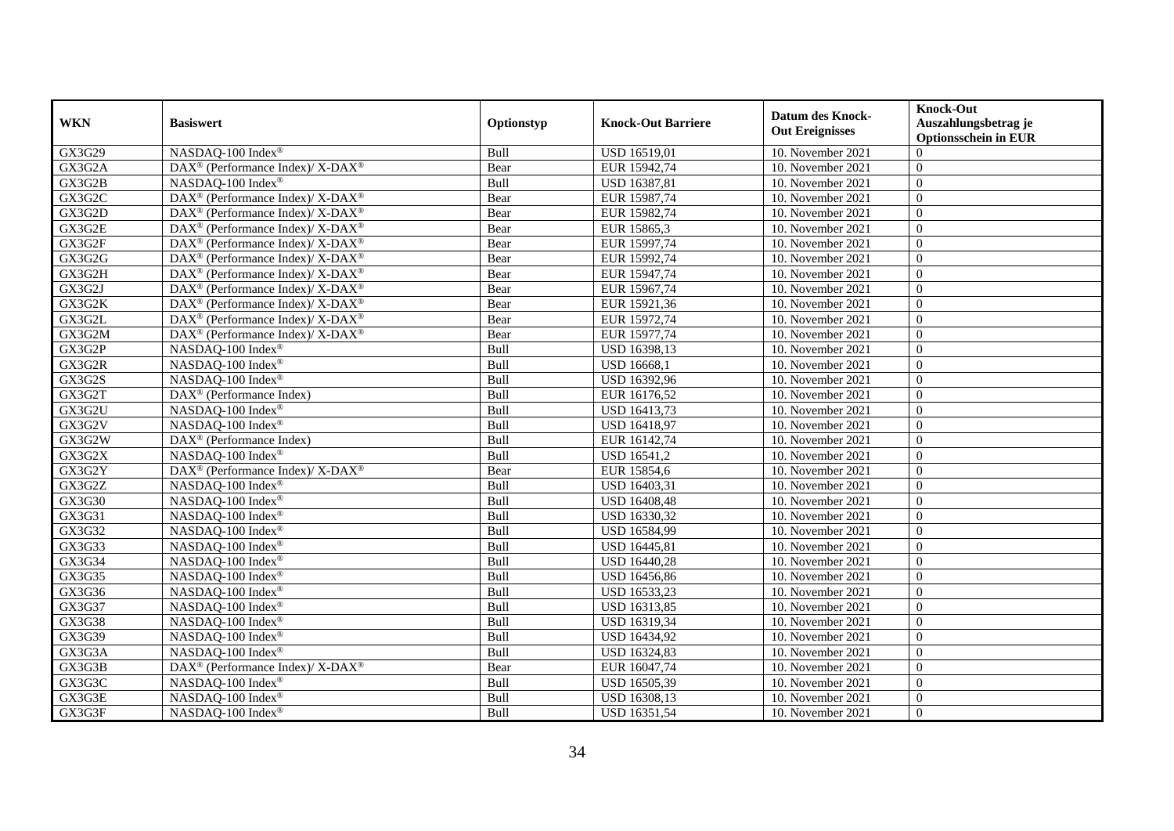| <b>WKN</b> | <b>Basiswert</b>                                                  | Optionstyp | <b>Knock-Out Barriere</b> | <b>Datum des Knock-</b><br><b>Out Ereignisses</b> | <b>Knock-Out</b><br>Auszahlungsbetrag je<br><b>Optionsschein in EUR</b> |
|------------|-------------------------------------------------------------------|------------|---------------------------|---------------------------------------------------|-------------------------------------------------------------------------|
| GX3G29     | NASDAQ-100 Index®                                                 | Bull       | USD 16519,01              | 10. November 2021                                 | $\Omega$                                                                |
| GX3G2A     | DAX <sup>®</sup> (Performance Index)/ X-DAX <sup>®</sup>          | Bear       | EUR 15942,74              | 10. November 2021                                 | $\Omega$                                                                |
| GX3G2B     | NASDAQ-100 Index®                                                 | Bull       | USD 16387,81              | 10. November 2021                                 | $\theta$                                                                |
| GX3G2C     | DAX <sup>®</sup> (Performance Index)/ X-DAX <sup>®</sup>          | Bear       | EUR 15987,74              | 10. November 2021                                 | $\overline{0}$                                                          |
| GX3G2D     | DAX <sup>®</sup> (Performance Index)/ X-DAX <sup>®</sup>          | Bear       | EUR 15982,74              | 10. November 2021                                 | $\theta$                                                                |
| GX3G2E     | DAX <sup>®</sup> (Performance Index)/ X-DAX <sup>®</sup>          | Bear       | EUR 15865,3               | 10. November 2021                                 | $\Omega$                                                                |
| GX3G2F     | DAX <sup>®</sup> (Performance Index)/ X-DAX <sup>®</sup>          | Bear       | EUR 15997,74              | 10. November 2021                                 | $\Omega$                                                                |
| GX3G2G     | $\text{DAX}^{\circledast}$ (Performance Index)/X-DAX <sup>®</sup> | Bear       | EUR 15992,74              | 10. November 2021                                 | $\theta$                                                                |
| GX3G2H     | DAX <sup>®</sup> (Performance Index)/ X-DAX <sup>®</sup>          | Bear       | EUR 15947,74              | 10. November 2021                                 | $\mathbf{0}$                                                            |
| GX3G2J     | $DAX^{\circledast}$ (Performance Index)/ X-DAX <sup>®</sup>       | Bear       | EUR 15967,74              | 10. November 2021                                 | $\theta$                                                                |
| GX3G2K     | $DAX^{\circledast}$ (Performance Index)/ X-DAX <sup>®</sup>       | Bear       | EUR 15921,36              | 10. November 2021                                 | $\Omega$                                                                |
| GX3G2L     | DAX <sup>®</sup> (Performance Index)/ X-DAX <sup>®</sup>          | Bear       | EUR 15972,74              | 10. November 2021                                 | $\overline{0}$                                                          |
| GX3G2M     | DAX <sup>®</sup> (Performance Index)/ X-DAX <sup>®</sup>          | Bear       | EUR 15977,74              | 10. November 2021                                 | $\Omega$                                                                |
| GX3G2P     | NASDAQ-100 Index®                                                 | Bull       | USD 16398,13              | 10. November 2021                                 | $\theta$                                                                |
| GX3G2R     | NASDAQ-100 Index®                                                 | Bull       | <b>USD 16668,1</b>        | 10. November 2021                                 | $\overline{0}$                                                          |
| GX3G2S     | NASDAQ-100 Index®                                                 | Bull       | USD 16392,96              | 10. November 2021                                 | $\Omega$                                                                |
| GX3G2T     | $\overline{\text{DAX}}^{\textcirc}$ (Performance Index)           | Bull       | EUR 16176,52              | 10. November 2021                                 | $\overline{0}$                                                          |
| GX3G2U     | NASDAQ-100 Index®                                                 | Bull       | USD 16413,73              | 10. November 2021                                 | $\overline{0}$                                                          |
| GX3G2V     | NASDAQ-100 Index®                                                 | Bull       | USD 16418,97              | 10. November 2021                                 | $\overline{0}$                                                          |
| GX3G2W     | DAX <sup>®</sup> (Performance Index)                              | Bull       | EUR 16142,74              | 10. November 2021                                 | $\overline{0}$                                                          |
| GX3G2X     | NASDAQ-100 Index®                                                 | Bull       | USD 16541,2               | 10. November 2021                                 | $\mathbf{0}$                                                            |
| GX3G2Y     | DAX <sup>®</sup> (Performance Index)/ X-DAX <sup>®</sup>          | Bear       | EUR 15854,6               | 10. November 2021                                 | $\theta$                                                                |
| GX3G2Z     | NASDAQ-100 Index®                                                 | Bull       | USD 16403,31              | 10. November 2021                                 | $\theta$                                                                |
| GX3G30     | NASDAQ-100 Index®                                                 | Bull       | <b>USD 16408,48</b>       | 10. November 2021                                 | $\theta$                                                                |
| GX3G31     | NASDAQ-100 Index®                                                 | Bull       | USD 16330,32              | 10. November 2021                                 | $\overline{0}$                                                          |
| GX3G32     | NASDAQ-100 Index®                                                 | Bull       | USD 16584,99              | 10. November 2021                                 | $\Omega$                                                                |
| GX3G33     | NASDAQ-100 Index®                                                 | Bull       | <b>USD 16445,81</b>       | 10. November 2021                                 | $\Omega$                                                                |
| GX3G34     | NASDAQ-100 Index®                                                 | Bull       | <b>USD 16440,28</b>       | 10. November 2021                                 | $\overline{0}$                                                          |
| GX3G35     | NASDAQ-100 Index®                                                 | Bull       | USD 16456,86              | 10. November 2021                                 | $\overline{0}$                                                          |
| GX3G36     | NASDAQ-100 Index®                                                 | Bull       | USD 16533,23              | 10. November 2021                                 | $\Omega$                                                                |
| GX3G37     | NASDAQ-100 Index®                                                 | Bull       | USD 16313,85              | 10. November 2021                                 | $\overline{0}$                                                          |
| GX3G38     | NASDAQ-100 Index®                                                 | Bull       | USD 16319,34              | 10. November 2021                                 | $\theta$                                                                |
| GX3G39     | NASDAQ-100 Index®                                                 | Bull       | USD 16434,92              | 10. November 2021                                 | $\overline{0}$                                                          |
| GX3G3A     | NASDAQ-100 Index®                                                 | Bull       | USD 16324,83              | 10. November 2021                                 | $\overline{0}$                                                          |
| GX3G3B     | DAX <sup>®</sup> (Performance Index)/ X-DAX <sup>®</sup>          | Bear       | EUR 16047,74              | 10. November 2021                                 | $\theta$                                                                |
| GX3G3C     | NASDAQ-100 Index®                                                 | Bull       | USD 16505,39              | 10. November 2021                                 | $\theta$                                                                |
| GX3G3E     | NASDAQ-100 Index®                                                 | Bull       | USD 16308,13              | 10. November 2021                                 | $\mathbf{0}$                                                            |
| GX3G3F     | NASDAQ-100 Index®                                                 | Bull       | USD 16351,54              | 10. November 2021                                 | $\mathbf{0}$                                                            |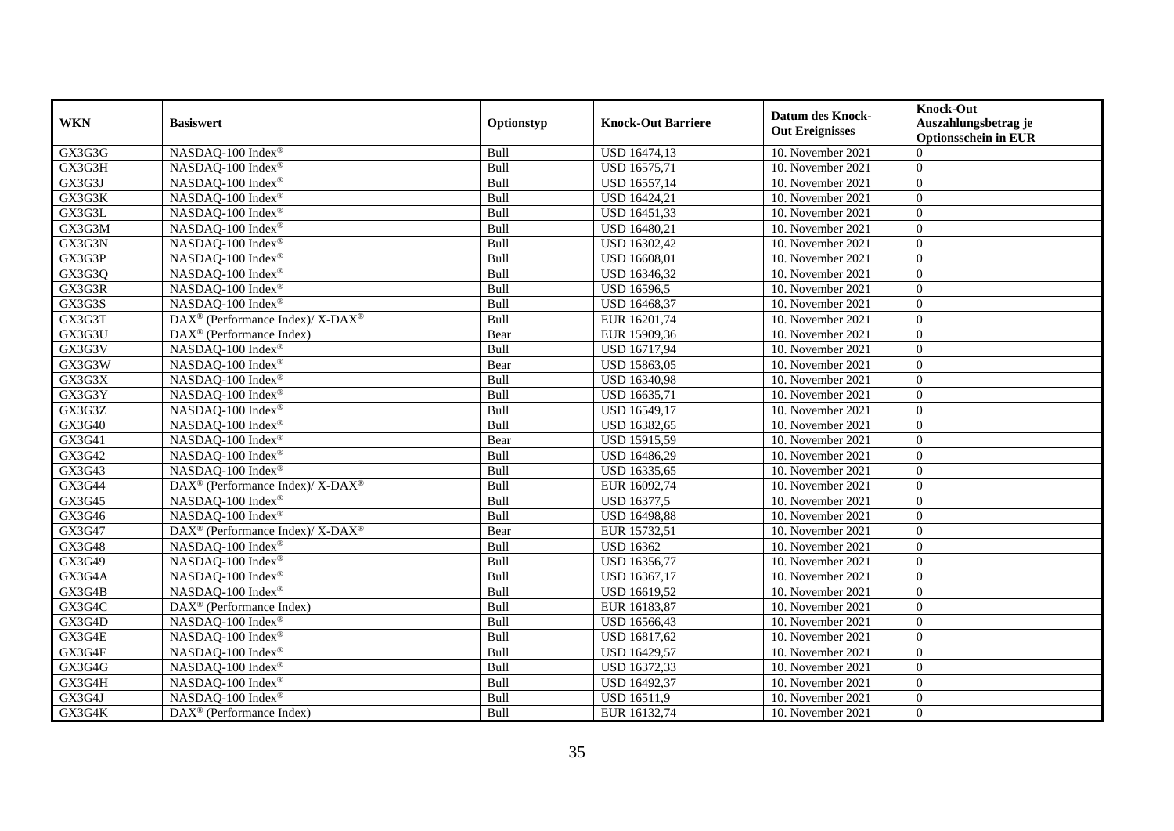| <b>WKN</b> | <b>Basiswert</b>                                                         | Optionstyp | <b>Knock-Out Barriere</b> | <b>Datum des Knock-</b> | <b>Knock-Out</b><br>Auszahlungsbetrag je |
|------------|--------------------------------------------------------------------------|------------|---------------------------|-------------------------|------------------------------------------|
|            |                                                                          |            |                           | <b>Out Ereignisses</b>  | <b>Optionsschein in EUR</b>              |
| GX3G3G     | NASDAQ-100 Index®                                                        | Bull       | USD 16474,13              | 10. November 2021       | $\Omega$                                 |
| GX3G3H     | NASDAQ-100 Index®                                                        | Bull       | <b>USD 16575,71</b>       | 10. November 2021       | $\Omega$                                 |
| GX3G3J     | NASDAQ-100 Index®                                                        | Bull       | USD 16557,14              | 10. November 2021       | $\Omega$                                 |
| GX3G3K     | NASDAQ-100 Index®                                                        | Bull       | USD 16424,21              | 10. November 2021       | $\theta$                                 |
| GX3G3L     | NASDAQ-100 Index®                                                        | Bull       | USD 16451,33              | 10. November 2021       | $\theta$                                 |
| GX3G3M     | NASDAQ-100 Index®                                                        | Bull       | USD 16480,21              | 10. November 2021       | $\Omega$                                 |
| GX3G3N     | NASDAQ-100 Index®                                                        | Bull       | USD 16302,42              | 10. November 2021       | $\theta$                                 |
| GX3G3P     | NASDAQ-100 Index®                                                        | Bull       | <b>USD 16608,01</b>       | 10. November 2021       | $\Omega$                                 |
| GX3G3Q     | NASDAQ-100 Index®                                                        | Bull       | USD 16346,32              | 10. November 2021       | $\theta$                                 |
| GX3G3R     | NASDAQ-100 Index®                                                        | Bull       | <b>USD 16596,5</b>        | 10. November 2021       | $\Omega$                                 |
| GX3G3S     | NASDAQ-100 Index®                                                        | Bull       | USD 16468,37              | 10. November 2021       | $\Omega$                                 |
| GX3G3T     | DAX <sup>®</sup> (Performance Index)/ X-DAX <sup>®</sup>                 | Bull       | EUR 16201,74              | 10. November 2021       | $\Omega$                                 |
| GX3G3U     | DAX <sup>®</sup> (Performance Index)                                     | Bear       | EUR 15909,36              | 10. November 2021       | $\Omega$                                 |
| GX3G3V     | NASDAQ-100 Index®                                                        | Bull       | USD 16717,94              | 10. November 2021       | $\theta$                                 |
| GX3G3W     | NASDAQ-100 Index®                                                        | Bear       | USD 15863,05              | 10. November 2021       | $\theta$                                 |
| GX3G3X     | NASDAQ-100 Index®                                                        | Bull       | USD 16340,98              | 10. November 2021       | $\overline{0}$                           |
| GX3G3Y     | NASDAQ-100 Index®                                                        | Bull       | USD 16635,71              | 10. November 2021       | $\theta$                                 |
| GX3G3Z     | NASDAQ-100 Index®                                                        | Bull       | USD 16549,17              | 10. November 2021       | $\Omega$                                 |
| GX3G40     | NASDAQ-100 Index®                                                        | Bull       | USD 16382,65              | 10. November 2021       | $\Omega$                                 |
| GX3G41     | NASDAQ-100 Index®                                                        | Bear       | USD 15915,59              | 10. November 2021       | $\theta$                                 |
| GX3G42     | NASDAQ-100 Index®                                                        | Bull       | USD 16486,29              | 10. November 2021       | $\overline{0}$                           |
| GX3G43     | NASDAQ-100 Index®                                                        | Bull       | USD 16335,65              | 10. November 2021       | $\Omega$                                 |
| GX3G44     | DAX <sup>®</sup> (Performance Index)/ X-DAX <sup>®</sup>                 | Bull       | EUR 16092,74              | 10. November 2021       | $\Omega$                                 |
| GX3G45     | NASDAQ-100 Index®                                                        | Bull       | <b>USD 16377,5</b>        | 10. November 2021       | $\overline{0}$                           |
| GX3G46     | NASDAQ-100 Index®                                                        | Bull       | <b>USD 16498,88</b>       | 10. November 2021       | $\theta$                                 |
| GX3G47     | $\overline{\text{DAX}^{\otimes}}$ (Performance Index)/X-DAX <sup>®</sup> | Bear       | EUR 15732,51              | 10. November 2021       | $\Omega$                                 |
| GX3G48     | NASDAQ-100 Index®                                                        | Bull       | <b>USD 16362</b>          | 10. November 2021       | $\theta$                                 |
| GX3G49     | NASDAQ-100 Index®                                                        | Bull       | USD 16356,77              | 10. November 2021       | $\theta$                                 |
| GX3G4A     | NASDAQ-100 Index®                                                        | Bull       | USD 16367,17              | 10. November 2021       | $\Omega$                                 |
| GX3G4B     | NASDAO-100 Index®                                                        | Bull       | USD 16619,52              | 10. November 2021       | $\Omega$                                 |
| GX3G4C     | DAX <sup>®</sup> (Performance Index)                                     | Bull       | EUR 16183,87              | 10. November 2021       | $\boldsymbol{0}$                         |
| GX3G4D     | NASDAQ-100 Index®                                                        | Bull       | USD 16566,43              | 10. November 2021       | $\overline{0}$                           |
| GX3G4E     | NASDAQ-100 Index®                                                        | Bull       | <b>USD 16817,62</b>       | 10. November 2021       | $\Omega$                                 |
| GX3G4F     | NASDAQ-100 Index®                                                        | Bull       | <b>USD 16429,57</b>       | 10. November 2021       | $\Omega$                                 |
| GX3G4G     | NASDAQ-100 Index®                                                        | Bull       | USD 16372,33              | 10. November 2021       | $\Omega$                                 |
| GX3G4H     | NASDAQ-100 Index®                                                        | Bull       | USD 16492,37              | 10. November 2021       | $\overline{0}$                           |
| GX3G4J     | NASDAQ-100 Index®                                                        | Bull       | USD 16511,9               | 10. November 2021       | $\mathbf{0}$                             |
| GX3G4K     | $\text{DAX}^{\textcircled{}}$ (Performance Index)                        | Bull       | EUR 16132,74              | 10. November 2021       | $\theta$                                 |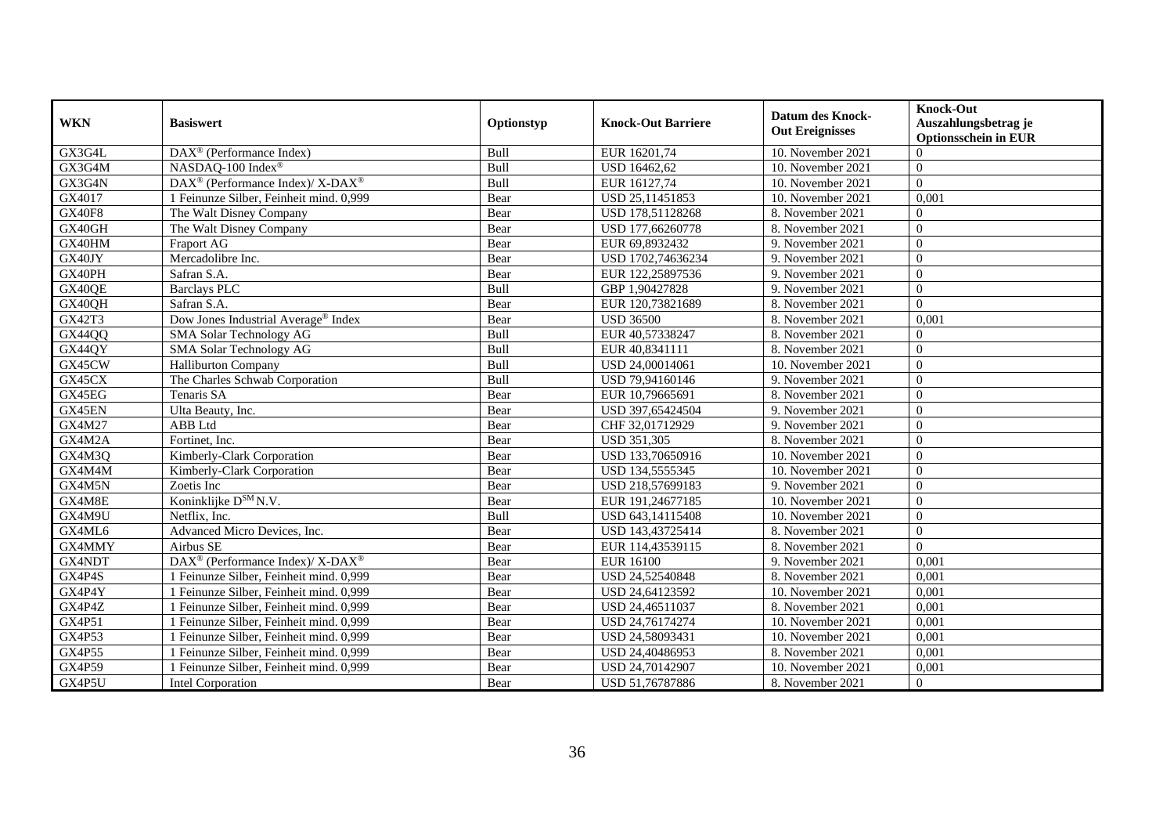| <b>WKN</b>    | <b>Basiswert</b>                                         | Optionstyp | <b>Knock-Out Barriere</b> | <b>Datum des Knock-</b><br><b>Out Ereignisses</b> | <b>Knock-Out</b><br>Auszahlungsbetrag je<br><b>Optionsschein in EUR</b> |
|---------------|----------------------------------------------------------|------------|---------------------------|---------------------------------------------------|-------------------------------------------------------------------------|
| GX3G4L        | DAX <sup>®</sup> (Performance Index)                     | Bull       | EUR 16201,74              | 10. November 2021                                 | $\Omega$                                                                |
| GX3G4M        | NASDAQ-100 Index®                                        | Bull       | USD 16462,62              | 10. November 2021                                 | $\Omega$                                                                |
| GX3G4N        | DAX <sup>®</sup> (Performance Index)/ X-DAX <sup>®</sup> | Bull       | EUR 16127,74              | 10. November 2021                                 | $\Omega$                                                                |
| GX4017        | 1 Feinunze Silber, Feinheit mind. 0,999                  | Bear       | USD 25,11451853           | 10. November 2021                                 | 0,001                                                                   |
| <b>GX40F8</b> | The Walt Disney Company                                  | Bear       | USD 178,51128268          | 8. November 2021                                  | $\Omega$                                                                |
| GX40GH        | The Walt Disney Company                                  | Bear       | USD 177,66260778          | 8. November 2021                                  | $\Omega$                                                                |
| GX40HM        | Fraport AG                                               | Bear       | EUR 69,8932432            | 9. November 2021                                  | $\Omega$                                                                |
| GX40JY        | Mercadolibre Inc.                                        | Bear       | USD 1702,74636234         | 9. November 2021                                  | $\theta$                                                                |
| GX40PH        | Safran S.A.                                              | Bear       | EUR 122,25897536          | 9. November 2021                                  | $\Omega$                                                                |
| GX40QE        | <b>Barclays PLC</b>                                      | Bull       | GBP 1,90427828            | 9. November 2021                                  | $\theta$                                                                |
| GX40QH        | Safran S.A.                                              | Bear       | EUR 120,73821689          | 8. November 2021                                  | $\theta$                                                                |
| GX42T3        | Dow Jones Industrial Average® Index                      | Bear       | <b>USD 36500</b>          | 8. November 2021                                  | 0.001                                                                   |
| GX44QQ        | <b>SMA Solar Technology AG</b>                           | Bull       | EUR 40,57338247           | 8. November 2021                                  | $\Omega$                                                                |
| GX44QY        | SMA Solar Technology AG                                  | Bull       | EUR 40,8341111            | 8. November 2021                                  | $\overline{0}$                                                          |
| GX45CW        | <b>Halliburton Company</b>                               | Bull       | USD 24,00014061           | 10. November 2021                                 | $\Omega$                                                                |
| GX45CX        | The Charles Schwab Corporation                           | Bull       | USD 79,94160146           | 9. November 2021                                  | $\Omega$                                                                |
| GX45EG        | Tenaris SA                                               | Bear       | EUR 10,79665691           | 8. November 2021                                  | $\Omega$                                                                |
| GX45EN        | Ulta Beauty, Inc.                                        | Bear       | USD 397,65424504          | 9. November 2021                                  | $\Omega$                                                                |
| GX4M27        | ABB Ltd                                                  | Bear       | CHF 32,01712929           | 9. November 2021                                  | $\theta$                                                                |
| GX4M2A        | Fortinet, Inc.                                           | Bear       | <b>USD 351,305</b>        | 8. November 2021                                  | $\Omega$                                                                |
| GX4M3Q        | Kimberly-Clark Corporation                               | Bear       | USD 133,70650916          | 10. November 2021                                 | $\theta$                                                                |
| GX4M4M        | Kimberly-Clark Corporation                               | Bear       | USD 134,5555345           | 10. November 2021                                 | $\theta$                                                                |
| GX4M5N        | Zoetis Inc                                               | Bear       | USD 218,57699183          | 9. November 2021                                  | $\Omega$                                                                |
| GX4M8E        | Koninklijke D <sup>SM</sup> N.V.                         | Bear       | EUR 191,24677185          | 10. November 2021                                 | $\theta$                                                                |
| GX4M9U        | Netflix, Inc.                                            | Bull       | USD 643,14115408          | 10. November 2021                                 | $\theta$                                                                |
| GX4ML6        | Advanced Micro Devices, Inc.                             | Bear       | USD 143,43725414          | 8. November 2021                                  | $\Omega$                                                                |
| GX4MMY        | Airbus SE                                                | Bear       | EUR 114,43539115          | 8. November 2021                                  | $\theta$                                                                |
| GX4NDT        | DAX <sup>®</sup> (Performance Index)/X-DAX <sup>®</sup>  | Bear       | <b>EUR 16100</b>          | 9. November 2021                                  | 0,001                                                                   |
| GX4P4S        | 1 Feinunze Silber, Feinheit mind. 0,999                  | Bear       | USD 24,52540848           | 8. November 2021                                  | 0,001                                                                   |
| GX4P4Y        | 1 Feinunze Silber, Feinheit mind. 0,999                  | Bear       | USD 24,64123592           | 10. November 2021                                 | 0,001                                                                   |
| GX4P4Z        | 1 Feinunze Silber, Feinheit mind. 0,999                  | Bear       | USD 24,46511037           | 8. November 2021                                  | 0,001                                                                   |
| GX4P51        | 1 Feinunze Silber, Feinheit mind. 0.999                  | Bear       | USD 24,76174274           | 10. November 2021                                 | 0.001                                                                   |
| GX4P53        | 1 Feinunze Silber, Feinheit mind. 0,999                  | Bear       | USD 24,58093431           | 10. November 2021                                 | 0,001                                                                   |
| GX4P55        | 1 Feinunze Silber, Feinheit mind. 0,999                  | Bear       | USD 24,40486953           | 8. November 2021                                  | 0,001                                                                   |
| <b>GX4P59</b> | 1 Feinunze Silber, Feinheit mind. 0,999                  | Bear       | USD 24,70142907           | 10. November 2021                                 | 0,001                                                                   |
| GX4P5U        | <b>Intel Corporation</b>                                 | Bear       | USD 51,76787886           | 8. November 2021                                  | $\overline{0}$                                                          |